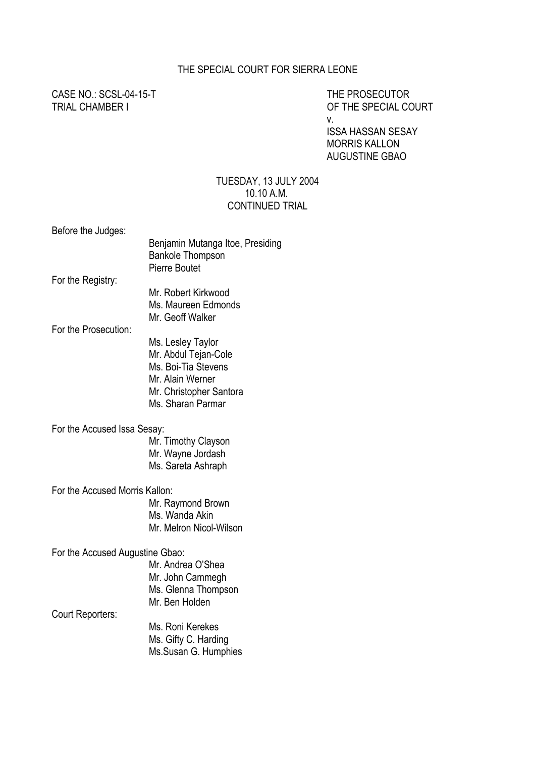#### THE SPECIAL COURT FOR SIERRA LEONE

CASE NO.: SCSL-04-15-T THE PROSECUTOR

TRIAL CHAMBER I OF THE SPECIAL COURT v.

> ISSA HASSAN SESAY MORRIS KALLON AUGUSTINE GBAO

#### TUESDAY, 13 JULY 2004 10.10 A.M. CONTINUED TRIAL

Before the Judges:

|                                 | Benjamin Mutanga Itoe, Presiding<br><b>Bankole Thompson</b><br><b>Pierre Boutet</b> |
|---------------------------------|-------------------------------------------------------------------------------------|
| For the Registry:               |                                                                                     |
|                                 | Mr. Robert Kirkwood                                                                 |
|                                 | Ms. Maureen Edmonds                                                                 |
|                                 | Mr. Geoff Walker                                                                    |
| For the Prosecution:            |                                                                                     |
|                                 | Ms. Lesley Taylor                                                                   |
|                                 | Mr. Abdul Tejan-Cole                                                                |
|                                 | Ms. Boi-Tia Stevens                                                                 |
|                                 | Mr. Alain Werner                                                                    |
|                                 | Mr. Christopher Santora                                                             |
|                                 | Ms. Sharan Parmar                                                                   |
| For the Accused Issa Sesay:     |                                                                                     |
|                                 | Mr. Timothy Clayson                                                                 |
|                                 | Mr. Wayne Jordash                                                                   |
|                                 | Ms. Sareta Ashraph                                                                  |
|                                 |                                                                                     |
| For the Accused Morris Kallon:  |                                                                                     |
|                                 | Mr. Raymond Brown                                                                   |
|                                 | Ms. Wanda Akin                                                                      |
|                                 | Mr. Melron Nicol-Wilson                                                             |
|                                 |                                                                                     |
| For the Accused Augustine Gbao: | Mr. Andrea O'Shea                                                                   |
|                                 |                                                                                     |
|                                 | Mr. John Cammegh                                                                    |
|                                 | Ms. Glenna Thompson<br>Mr. Ben Holden                                               |
| Court Reporters:                |                                                                                     |
|                                 | Ms. Roni Kerekes                                                                    |
|                                 | Ms. Gifty C. Harding                                                                |
|                                 | Ms.Susan G. Humphies                                                                |
|                                 |                                                                                     |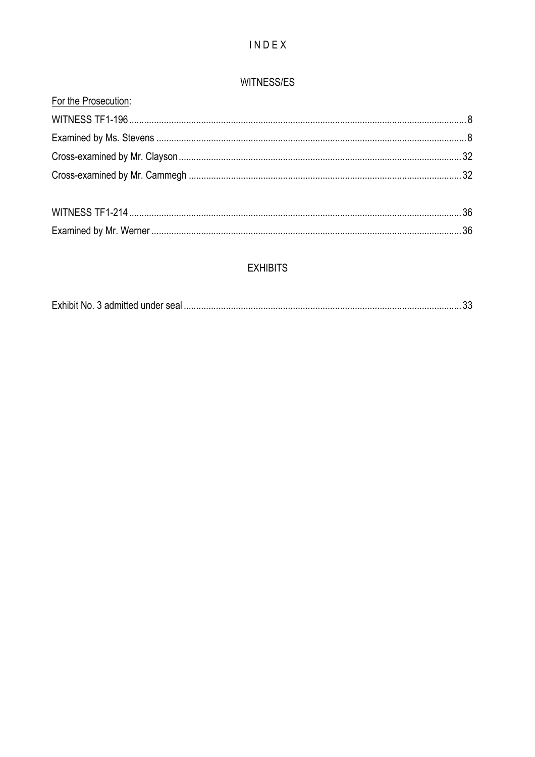# INDEX

### WITNESS/ES

| For the Prosecution: |  |
|----------------------|--|
|                      |  |
|                      |  |
|                      |  |
|                      |  |
|                      |  |
|                      |  |

# **EXHIBITS**

|--|--|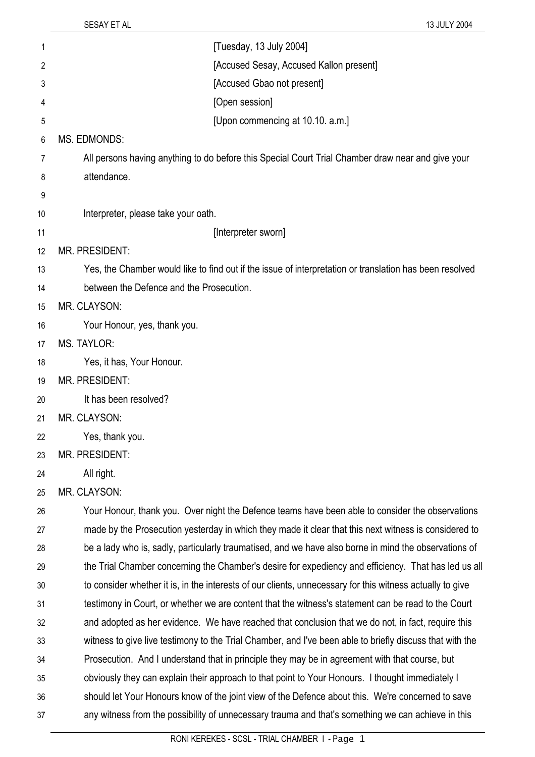| 1  | [Tuesday, 13 July 2004]                                                                                   |  |
|----|-----------------------------------------------------------------------------------------------------------|--|
| 2  | [Accused Sesay, Accused Kallon present]                                                                   |  |
| 3  | [Accused Gbao not present]                                                                                |  |
| 4  | [Open session]                                                                                            |  |
| 5  | [Upon commencing at 10.10. a.m.]                                                                          |  |
| 6  | MS. EDMONDS:                                                                                              |  |
| 7  | All persons having anything to do before this Special Court Trial Chamber draw near and give your         |  |
| 8  | attendance.                                                                                               |  |
| 9  |                                                                                                           |  |
| 10 | Interpreter, please take your oath.                                                                       |  |
| 11 | [Interpreter sworn]                                                                                       |  |
| 12 | <b>MR. PRESIDENT:</b>                                                                                     |  |
| 13 | Yes, the Chamber would like to find out if the issue of interpretation or translation has been resolved   |  |
| 14 | between the Defence and the Prosecution.                                                                  |  |
| 15 | MR. CLAYSON:                                                                                              |  |
| 16 | Your Honour, yes, thank you.                                                                              |  |
| 17 | <b>MS. TAYLOR:</b>                                                                                        |  |
| 18 | Yes, it has, Your Honour.                                                                                 |  |
| 19 | <b>MR. PRESIDENT:</b>                                                                                     |  |
| 20 | It has been resolved?                                                                                     |  |
| 21 | MR. CLAYSON:                                                                                              |  |
| 22 | Yes, thank you.                                                                                           |  |
| 23 | <b>MR. PRESIDENT:</b>                                                                                     |  |
| 24 | All right.                                                                                                |  |
| 25 | MR. CLAYSON:                                                                                              |  |
| 26 | Your Honour, thank you. Over night the Defence teams have been able to consider the observations          |  |
| 27 | made by the Prosecution yesterday in which they made it clear that this next witness is considered to     |  |
| 28 | be a lady who is, sadly, particularly traumatised, and we have also borne in mind the observations of     |  |
| 29 | the Trial Chamber concerning the Chamber's desire for expediency and efficiency. That has led us all      |  |
| 30 | to consider whether it is, in the interests of our clients, unnecessary for this witness actually to give |  |
| 31 | testimony in Court, or whether we are content that the witness's statement can be read to the Court       |  |
| 32 | and adopted as her evidence. We have reached that conclusion that we do not, in fact, require this        |  |
| 33 | witness to give live testimony to the Trial Chamber, and I've been able to briefly discuss that with the  |  |
| 34 | Prosecution. And I understand that in principle they may be in agreement with that course, but            |  |
| 35 | obviously they can explain their approach to that point to Your Honours. I thought immediately I          |  |
| 36 | should let Your Honours know of the joint view of the Defence about this. We're concerned to save         |  |
| 37 | any witness from the possibility of unnecessary trauma and that's something we can achieve in this        |  |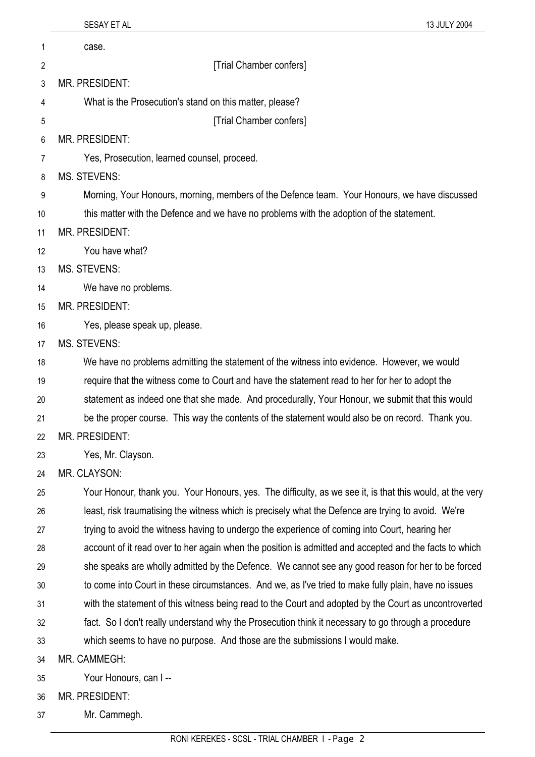|    | SESAY ET AL<br>13 JULY 2004                                                                              |
|----|----------------------------------------------------------------------------------------------------------|
| 1  | case.                                                                                                    |
| 2  | [Trial Chamber confers]                                                                                  |
| 3  | <b>MR. PRESIDENT:</b>                                                                                    |
| 4  | What is the Prosecution's stand on this matter, please?                                                  |
| 5  | [Trial Chamber confers]                                                                                  |
| 6  | <b>MR. PRESIDENT:</b>                                                                                    |
| 7  | Yes, Prosecution, learned counsel, proceed.                                                              |
| 8  | <b>MS. STEVENS:</b>                                                                                      |
| 9  | Morning, Your Honours, morning, members of the Defence team. Your Honours, we have discussed             |
| 10 | this matter with the Defence and we have no problems with the adoption of the statement.                 |
| 11 | MR. PRESIDENT:                                                                                           |
| 12 | You have what?                                                                                           |
| 13 | <b>MS. STEVENS:</b>                                                                                      |
| 14 | We have no problems.                                                                                     |
| 15 | <b>MR. PRESIDENT:</b>                                                                                    |
| 16 | Yes, please speak up, please.                                                                            |
| 17 | <b>MS. STEVENS:</b>                                                                                      |
| 18 | We have no problems admitting the statement of the witness into evidence. However, we would              |
| 19 | require that the witness come to Court and have the statement read to her for her to adopt the           |
| 20 | statement as indeed one that she made. And procedurally, Your Honour, we submit that this would          |
| 21 | be the proper course. This way the contents of the statement would also be on record. Thank you.         |
| 22 | <b>MR. PRESIDENT:</b>                                                                                    |
| 23 | Yes, Mr. Clayson.                                                                                        |
| 24 | MR. CLAYSON:                                                                                             |
| 25 | Your Honour, thank you. Your Honours, yes. The difficulty, as we see it, is that this would, at the very |
| 26 | least, risk traumatising the witness which is precisely what the Defence are trying to avoid. We're      |
| 27 | trying to avoid the witness having to undergo the experience of coming into Court, hearing her           |
| 28 | account of it read over to her again when the position is admitted and accepted and the facts to which   |
| 29 | she speaks are wholly admitted by the Defence. We cannot see any good reason for her to be forced        |
| 30 | to come into Court in these circumstances. And we, as I've tried to make fully plain, have no issues     |
| 31 | with the statement of this witness being read to the Court and adopted by the Court as uncontroverted    |
| 32 | fact. So I don't really understand why the Prosecution think it necessary to go through a procedure      |
| 33 | which seems to have no purpose. And those are the submissions I would make.                              |
| 34 | MR. CAMMEGH:                                                                                             |
| 35 | Your Honours, can I--                                                                                    |
| 36 | MR. PRESIDENT:                                                                                           |

37 Mr. Cammegh.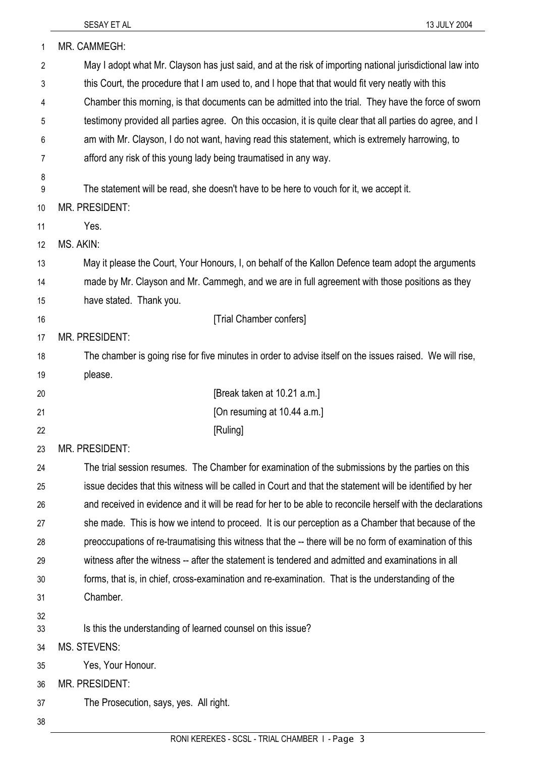| 1              | MR. CAMMEGH:                                                                                                              |  |
|----------------|---------------------------------------------------------------------------------------------------------------------------|--|
| $\overline{2}$ | May I adopt what Mr. Clayson has just said, and at the risk of importing national jurisdictional law into                 |  |
| 3              | this Court, the procedure that I am used to, and I hope that that would fit very neatly with this                         |  |
| 4              | Chamber this morning, is that documents can be admitted into the trial. They have the force of sworn                      |  |
| 5              | testimony provided all parties agree. On this occasion, it is quite clear that all parties do agree, and I                |  |
| 6              | am with Mr. Clayson, I do not want, having read this statement, which is extremely harrowing, to                          |  |
| 7              | afford any risk of this young lady being traumatised in any way.                                                          |  |
| 8              |                                                                                                                           |  |
| 9              | The statement will be read, she doesn't have to be here to vouch for it, we accept it.                                    |  |
| 10             | MR. PRESIDENT:                                                                                                            |  |
| 11             | Yes.<br>MS. AKIN:                                                                                                         |  |
| 12             |                                                                                                                           |  |
| 13<br>14       | May it please the Court, Your Honours, I, on behalf of the Kallon Defence team adopt the arguments                        |  |
| 15             | made by Mr. Clayson and Mr. Cammegh, and we are in full agreement with those positions as they<br>have stated. Thank you. |  |
| 16             | [Trial Chamber confers]                                                                                                   |  |
| 17             | <b>MR. PRESIDENT:</b>                                                                                                     |  |
| 18             | The chamber is going rise for five minutes in order to advise itself on the issues raised. We will rise,                  |  |
| 19             | please.                                                                                                                   |  |
| 20             | [Break taken at 10.21 a.m.]                                                                                               |  |
| 21             | [On resuming at 10.44 a.m.]                                                                                               |  |
| 22             | [Ruling]                                                                                                                  |  |
| 23             | MR. PRESIDENT:                                                                                                            |  |
| 24             | The trial session resumes. The Chamber for examination of the submissions by the parties on this                          |  |
| 25             | issue decides that this witness will be called in Court and that the statement will be identified by her                  |  |
| 26             | and received in evidence and it will be read for her to be able to reconcile herself with the declarations                |  |
| 27             | she made. This is how we intend to proceed. It is our perception as a Chamber that because of the                         |  |
| 28             | preoccupations of re-traumatising this witness that the -- there will be no form of examination of this                   |  |
| 29             | witness after the witness -- after the statement is tendered and admitted and examinations in all                         |  |
| 30             | forms, that is, in chief, cross-examination and re-examination. That is the understanding of the                          |  |
| 31             | Chamber.                                                                                                                  |  |
| 32             |                                                                                                                           |  |
| 33             | Is this the understanding of learned counsel on this issue?                                                               |  |
| 34             | <b>MS. STEVENS:</b>                                                                                                       |  |
| 35             | Yes, Your Honour.<br>MR. PRESIDENT:                                                                                       |  |
| 36<br>37       | The Prosecution, says, yes. All right.                                                                                    |  |
| 38             |                                                                                                                           |  |
|                |                                                                                                                           |  |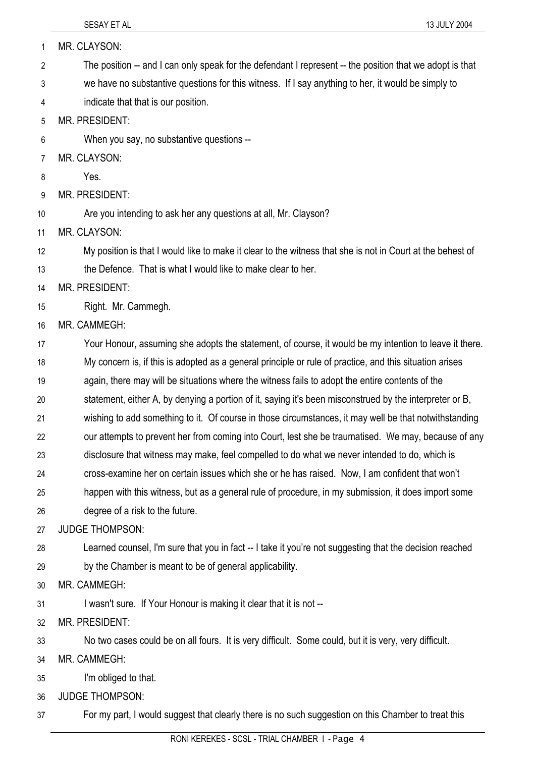37

| 1  | MR. CLAYSON:                                                                                               |  |
|----|------------------------------------------------------------------------------------------------------------|--|
| 2  | The position -- and I can only speak for the defendant I represent -- the position that we adopt is that   |  |
| 3  | we have no substantive questions for this witness. If I say anything to her, it would be simply to         |  |
| 4  | indicate that that is our position.                                                                        |  |
| 5  | <b>MR. PRESIDENT:</b>                                                                                      |  |
| 6  | When you say, no substantive questions --                                                                  |  |
| 7  | MR. CLAYSON:                                                                                               |  |
| 8  | Yes.                                                                                                       |  |
| 9  | <b>MR. PRESIDENT:</b>                                                                                      |  |
| 10 | Are you intending to ask her any questions at all, Mr. Clayson?                                            |  |
| 11 | MR. CLAYSON:                                                                                               |  |
| 12 | My position is that I would like to make it clear to the witness that she is not in Court at the behest of |  |
| 13 | the Defence. That is what I would like to make clear to her.                                               |  |
| 14 | <b>MR. PRESIDENT:</b>                                                                                      |  |
| 15 | Right. Mr. Cammegh.                                                                                        |  |
| 16 | MR. CAMMEGH:                                                                                               |  |
| 17 | Your Honour, assuming she adopts the statement, of course, it would be my intention to leave it there.     |  |
| 18 | My concern is, if this is adopted as a general principle or rule of practice, and this situation arises    |  |
| 19 | again, there may will be situations where the witness fails to adopt the entire contents of the            |  |
| 20 | statement, either A, by denying a portion of it, saying it's been misconstrued by the interpreter or B,    |  |
| 21 | wishing to add something to it. Of course in those circumstances, it may well be that notwithstanding      |  |
| 22 | our attempts to prevent her from coming into Court, lest she be traumatised. We may, because of any        |  |
| 23 | disclosure that witness may make, feel compelled to do what we never intended to do, which is              |  |
| 24 | cross-examine her on certain issues which she or he has raised. Now, I am confident that won't             |  |
| 25 | happen with this witness, but as a general rule of procedure, in my submission, it does import some        |  |
| 26 | degree of a risk to the future.                                                                            |  |
| 27 | <b>JUDGE THOMPSON:</b>                                                                                     |  |
| 28 | Learned counsel, I'm sure that you in fact -- I take it you're not suggesting that the decision reached    |  |
| 29 | by the Chamber is meant to be of general applicability.                                                    |  |
| 30 | MR. CAMMEGH:                                                                                               |  |
| 31 | I wasn't sure. If Your Honour is making it clear that it is not --                                         |  |
| 32 | MR. PRESIDENT:                                                                                             |  |
| 33 | No two cases could be on all fours. It is very difficult. Some could, but it is very, very difficult.      |  |
| 34 | MR. CAMMEGH:                                                                                               |  |
| 35 | I'm obliged to that.                                                                                       |  |
| 36 | <b>JUDGE THOMPSON:</b>                                                                                     |  |

RONI KEREKES - SCSL - TRIAL CHAMBER I - Page 4

For my part, I would suggest that clearly there is no such suggestion on this Chamber to treat this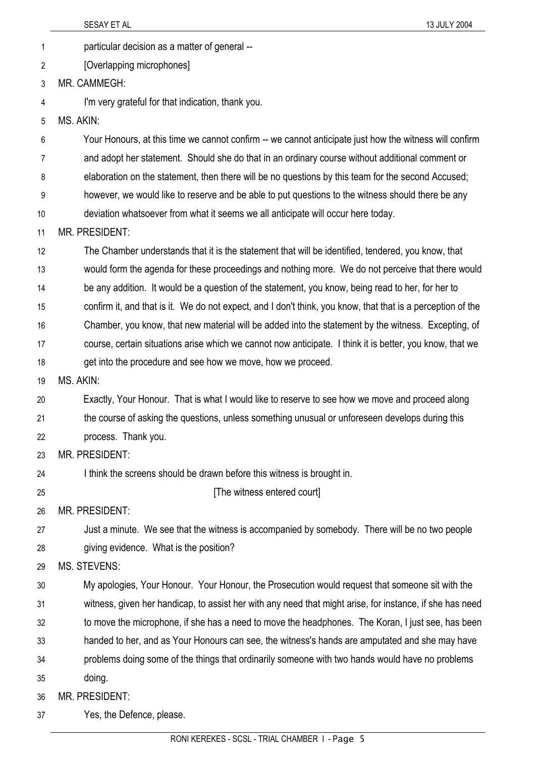|                | SESAY ET AL<br>13 JULY 2004                                                                                 |
|----------------|-------------------------------------------------------------------------------------------------------------|
| $\mathbf{1}$   | particular decision as a matter of general --                                                               |
| $\overline{2}$ | [Overlapping microphones]                                                                                   |
| 3              | MR. CAMMEGH:                                                                                                |
| 4              | I'm very grateful for that indication, thank you.                                                           |
| 5              | MS. AKIN:                                                                                                   |
| 6              | Your Honours, at this time we cannot confirm -- we cannot anticipate just how the witness will confirm      |
| 7              | and adopt her statement. Should she do that in an ordinary course without additional comment or             |
| 8              | elaboration on the statement, then there will be no questions by this team for the second Accused;          |
| 9              | however, we would like to reserve and be able to put questions to the witness should there be any           |
| 10             | deviation whatsoever from what it seems we all anticipate will occur here today.                            |
| 11             | <b>MR. PRESIDENT:</b>                                                                                       |
| 12             | The Chamber understands that it is the statement that will be identified, tendered, you know, that          |
| 13             | would form the agenda for these proceedings and nothing more. We do not perceive that there would           |
| 14             | be any addition. It would be a question of the statement, you know, being read to her, for her to           |
| 15             | confirm it, and that is it. We do not expect, and I don't think, you know, that that is a perception of the |
| 16             | Chamber, you know, that new material will be added into the statement by the witness. Excepting, of         |
| 17             | course, certain situations arise which we cannot now anticipate. I think it is better, you know, that we    |
| 18             | get into the procedure and see how we move, how we proceed.                                                 |
| 19             | MS. AKIN:                                                                                                   |
| 20             | Exactly, Your Honour. That is what I would like to reserve to see how we move and proceed along             |
| 21             | the course of asking the questions, unless something unusual or unforeseen develops during this             |
| 22             | process. Thank you.                                                                                         |
| 23             | <b>MR. PRESIDENT:</b>                                                                                       |
| 24             | I think the screens should be drawn before this witness is brought in.                                      |
| 25             | [The witness entered court]                                                                                 |
| 26             | <b>MR. PRESIDENT:</b>                                                                                       |
| 27             | Just a minute. We see that the witness is accompanied by somebody. There will be no two people              |
| 28             | giving evidence. What is the position?                                                                      |
| 29             | MS. STEVENS:                                                                                                |
| 30             | My apologies, Your Honour. Your Honour, the Prosecution would request that someone sit with the             |
| 31             | witness, given her handicap, to assist her with any need that might arise, for instance, if she has need    |
| 32             | to move the microphone, if she has a need to move the headphones. The Koran, I just see, has been           |
| 33             | handed to her, and as Your Honours can see, the witness's hands are amputated and she may have              |
| 34             | problems doing some of the things that ordinarily someone with two hands would have no problems             |
| 35             | doing.                                                                                                      |
| 36             | <b>MR. PRESIDENT:</b>                                                                                       |
| 37             | Yes, the Defence, please.                                                                                   |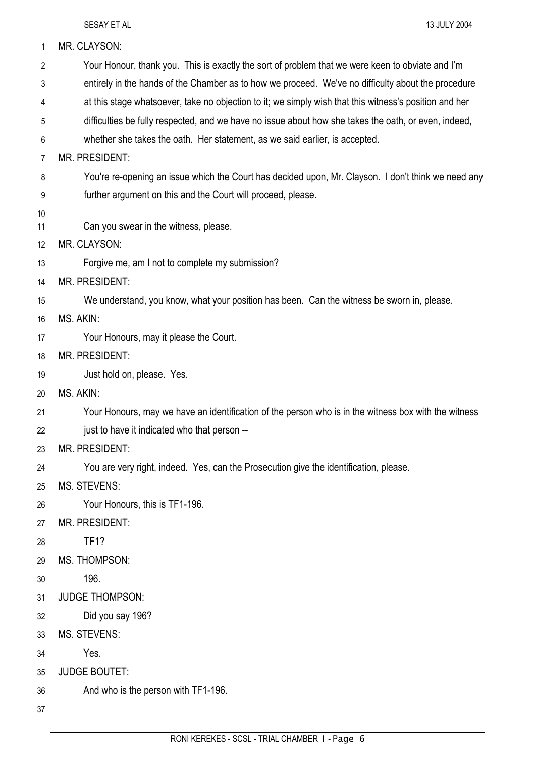| 1        | MR. CLAYSON:                                                                                           |  |
|----------|--------------------------------------------------------------------------------------------------------|--|
| 2        | Your Honour, thank you. This is exactly the sort of problem that we were keen to obviate and I'm       |  |
| 3        | entirely in the hands of the Chamber as to how we proceed. We've no difficulty about the procedure     |  |
| 4        | at this stage whatsoever, take no objection to it; we simply wish that this witness's position and her |  |
| 5        | difficulties be fully respected, and we have no issue about how she takes the oath, or even, indeed,   |  |
| 6        | whether she takes the oath. Her statement, as we said earlier, is accepted.                            |  |
| 7        | MR. PRESIDENT:                                                                                         |  |
| 8        | You're re-opening an issue which the Court has decided upon, Mr. Clayson. I don't think we need any    |  |
| 9        | further argument on this and the Court will proceed, please.                                           |  |
| 10       |                                                                                                        |  |
| 11       | Can you swear in the witness, please.                                                                  |  |
| 12       | MR. CLAYSON:                                                                                           |  |
| 13       | Forgive me, am I not to complete my submission?                                                        |  |
| 14       | <b>MR. PRESIDENT:</b>                                                                                  |  |
| 15       | We understand, you know, what your position has been. Can the witness be sworn in, please.             |  |
| 16       | MS. AKIN:                                                                                              |  |
| 17<br>18 | Your Honours, may it please the Court.<br><b>MR. PRESIDENT:</b>                                        |  |
| 19       | Just hold on, please. Yes.                                                                             |  |
| 20       | MS. AKIN:                                                                                              |  |
| 21       | Your Honours, may we have an identification of the person who is in the witness box with the witness   |  |
| 22       | just to have it indicated who that person --                                                           |  |
| 23       | MR. PRESIDENT:                                                                                         |  |
| 24       | You are very right, indeed. Yes, can the Prosecution give the identification, please.                  |  |
| 25       | <b>MS. STEVENS:</b>                                                                                    |  |
| 26       | Your Honours, this is TF1-196.                                                                         |  |
| 27       | MR. PRESIDENT:                                                                                         |  |
| 28       | <b>TF1?</b>                                                                                            |  |
| 29       | MS. THOMPSON:                                                                                          |  |
| 30       | 196.                                                                                                   |  |
| 31       | <b>JUDGE THOMPSON:</b>                                                                                 |  |
| 32       | Did you say 196?                                                                                       |  |
| 33       | <b>MS. STEVENS:</b>                                                                                    |  |
| 34       | Yes.                                                                                                   |  |
| 35       | <b>JUDGE BOUTET:</b>                                                                                   |  |
| 36       | And who is the person with TF1-196.                                                                    |  |
| 37       |                                                                                                        |  |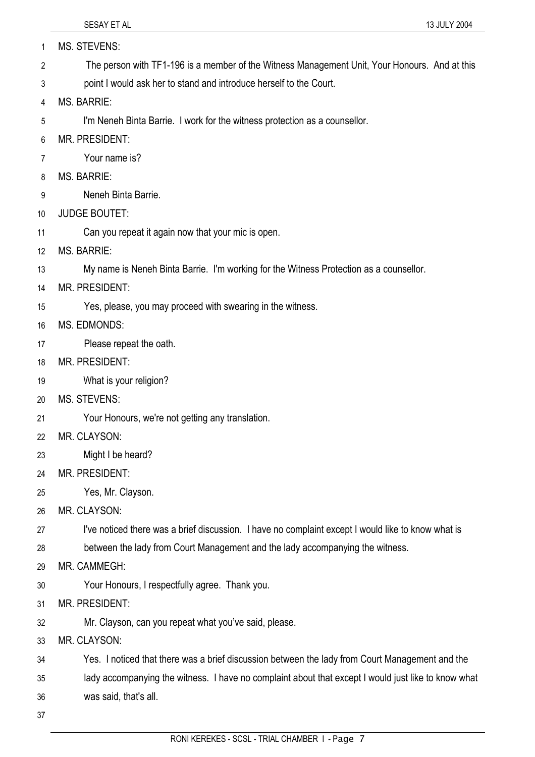| 1  | <b>MS. STEVENS:</b>                                                                                 |
|----|-----------------------------------------------------------------------------------------------------|
| 2  | The person with TF1-196 is a member of the Witness Management Unit, Your Honours. And at this       |
| 3  | point I would ask her to stand and introduce herself to the Court.                                  |
| 4  | <b>MS. BARRIE:</b>                                                                                  |
| 5  | I'm Neneh Binta Barrie. I work for the witness protection as a counsellor.                          |
| 6  | <b>MR. PRESIDENT:</b>                                                                               |
| 7  | Your name is?                                                                                       |
| 8  | <b>MS. BARRIE:</b>                                                                                  |
| 9  | Neneh Binta Barrie.                                                                                 |
| 10 | <b>JUDGE BOUTET:</b>                                                                                |
| 11 | Can you repeat it again now that your mic is open.                                                  |
| 12 | <b>MS. BARRIE:</b>                                                                                  |
| 13 | My name is Neneh Binta Barrie. I'm working for the Witness Protection as a counsellor.              |
| 14 | <b>MR. PRESIDENT:</b>                                                                               |
| 15 | Yes, please, you may proceed with swearing in the witness.                                          |
| 16 | <b>MS. EDMONDS:</b>                                                                                 |
| 17 | Please repeat the oath.                                                                             |
| 18 | <b>MR. PRESIDENT:</b>                                                                               |
| 19 | What is your religion?                                                                              |
| 20 | <b>MS. STEVENS:</b>                                                                                 |
| 21 | Your Honours, we're not getting any translation.                                                    |
| 22 | MR. CLAYSON:                                                                                        |
| 23 | Might I be heard?                                                                                   |
| 24 | <b>MR. PRESIDENT:</b>                                                                               |
| 25 | Yes, Mr. Clayson.                                                                                   |
| 26 | MR. CLAYSON:                                                                                        |
| 27 | I've noticed there was a brief discussion. I have no complaint except I would like to know what is  |
| 28 | between the lady from Court Management and the lady accompanying the witness.                       |
| 29 | MR. CAMMEGH:                                                                                        |
| 30 | Your Honours, I respectfully agree. Thank you.                                                      |
| 31 | <b>MR. PRESIDENT:</b>                                                                               |
| 32 | Mr. Clayson, can you repeat what you've said, please.                                               |
| 33 | MR. CLAYSON:                                                                                        |
| 34 | Yes. I noticed that there was a brief discussion between the lady from Court Management and the     |
| 35 | lady accompanying the witness. I have no complaint about that except I would just like to know what |
| 36 | was said, that's all.                                                                               |
| 37 |                                                                                                     |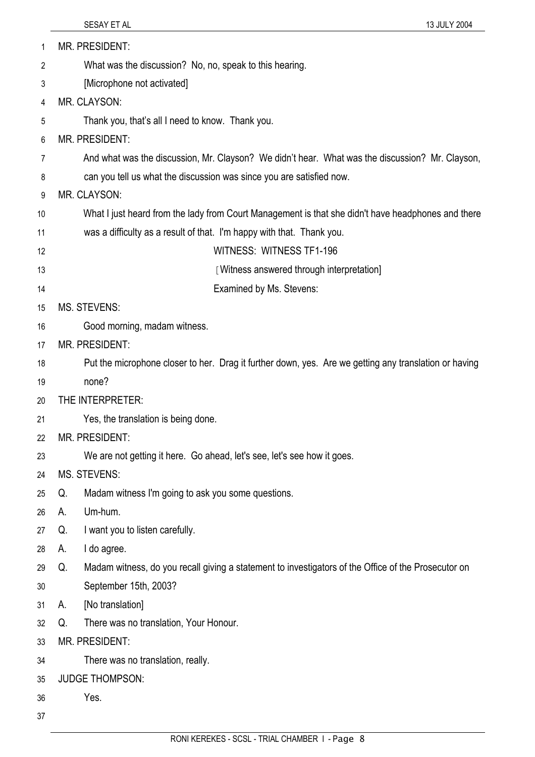| 1  |                                           | MR. PRESIDENT:                                                                                        |
|----|-------------------------------------------|-------------------------------------------------------------------------------------------------------|
| 2  |                                           | What was the discussion? No, no, speak to this hearing.                                               |
| 3  | [Microphone not activated]                |                                                                                                       |
| 4  |                                           | MR. CLAYSON:                                                                                          |
| 5  |                                           | Thank you, that's all I need to know. Thank you.                                                      |
| 6  |                                           | <b>MR. PRESIDENT:</b>                                                                                 |
| 7  |                                           | And what was the discussion, Mr. Clayson? We didn't hear. What was the discussion? Mr. Clayson,       |
| 8  |                                           | can you tell us what the discussion was since you are satisfied now.                                  |
| 9  |                                           | MR. CLAYSON:                                                                                          |
| 10 |                                           | What I just heard from the lady from Court Management is that she didn't have headphones and there    |
| 11 |                                           | was a difficulty as a result of that. I'm happy with that. Thank you.                                 |
| 12 |                                           | WITNESS: WITNESS TF1-196                                                                              |
| 13 | [Witness answered through interpretation] |                                                                                                       |
| 14 |                                           | Examined by Ms. Stevens:                                                                              |
| 15 | <b>MS. STEVENS:</b>                       |                                                                                                       |
| 16 |                                           | Good morning, madam witness.                                                                          |
| 17 | <b>MR. PRESIDENT:</b>                     |                                                                                                       |
| 18 |                                           | Put the microphone closer to her. Drag it further down, yes. Are we getting any translation or having |
| 19 |                                           | none?                                                                                                 |
| 20 | THE INTERPRETER:                          |                                                                                                       |
| 21 |                                           | Yes, the translation is being done.                                                                   |
| 22 |                                           | MR. PRESIDENT:                                                                                        |
| 23 |                                           | We are not getting it here. Go ahead, let's see, let's see how it goes.                               |
| 24 |                                           | MS. STEVENS:                                                                                          |
| 25 | Q.                                        | Madam witness I'm going to ask you some questions.                                                    |
| 26 | А.                                        | Um-hum.                                                                                               |
| 27 | Q.                                        | I want you to listen carefully.                                                                       |
| 28 | А.                                        | I do agree.                                                                                           |
| 29 | Q.                                        | Madam witness, do you recall giving a statement to investigators of the Office of the Prosecutor on   |
| 30 |                                           | September 15th, 2003?                                                                                 |
| 31 | А.                                        | [No translation]                                                                                      |
| 32 | Q.                                        | There was no translation, Your Honour.                                                                |
| 33 | MR. PRESIDENT:                            |                                                                                                       |
| 34 |                                           | There was no translation, really.                                                                     |
| 35 | <b>JUDGE THOMPSON:</b>                    |                                                                                                       |
| 36 |                                           | Yes.                                                                                                  |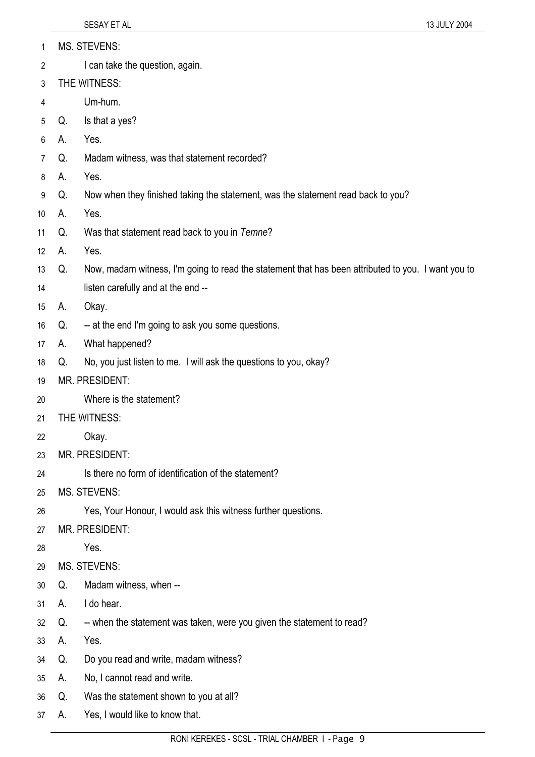| <b>MS. STEVENS:</b> |
|---------------------|
|                     |

- 2 I can take the question, again.
- 3 THE WITNESS:
- 4 Um-hum.
- 5 Q. Is that a yes?
- 6 A. Yes.
- 7 Q. Madam witness, was that statement recorded?
- 8 A. Yes.
- 9 Q. Now when they finished taking the statement, was the statement read back to you?
- 10 A. Yes.
- 11 Q. Was that statement read back to you in *Temne*?
- 12 A. Yes.
- 13 Q. Now, madam witness, I'm going to read the statement that has been attributed to you. I want you to
- 14 listen carefully and at the end --
- 15 A. Okay.
- 16 Q. -- at the end I'm going to ask you some questions.
- 17 A. What happened?
- 18 Q. No, you just listen to me. I will ask the questions to you, okay?
- 19 MR. PRESIDENT:
- 20 Where is the statement?
- 21 THE WITNESS:
- 22 Okay.
- 23 MR. PRESIDENT:
- 24 Is there no form of identification of the statement?
- 25 MS. STEVENS:
- 26 Yes, Your Honour, I would ask this witness further questions.
- 27 MR. PRESIDENT:
- 28 Yes.
- 29 MS. STEVENS:
- 30 Q. Madam witness, when --
- 31 A. I do hear.
- 32 Q. -- when the statement was taken, were you given the statement to read?
- 33 A. Yes.
- 34 Q. Do you read and write, madam witness?
- 35 A. No, I cannot read and write.
- 36 Q. Was the statement shown to you at all?
- 37 A. Yes, I would like to know that.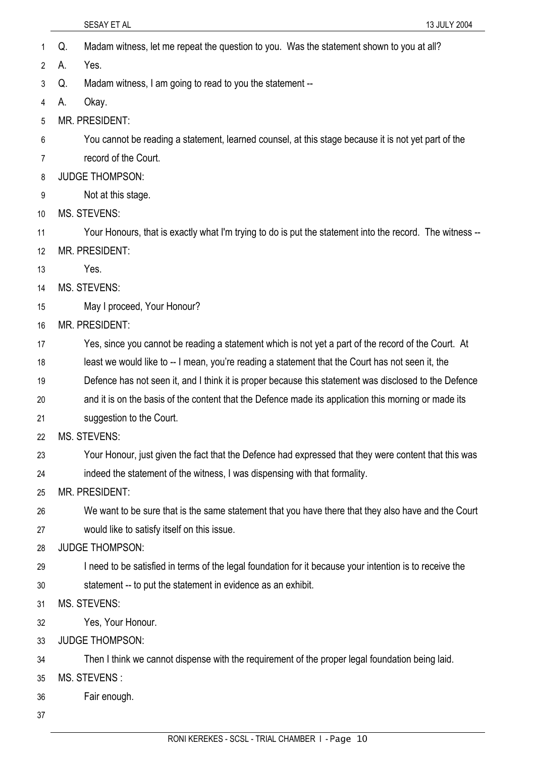- SESAY ET AL 13 JULY 2004 1 Q. Madam witness, let me repeat the question to you. Was the statement shown to you at all? 2 3 4 5 6 7 8 9 10 11 12 13 14 15 16 17 18 19 20 21 22 23 24 25 26 27 28 29 30 31 32 33 34 A. Yes. Q. Madam witness, I am going to read to you the statement -- A. Okay. MR. PRESIDENT: You cannot be reading a statement, learned counsel, at this stage because it is not yet part of the record of the Court. JUDGE THOMPSON: Not at this stage. MS. STEVENS: Your Honours, that is exactly what I'm trying to do is put the statement into the record. The witness -- MR. PRESIDENT: Yes. MS. STEVENS: May I proceed, Your Honour? MR. PRESIDENT: Yes, since you cannot be reading a statement which is not yet a part of the record of the Court. At least we would like to -- I mean, you're reading a statement that the Court has not seen it, the Defence has not seen it, and I think it is proper because this statement was disclosed to the Defence and it is on the basis of the content that the Defence made its application this morning or made its suggestion to the Court. MS. STEVENS: Your Honour, just given the fact that the Defence had expressed that they were content that this was indeed the statement of the witness, I was dispensing with that formality. MR. PRESIDENT: We want to be sure that is the same statement that you have there that they also have and the Court would like to satisfy itself on this issue. JUDGE THOMPSON: I need to be satisfied in terms of the legal foundation for it because your intention is to receive the statement -- to put the statement in evidence as an exhibit. MS. STEVENS: Yes, Your Honour. JUDGE THOMPSON: Then I think we cannot dispense with the requirement of the proper legal foundation being laid.
- 35 MS. STEVENS :
- 36 Fair enough.
- 37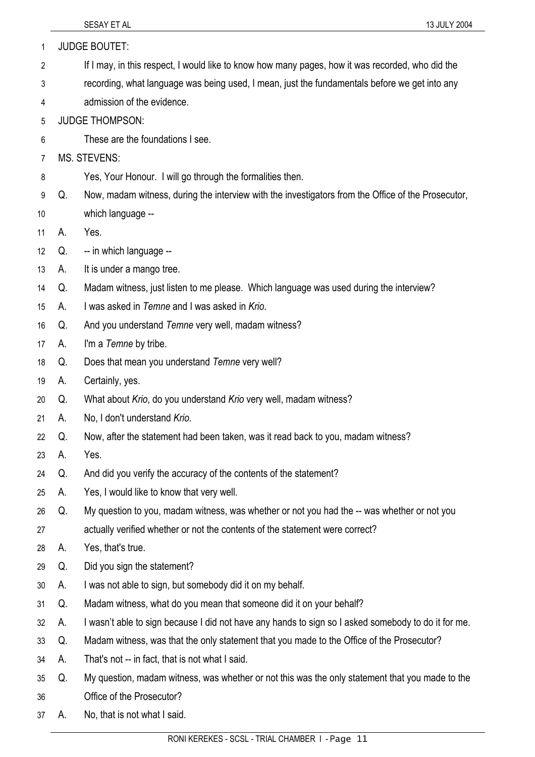| 1  |    | <b>JUDGE BOUTET:</b>                                                                                |
|----|----|-----------------------------------------------------------------------------------------------------|
| 2  |    | If I may, in this respect, I would like to know how many pages, how it was recorded, who did the    |
| 3  |    | recording, what language was being used, I mean, just the fundamentals before we get into any       |
| 4  |    | admission of the evidence.                                                                          |
| 5  |    | <b>JUDGE THOMPSON:</b>                                                                              |
| 6  |    | These are the foundations I see.                                                                    |
| 7  |    | <b>MS. STEVENS:</b>                                                                                 |
| 8  |    | Yes, Your Honour. I will go through the formalities then.                                           |
| 9  | Q. | Now, madam witness, during the interview with the investigators from the Office of the Prosecutor,  |
| 10 |    | which language --                                                                                   |
| 11 | А. | Yes.                                                                                                |
| 12 | Q. | -- in which language --                                                                             |
| 13 | А. | It is under a mango tree.                                                                           |
| 14 | Q. | Madam witness, just listen to me please. Which language was used during the interview?              |
| 15 | А. | I was asked in Temne and I was asked in Krio.                                                       |
| 16 | Q. | And you understand Temne very well, madam witness?                                                  |
| 17 | А. | I'm a Temne by tribe.                                                                               |
| 18 | Q. | Does that mean you understand Temne very well?                                                      |
| 19 | А. | Certainly, yes.                                                                                     |
| 20 | Q. | What about Krio, do you understand Krio very well, madam witness?                                   |
| 21 | А. | No, I don't understand Krio.                                                                        |
| 22 | Q. | Now, after the statement had been taken, was it read back to you, madam witness?                    |
| 23 | А. | Yes.                                                                                                |
| 24 | Q. | And did you verify the accuracy of the contents of the statement?                                   |
| 25 | А. | Yes, I would like to know that very well.                                                           |
| 26 | Q. | My question to you, madam witness, was whether or not you had the -- was whether or not you         |
| 27 |    | actually verified whether or not the contents of the statement were correct?                        |
| 28 | А. | Yes, that's true.                                                                                   |
| 29 | Q. | Did you sign the statement?                                                                         |
| 30 | А. | I was not able to sign, but somebody did it on my behalf.                                           |
| 31 | Q. | Madam witness, what do you mean that someone did it on your behalf?                                 |
| 32 | А. | I wasn't able to sign because I did not have any hands to sign so I asked somebody to do it for me. |
| 33 | Q. | Madam witness, was that the only statement that you made to the Office of the Prosecutor?           |
| 34 | А. | That's not -- in fact, that is not what I said.                                                     |
| 35 | Q. | My question, madam witness, was whether or not this was the only statement that you made to the     |
| 36 |    | Office of the Prosecutor?                                                                           |
| 37 | A. | No, that is not what I said.                                                                        |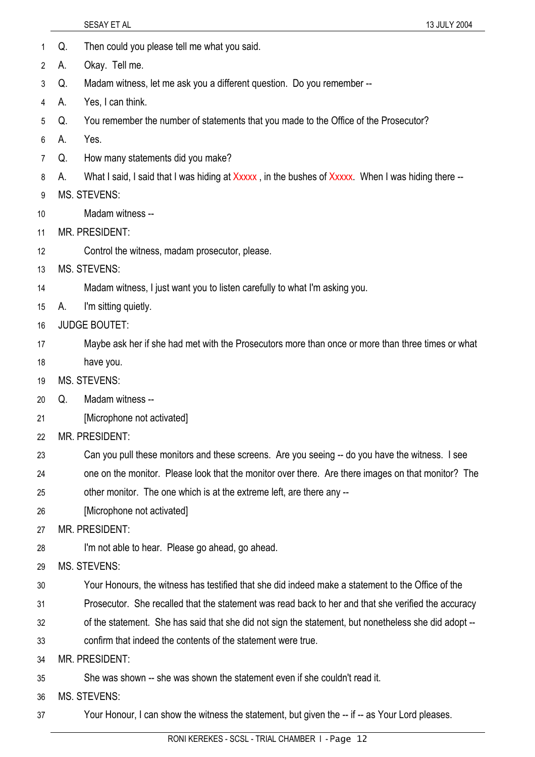- 1 Q. Then could you please tell me what you said.
- 2 A. Okay. Tell me.
- 3 Q. Madam witness, let me ask you a different question. Do you remember --
- 4 A. Yes, I can think.
- 5 Q. You remember the number of statements that you made to the Office of the Prosecutor?
- 6 A. Yes.
- 7 Q. How many statements did you make?
- 8 A. What I said, I said that I was hiding at Xxxxx, in the bushes of Xxxxx. When I was hiding there --
- 9 MS. STEVENS:
- 10 Madam witness --
- 11 MR. PRESIDENT:
- 12 Control the witness, madam prosecutor, please.
- 13 MS. STEVENS:
- 14 Madam witness, I just want you to listen carefully to what I'm asking you.
- 15 A. I'm sitting quietly.
- 16 JUDGE BOUTET:
- 17 Maybe ask her if she had met with the Prosecutors more than once or more than three times or what
- 18 have you.
- 19 MS. STEVENS:
- 20 Q. Madam witness --
- 21 [Microphone not activated]
- 22 MR. PRESIDENT:
- 23 Can you pull these monitors and these screens. Are you seeing -- do you have the witness. I see
- 24 one on the monitor. Please look that the monitor over there. Are there images on that monitor? The
- 25 other monitor. The one which is at the extreme left, are there any --
- 26 [Microphone not activated]

27 MR. PRESIDENT:

- 28 I'm not able to hear. Please go ahead, go ahead.
- 29 MS. STEVENS:
- 30 Your Honours, the witness has testified that she did indeed make a statement to the Office of the
- 31 Prosecutor. She recalled that the statement was read back to her and that she verified the accuracy
- 32 of the statement. She has said that she did not sign the statement, but nonetheless she did adopt --
- 33 confirm that indeed the contents of the statement were true.
- 34 MR. PRESIDENT:
- 35 She was shown -- she was shown the statement even if she couldn't read it.
- 36 MS. STEVENS:
- 37 Your Honour, I can show the witness the statement, but given the -- if -- as Your Lord pleases.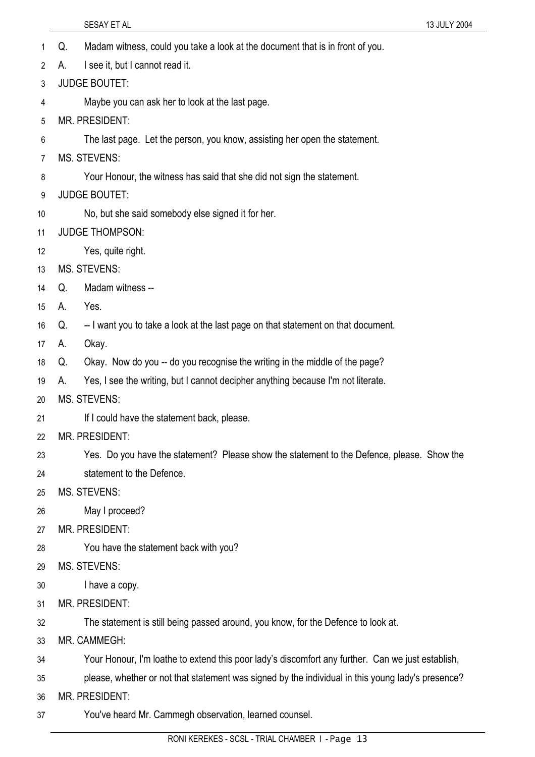- 1 Q. Madam witness, could you take a look at the document that is in front of you.
- 2 A. I see it, but I cannot read it.
- 3 JUDGE BOUTET:
- 4 Maybe you can ask her to look at the last page.
- 5 MR. PRESIDENT:
- 6 The last page. Let the person, you know, assisting her open the statement.
- 7 MS. STEVENS:
- 8 Your Honour, the witness has said that she did not sign the statement.
- 9 JUDGE BOUTET:
- 10 No, but she said somebody else signed it for her.
- 11 JUDGE THOMPSON:
- 12 Yes, quite right.
- 13 MS. STEVENS:
- 14 Q. Madam witness --
- 15 A. Yes.
- 16 Q. -- I want you to take a look at the last page on that statement on that document.
- 17 A. Okay.
- 18 Q. Okay. Now do you -- do you recognise the writing in the middle of the page?
- 19 A. Yes, I see the writing, but I cannot decipher anything because I'm not literate.
- 20 MS. STEVENS:
- 21 If I could have the statement back, please.
- 22 MR. PRESIDENT:
- 23 Yes. Do you have the statement? Please show the statement to the Defence, please. Show the
- 24 statement to the Defence.
- 25 MS. STEVENS:
- 26 May I proceed?
- 27 MR. PRESIDENT:
- 28 You have the statement back with you?
- 29 MS. STEVENS:
- 30 I have a copy.
- 31 MR. PRESIDENT:
- 32 The statement is still being passed around, you know, for the Defence to look at.
- 33 MR. CAMMEGH:
- 34 Your Honour, I'm loathe to extend this poor lady's discomfort any further. Can we just establish,
- 35 please, whether or not that statement was signed by the individual in this young lady's presence?
- 36 MR. PRESIDENT:
- 37 You've heard Mr. Cammegh observation, learned counsel.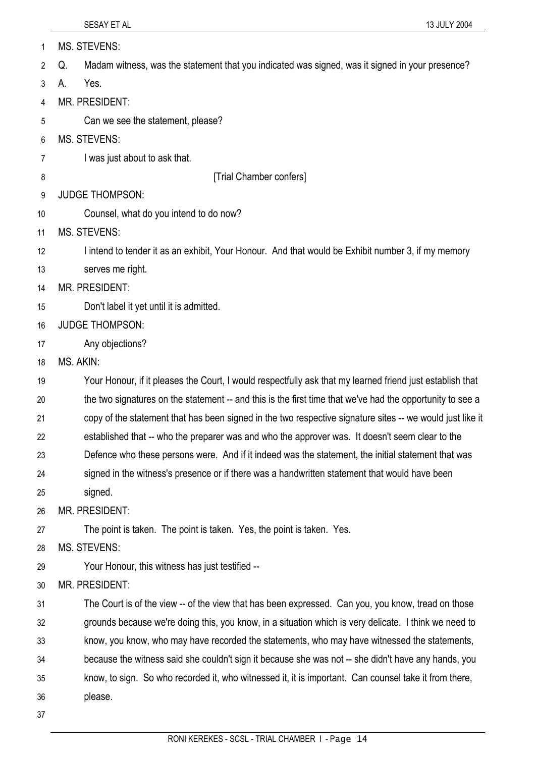| 1  | <b>MS. STEVENS:</b>                                                                                       |
|----|-----------------------------------------------------------------------------------------------------------|
| 2  | Madam witness, was the statement that you indicated was signed, was it signed in your presence?<br>Q.     |
| 3  | Yes.<br>А.                                                                                                |
| 4  | MR. PRESIDENT:                                                                                            |
| 5  | Can we see the statement, please?                                                                         |
| 6  | <b>MS. STEVENS:</b>                                                                                       |
| 7  | I was just about to ask that.                                                                             |
| 8  | [Trial Chamber confers]                                                                                   |
| 9  | <b>JUDGE THOMPSON:</b>                                                                                    |
| 10 | Counsel, what do you intend to do now?                                                                    |
| 11 | <b>MS. STEVENS:</b>                                                                                       |
| 12 | I intend to tender it as an exhibit, Your Honour. And that would be Exhibit number 3, if my memory        |
| 13 | serves me right.                                                                                          |
| 14 | MR. PRESIDENT:                                                                                            |
| 15 | Don't label it yet until it is admitted.                                                                  |
| 16 | <b>JUDGE THOMPSON:</b>                                                                                    |
| 17 | Any objections?                                                                                           |
| 18 | MS. AKIN:                                                                                                 |
| 19 | Your Honour, if it pleases the Court, I would respectfully ask that my learned friend just establish that |
| 20 | the two signatures on the statement -- and this is the first time that we've had the opportunity to see a |
| 21 | copy of the statement that has been signed in the two respective signature sites -- we would just like it |
| 22 | established that -- who the preparer was and who the approver was. It doesn't seem clear to the           |
| 23 | Defence who these persons were. And if it indeed was the statement, the initial statement that was        |
| 24 | signed in the witness's presence or if there was a handwritten statement that would have been             |
| 25 | signed.                                                                                                   |
| 26 | MR. PRESIDENT:                                                                                            |
| 27 | The point is taken. The point is taken. Yes, the point is taken. Yes.                                     |
| 28 | <b>MS. STEVENS:</b>                                                                                       |
| 29 | Your Honour, this witness has just testified --                                                           |
| 30 | MR. PRESIDENT:                                                                                            |
| 31 | The Court is of the view -- of the view that has been expressed. Can you, you know, tread on those        |
| 32 | grounds because we're doing this, you know, in a situation which is very delicate. I think we need to     |
| 33 | know, you know, who may have recorded the statements, who may have witnessed the statements,              |
| 34 | because the witness said she couldn't sign it because she was not -- she didn't have any hands, you       |
| 35 | know, to sign. So who recorded it, who witnessed it, it is important. Can counsel take it from there,     |
| 36 | please.                                                                                                   |
| 37 |                                                                                                           |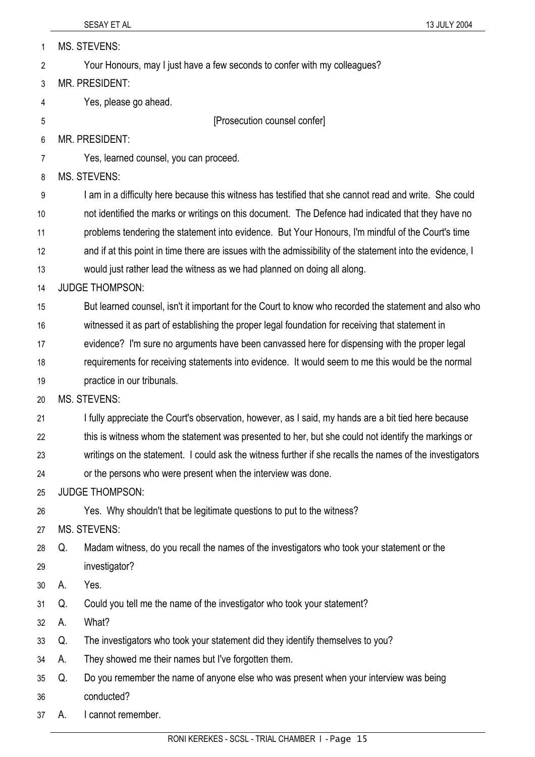| 1  |    | <b>MS. STEVENS:</b>                                                                                        |
|----|----|------------------------------------------------------------------------------------------------------------|
| 2  |    | Your Honours, may I just have a few seconds to confer with my colleagues?                                  |
| 3  |    | MR. PRESIDENT:                                                                                             |
| 4  |    | Yes, please go ahead.                                                                                      |
| 5  |    | [Prosecution counsel confer]                                                                               |
| 6  |    | MR. PRESIDENT:                                                                                             |
| 7  |    | Yes, learned counsel, you can proceed.                                                                     |
| 8  |    | <b>MS. STEVENS:</b>                                                                                        |
| 9  |    | I am in a difficulty here because this witness has testified that she cannot read and write. She could     |
| 10 |    | not identified the marks or writings on this document. The Defence had indicated that they have no         |
| 11 |    | problems tendering the statement into evidence. But Your Honours, I'm mindful of the Court's time          |
| 12 |    | and if at this point in time there are issues with the admissibility of the statement into the evidence, I |
| 13 |    | would just rather lead the witness as we had planned on doing all along.                                   |
| 14 |    | <b>JUDGE THOMPSON:</b>                                                                                     |
| 15 |    | But learned counsel, isn't it important for the Court to know who recorded the statement and also who      |
| 16 |    | witnessed it as part of establishing the proper legal foundation for receiving that statement in           |
| 17 |    | evidence? I'm sure no arguments have been canvassed here for dispensing with the proper legal              |
| 18 |    | requirements for receiving statements into evidence. It would seem to me this would be the normal          |
| 19 |    | practice in our tribunals.                                                                                 |
| 20 |    | <b>MS. STEVENS:</b>                                                                                        |
| 21 |    | I fully appreciate the Court's observation, however, as I said, my hands are a bit tied here because       |
| 22 |    | this is witness whom the statement was presented to her, but she could not identify the markings or        |
| 23 |    | writings on the statement. I could ask the witness further if she recalls the names of the investigators   |
| 24 |    | or the persons who were present when the interview was done.                                               |
| 25 |    | <b>JUDGE THOMPSON:</b>                                                                                     |
| 26 |    | Yes. Why shouldn't that be legitimate questions to put to the witness?                                     |
| 27 |    | <b>MS. STEVENS:</b>                                                                                        |
| 28 | Q. | Madam witness, do you recall the names of the investigators who took your statement or the                 |
| 29 |    | investigator?                                                                                              |
| 30 | А. | Yes.                                                                                                       |
| 31 | Q. | Could you tell me the name of the investigator who took your statement?                                    |
| 32 | А. | What?                                                                                                      |
| 33 | Q. | The investigators who took your statement did they identify themselves to you?                             |
| 34 | А. | They showed me their names but I've forgotten them.                                                        |
| 35 | Q. | Do you remember the name of anyone else who was present when your interview was being                      |
| 36 |    | conducted?                                                                                                 |
| 37 | А. | I cannot remember.                                                                                         |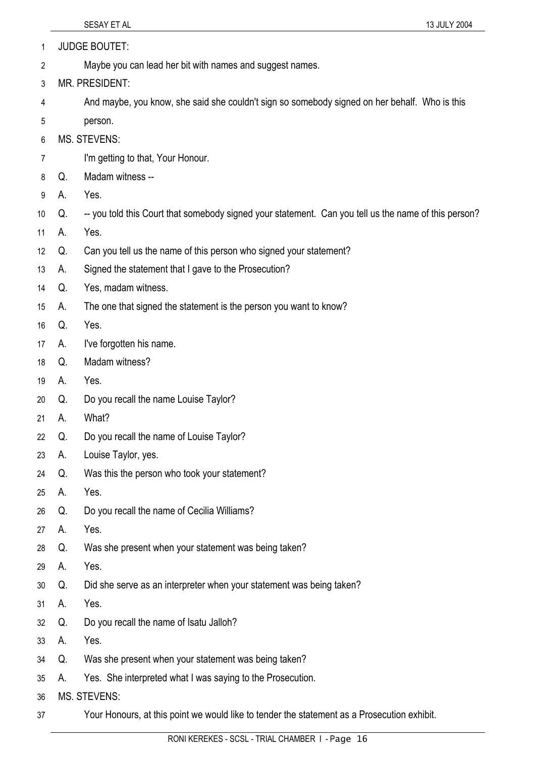|                 |    | SESAY ET AL                                                                                          | 13 JULY 2004 |
|-----------------|----|------------------------------------------------------------------------------------------------------|--------------|
| 1               |    | <b>JUDGE BOUTET:</b>                                                                                 |              |
| $\overline{2}$  |    | Maybe you can lead her bit with names and suggest names.                                             |              |
| 3               |    | MR. PRESIDENT:                                                                                       |              |
| $\overline{4}$  |    | And maybe, you know, she said she couldn't sign so somebody signed on her behalf. Who is this        |              |
| 5               |    | person.                                                                                              |              |
| 6               |    | <b>MS. STEVENS:</b>                                                                                  |              |
| $\overline{7}$  |    | I'm getting to that, Your Honour.                                                                    |              |
| 8               | Q. | Madam witness --                                                                                     |              |
| 9               | А. | Yes.                                                                                                 |              |
| 10              | Q. | -- you told this Court that somebody signed your statement. Can you tell us the name of this person? |              |
| 11              | А. | Yes.                                                                                                 |              |
| 12 <sup>°</sup> | Q. | Can you tell us the name of this person who signed your statement?                                   |              |
| 13              | А. | Signed the statement that I gave to the Prosecution?                                                 |              |
| 14              | Q. | Yes, madam witness.                                                                                  |              |
| 15              | А. | The one that signed the statement is the person you want to know?                                    |              |
| 16              | Q. | Yes.                                                                                                 |              |
| 17              | А. | I've forgotten his name.                                                                             |              |
| 18              | Q. | Madam witness?                                                                                       |              |
| 19              | А. | Yes.                                                                                                 |              |
| 20              | Q. | Do you recall the name Louise Taylor?                                                                |              |
| 21              | А. | What?                                                                                                |              |
| 22              | Q. | Do you recall the name of Louise Taylor?                                                             |              |

- 23 A. Louise Taylor, yes.
- 24 Q. Was this the person who took your statement?
- 25 A. Yes.
- 26 Q. Do you recall the name of Cecilia Williams?
- 27 A. Yes.
- 28 Q. Was she present when your statement was being taken?
- 29 A. Yes.
- 30 Q. Did she serve as an interpreter when your statement was being taken?
- 31 A. Yes.
- 32 Q. Do you recall the name of Isatu Jalloh?
- 33 A. Yes.
- 34 Q. Was she present when your statement was being taken?
- 35 A. Yes. She interpreted what I was saying to the Prosecution.
- 36 MS. STEVENS:
- 37 Your Honours, at this point we would like to tender the statement as a Prosecution exhibit.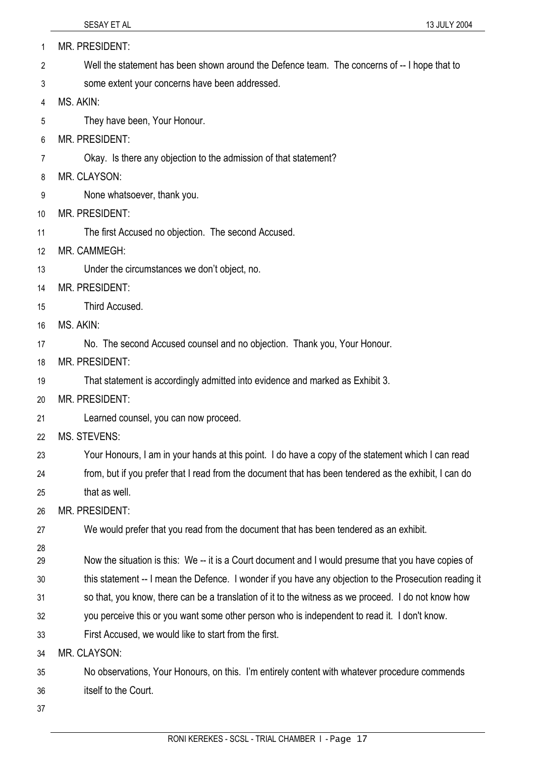| 1  | MR. PRESIDENT:                                                                                         |
|----|--------------------------------------------------------------------------------------------------------|
| 2  | Well the statement has been shown around the Defence team. The concerns of -- I hope that to           |
| 3  | some extent your concerns have been addressed.                                                         |
| 4  | MS. AKIN:                                                                                              |
| 5  | They have been, Your Honour.                                                                           |
| 6  | <b>MR. PRESIDENT:</b>                                                                                  |
| 7  | Okay. Is there any objection to the admission of that statement?                                       |
| 8  | MR. CLAYSON:                                                                                           |
| 9  | None whatsoever, thank you.                                                                            |
| 10 | <b>MR. PRESIDENT:</b>                                                                                  |
| 11 | The first Accused no objection. The second Accused.                                                    |
| 12 | MR. CAMMEGH:                                                                                           |
| 13 | Under the circumstances we don't object, no.                                                           |
| 14 | <b>MR. PRESIDENT:</b>                                                                                  |
| 15 | Third Accused.                                                                                         |
| 16 | MS. AKIN:                                                                                              |
| 17 | No. The second Accused counsel and no objection. Thank you, Your Honour.                               |
| 18 | <b>MR. PRESIDENT:</b>                                                                                  |
| 19 | That statement is accordingly admitted into evidence and marked as Exhibit 3.                          |
| 20 | MR. PRESIDENT:                                                                                         |
| 21 | Learned counsel, you can now proceed.                                                                  |
| 22 | MS. STEVENS:                                                                                           |
| 23 | Your Honours, I am in your hands at this point. I do have a copy of the statement which I can read     |
| 24 | from, but if you prefer that I read from the document that has been tendered as the exhibit, I can do  |
| 25 | that as well.                                                                                          |
| 26 | MR. PRESIDENT:                                                                                         |
| 27 | We would prefer that you read from the document that has been tendered as an exhibit.                  |
| 28 |                                                                                                        |
| 29 | Now the situation is this: We -- it is a Court document and I would presume that you have copies of    |
| 30 | this statement -- I mean the Defence. I wonder if you have any objection to the Prosecution reading it |
| 31 | so that, you know, there can be a translation of it to the witness as we proceed. I do not know how    |
| 32 | you perceive this or you want some other person who is independent to read it. I don't know.           |
| 33 | First Accused, we would like to start from the first.                                                  |
| 34 | MR. CLAYSON:                                                                                           |
| 35 | No observations, Your Honours, on this. I'm entirely content with whatever procedure commends          |
| 36 | itself to the Court.                                                                                   |
| 37 |                                                                                                        |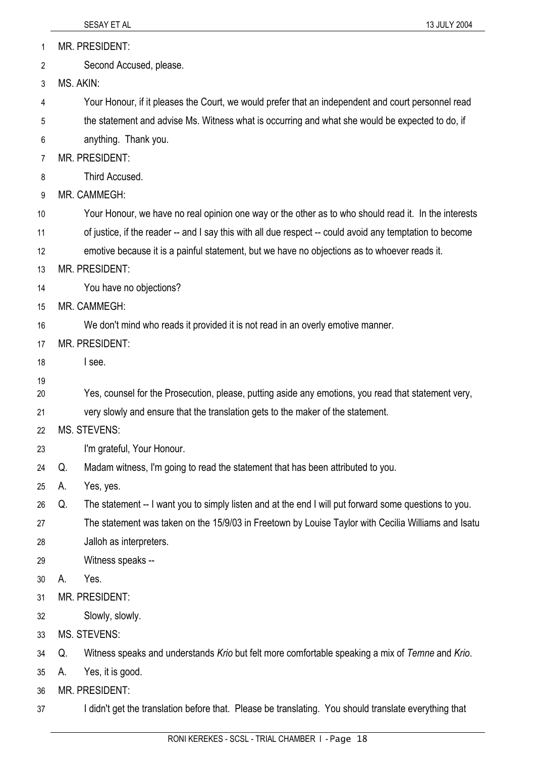|                |           | 13 JULY 2004<br>SESAY ET AL                                                                              |
|----------------|-----------|----------------------------------------------------------------------------------------------------------|
| 1              |           | <b>MR. PRESIDENT:</b>                                                                                    |
| $\overline{2}$ |           | Second Accused, please.                                                                                  |
| 3              | MS. AKIN: |                                                                                                          |
| 4              |           | Your Honour, if it pleases the Court, we would prefer that an independent and court personnel read       |
| 5              |           | the statement and advise Ms. Witness what is occurring and what she would be expected to do, if          |
| 6              |           | anything. Thank you.                                                                                     |
| 7              |           | MR. PRESIDENT:                                                                                           |
| 8              |           | Third Accused.                                                                                           |
| 9              |           | MR. CAMMEGH:                                                                                             |
| 10             |           | Your Honour, we have no real opinion one way or the other as to who should read it. In the interests     |
| 11             |           | of justice, if the reader -- and I say this with all due respect -- could avoid any temptation to become |
| 12             |           | emotive because it is a painful statement, but we have no objections as to whoever reads it.             |
| 13             |           | <b>MR. PRESIDENT:</b>                                                                                    |
| 14             |           | You have no objections?                                                                                  |
| 15             |           | MR. CAMMEGH:                                                                                             |
| 16             |           | We don't mind who reads it provided it is not read in an overly emotive manner.                          |
| 17             |           | <b>MR. PRESIDENT:</b>                                                                                    |
| 18             |           | I see.                                                                                                   |
| 19             |           | Yes, counsel for the Prosecution, please, putting aside any emotions, you read that statement very,      |
| 20<br>21       |           | very slowly and ensure that the translation gets to the maker of the statement.                          |
| 22             |           | <b>MS. STEVENS:</b>                                                                                      |
| 23             |           | I'm grateful, Your Honour.                                                                               |
| 24             | Q.        | Madam witness, I'm going to read the statement that has been attributed to you.                          |
| 25             | А.        | Yes, yes.                                                                                                |
| 26             | Q.        | The statement -- I want you to simply listen and at the end I will put forward some questions to you.    |
| 27             |           | The statement was taken on the 15/9/03 in Freetown by Louise Taylor with Cecilia Williams and Isatu      |
| 28             |           | Jalloh as interpreters.                                                                                  |
| 29             |           | Witness speaks --                                                                                        |
| 30             | А.        | Yes.                                                                                                     |
| 31             |           | MR. PRESIDENT:                                                                                           |
| 32             |           | Slowly, slowly.                                                                                          |
| 33             |           | <b>MS. STEVENS:</b>                                                                                      |
| 34             | Q.        | Witness speaks and understands Krio but felt more comfortable speaking a mix of Temne and Krio.          |
| 35             | А.        | Yes, it is good.                                                                                         |
| 36             |           | MR. PRESIDENT:                                                                                           |
| 37             |           | I didn't get the translation before that. Please be translating. You should translate everything that    |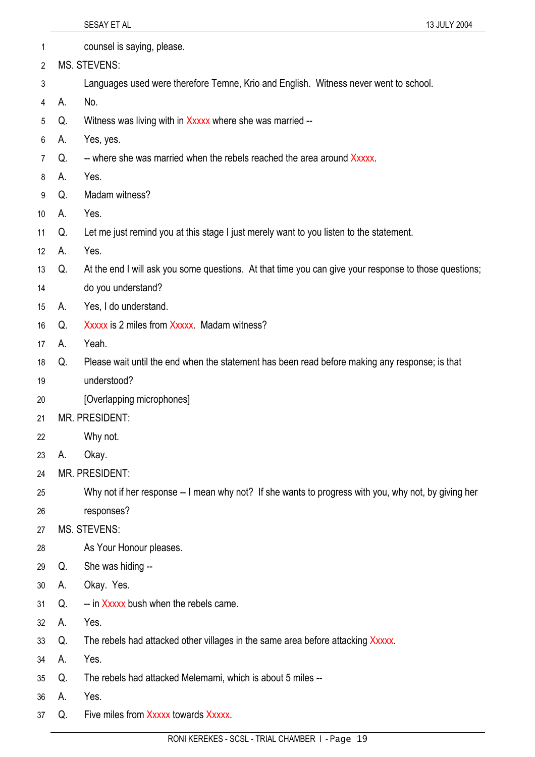| 1               |    | counsel is saying, please.                                                                            |
|-----------------|----|-------------------------------------------------------------------------------------------------------|
| 2               |    | <b>MS. STEVENS:</b>                                                                                   |
| 3               |    | Languages used were therefore Temne, Krio and English. Witness never went to school.                  |
| 4               | А. | No.                                                                                                   |
| 5               | Q. | Witness was living with in Xxxxx where she was married --                                             |
| 6               | А. | Yes, yes.                                                                                             |
| $\overline{7}$  | Q. | -- where she was married when the rebels reached the area around Xxxxx.                               |
| 8               | А. | Yes.                                                                                                  |
| 9               | Q. | Madam witness?                                                                                        |
| 10 <sup>1</sup> | А. | Yes.                                                                                                  |
| 11              | Q. | Let me just remind you at this stage I just merely want to you listen to the statement.               |
| 12 <sup>°</sup> | А. | Yes.                                                                                                  |
| 13              | Q. | At the end I will ask you some questions. At that time you can give your response to those questions; |
| 14              |    | do you understand?                                                                                    |
| 15              | А. | Yes, I do understand.                                                                                 |
| 16              | Q. | Xxxxx is 2 miles from Xxxxx. Madam witness?                                                           |
| 17              | А. | Yeah.                                                                                                 |
| 18              | Q. | Please wait until the end when the statement has been read before making any response; is that        |
| 19              |    | understood?                                                                                           |
| 20              |    | [Overlapping microphones]                                                                             |
| 21              |    | <b>MR. PRESIDENT:</b>                                                                                 |
| 22              |    | Why not.                                                                                              |
| 23              | А. | Okay.                                                                                                 |
| 24              |    | <b>MR. PRESIDENT:</b>                                                                                 |
| 25              |    | Why not if her response -- I mean why not? If she wants to progress with you, why not, by giving her  |
| 26              |    | responses?                                                                                            |
| 27              |    | <b>MS. STEVENS:</b>                                                                                   |
| 28              |    | As Your Honour pleases.                                                                               |
| 29              | Q. | She was hiding --                                                                                     |
| 30              | А. | Okay. Yes.                                                                                            |
| 31              | Q. | -- in Xxxxx bush when the rebels came.                                                                |
| 32              | А. | Yes.                                                                                                  |
| 33              | Q. | The rebels had attacked other villages in the same area before attacking Xxxxx.                       |
| 34              | А. | Yes.                                                                                                  |
| 35              | Q. | The rebels had attacked Melemami, which is about 5 miles --                                           |
| 36              | А. | Yes.                                                                                                  |
| 37              | Q. | Five miles from Xxxxx towards Xxxxx.                                                                  |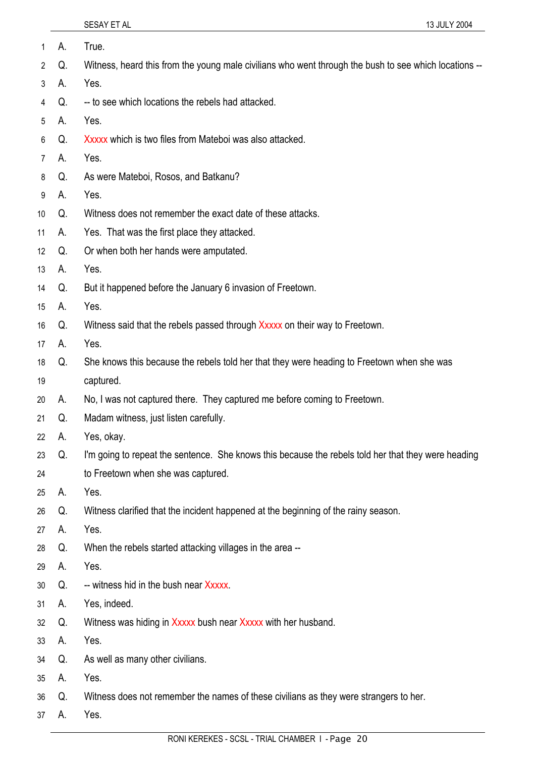| 1               | А. | True.                                                                                                 |
|-----------------|----|-------------------------------------------------------------------------------------------------------|
| 2               | Q. | Witness, heard this from the young male civilians who went through the bush to see which locations -- |
| 3               | А. | Yes.                                                                                                  |
| 4               | Q. | -- to see which locations the rebels had attacked.                                                    |
| 5               | А. | Yes.                                                                                                  |
| 6               | Q. | Xxxxx which is two files from Mateboi was also attacked.                                              |
| 7               | А. | Yes.                                                                                                  |
| 8               | Q. | As were Mateboi, Rosos, and Batkanu?                                                                  |
| 9               | А. | Yes.                                                                                                  |
| 10 <sup>°</sup> | Q. | Witness does not remember the exact date of these attacks.                                            |
| 11              | А. | Yes. That was the first place they attacked.                                                          |
| 12 <sup>°</sup> | Q. | Or when both her hands were amputated.                                                                |
| 13              | А. | Yes.                                                                                                  |
| 14              | Q. | But it happened before the January 6 invasion of Freetown.                                            |
| 15              | А. | Yes.                                                                                                  |
| 16              | Q. | Witness said that the rebels passed through Xxxxx on their way to Freetown.                           |
| 17              | А. | Yes.                                                                                                  |
| 18              | Q. | She knows this because the rebels told her that they were heading to Freetown when she was            |
| 19              |    | captured.                                                                                             |
| 20              | А. | No, I was not captured there. They captured me before coming to Freetown.                             |
| 21              | Q. | Madam witness, just listen carefully.                                                                 |
| 22              | А. | Yes, okay.                                                                                            |
| 23              | Q. | I'm going to repeat the sentence. She knows this because the rebels told her that they were heading   |
| 24              |    | to Freetown when she was captured.                                                                    |
| 25              | А. | Yes.                                                                                                  |
| 26              | Q. | Witness clarified that the incident happened at the beginning of the rainy season.                    |
| 27              | А. | Yes.                                                                                                  |
| 28              | Q. | When the rebels started attacking villages in the area --                                             |
| 29              | А. | Yes.                                                                                                  |
| 30              | Q. | -- witness hid in the bush near Xxxxx.                                                                |
| 31              | А. | Yes, indeed.                                                                                          |
| 32              | Q. | Witness was hiding in Xxxxx bush near Xxxxx with her husband.                                         |
| 33              | А. | Yes.                                                                                                  |
| 34              | Q. | As well as many other civilians.                                                                      |
| 35              | А. | Yes.                                                                                                  |
| 36              | Q. | Witness does not remember the names of these civilians as they were strangers to her.                 |
| 37              | A. | Yes.                                                                                                  |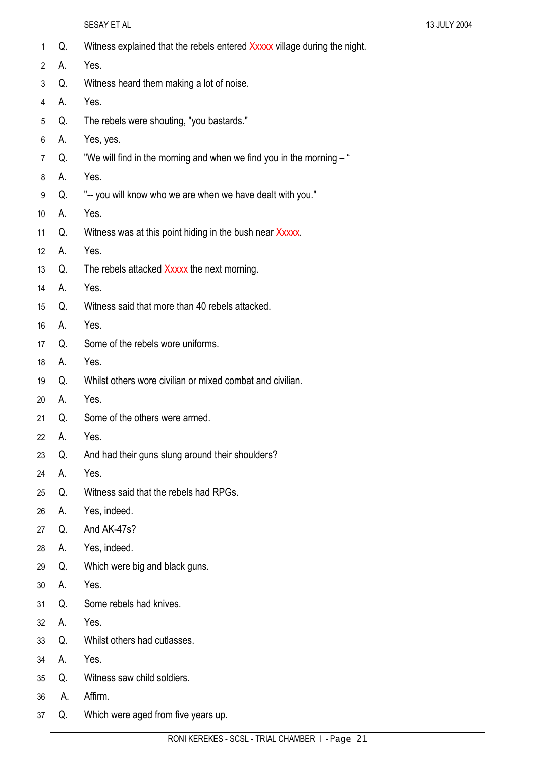|                 |    | SESAY ET AL                                                               | 13 JULY 2004 |
|-----------------|----|---------------------------------------------------------------------------|--------------|
| 1               | Q. | Witness explained that the rebels entered Xxxxx village during the night. |              |
| 2               | А. | Yes.                                                                      |              |
| 3               | Q. | Witness heard them making a lot of noise.                                 |              |
| 4               | А. | Yes.                                                                      |              |
| 5               | Q. | The rebels were shouting, "you bastards."                                 |              |
| 6               | А. | Yes, yes.                                                                 |              |
| $\overline{7}$  | Q. | "We will find in the morning and when we find you in the morning - "      |              |
| 8               | А. | Yes.                                                                      |              |
| 9               | Q. | "-- you will know who we are when we have dealt with you."                |              |
| 10              | А. | Yes.                                                                      |              |
| 11              | Q. | Witness was at this point hiding in the bush near Xxxxx.                  |              |
| 12 <sup>°</sup> | А. | Yes.                                                                      |              |
| 13              | Q. | The rebels attacked Xxxxx the next morning.                               |              |
| 14              | А. | Yes.                                                                      |              |
| 15              | Q. | Witness said that more than 40 rebels attacked.                           |              |
| 16              | А. | Yes.                                                                      |              |
| 17              | Q. | Some of the rebels wore uniforms.                                         |              |
| 18              | А. | Yes.                                                                      |              |
| 19              | Q. | Whilst others wore civilian or mixed combat and civilian.                 |              |
| 20              | А. | Yes.                                                                      |              |
| 21              | Q. | Some of the others were armed.                                            |              |
| 22              | А. | Yes.                                                                      |              |
| 23              | Q. | And had their guns slung around their shoulders?                          |              |
| 24              | А. | Yes.                                                                      |              |
| 25              | Q. | Witness said that the rebels had RPGs.                                    |              |
| 26              | А. | Yes, indeed.                                                              |              |
| 27              | Q. | And AK-47s?                                                               |              |
| 28              | А. | Yes, indeed.                                                              |              |
| 29              | Q. | Which were big and black guns.                                            |              |
| 30              | А. | Yes.                                                                      |              |
| 31              | Q. | Some rebels had knives.                                                   |              |
| 32              | А. | Yes.                                                                      |              |
| 33              | Q. | Whilst others had cutlasses.                                              |              |
| 34              | А. | Yes.                                                                      |              |
| 35              | Q. | Witness saw child soldiers.                                               |              |
| 36              | А. | Affirm.                                                                   |              |
| 37              | Q. | Which were aged from five years up.                                       |              |
|                 |    |                                                                           |              |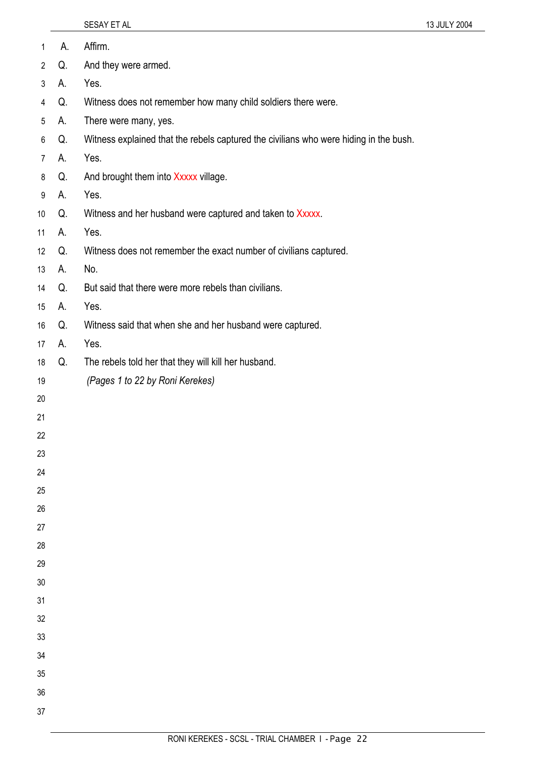| $\mathbf{1}$   | А. | Affirm.                                                                               |
|----------------|----|---------------------------------------------------------------------------------------|
| $\overline{2}$ | Q. | And they were armed.                                                                  |
| 3              | А. | Yes.                                                                                  |
| 4              | Q. | Witness does not remember how many child soldiers there were.                         |
| 5              | А. | There were many, yes.                                                                 |
| 6              | Q. | Witness explained that the rebels captured the civilians who were hiding in the bush. |
| $\overline{7}$ | А. | Yes.                                                                                  |
| 8              | Q. | And brought them into Xxxxx village.                                                  |
| 9              | А. | Yes.                                                                                  |
| 10             | Q. | Witness and her husband were captured and taken to Xxxxx.                             |
| 11             | А. | Yes.                                                                                  |
| 12             | Q. | Witness does not remember the exact number of civilians captured.                     |
| 13             | А. | No.                                                                                   |
| 14             | Q. | But said that there were more rebels than civilians.                                  |
| 15             | А. | Yes.                                                                                  |
| 16             | Q. | Witness said that when she and her husband were captured.                             |
| 17             | А. | Yes.                                                                                  |
| 18             | Q. | The rebels told her that they will kill her husband.                                  |
| 19             |    | (Pages 1 to 22 by Roni Kerekes)                                                       |
| 20             |    |                                                                                       |
| 21             |    |                                                                                       |
| 22             |    |                                                                                       |
| 23             |    |                                                                                       |
| 24             |    |                                                                                       |
| 25             |    |                                                                                       |
| 26             |    |                                                                                       |
| 27             |    |                                                                                       |
| 28             |    |                                                                                       |
| 29             |    |                                                                                       |
| 30             |    |                                                                                       |
| 31             |    |                                                                                       |
| 32             |    |                                                                                       |
| 33             |    |                                                                                       |
| 34             |    |                                                                                       |
| 35<br>36       |    |                                                                                       |
|                |    |                                                                                       |
| 37             |    |                                                                                       |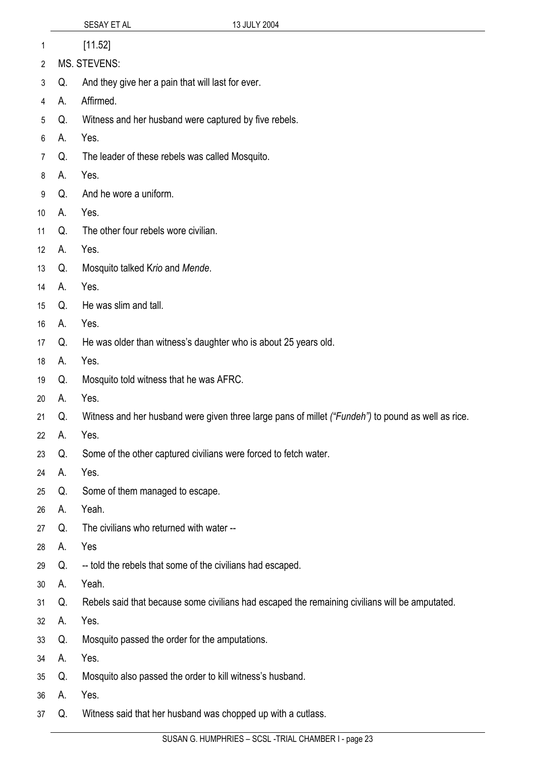|                 |    | 13 JULY 2004<br>SESAY ET AL                                                                        |
|-----------------|----|----------------------------------------------------------------------------------------------------|
| 1               |    | [11.52]                                                                                            |
| $\overline{2}$  |    | <b>MS. STEVENS:</b>                                                                                |
| 3               | Q. | And they give her a pain that will last for ever.                                                  |
| 4               | А. | Affirmed.                                                                                          |
| 5               | Q. | Witness and her husband were captured by five rebels.                                              |
| 6               | Α. | Yes.                                                                                               |
| 7               | Q. | The leader of these rebels was called Mosquito.                                                    |
| 8               | Α. | Yes.                                                                                               |
| 9               | Q. | And he wore a uniform.                                                                             |
| 10 <sup>1</sup> | А. | Yes.                                                                                               |
| 11              | Q. | The other four rebels wore civilian.                                                               |
| 12              | А. | Yes.                                                                                               |
| 13              | Q. | Mosquito talked Krio and Mende.                                                                    |
| 14              | А. | Yes.                                                                                               |
| 15              | Q. | He was slim and tall.                                                                              |
| 16              | А. | Yes.                                                                                               |
| 17              | Q. | He was older than witness's daughter who is about 25 years old.                                    |
| 18              | А. | Yes.                                                                                               |
| 19              | Q. | Mosquito told witness that he was AFRC.                                                            |
| 20              | А. | Yes.                                                                                               |
| 21              | Q. | Witness and her husband were given three large pans of millet ("Fundeh") to pound as well as rice. |
| 22              | А. | Yes.                                                                                               |
| 23              | Q. | Some of the other captured civilians were forced to fetch water.                                   |
| 24              | А. | Yes.                                                                                               |
| 25              | Q. | Some of them managed to escape.                                                                    |
| 26              | А. | Yeah.                                                                                              |
| 27              | Q. | The civilians who returned with water --                                                           |
| 28              | А. | Yes                                                                                                |
| 29              | Q. | -- told the rebels that some of the civilians had escaped.                                         |
| 30              | А. | Yeah.                                                                                              |
| 31              | Q. | Rebels said that because some civilians had escaped the remaining civilians will be amputated.     |
| 32              | А. | Yes.                                                                                               |
| 33              | Q. | Mosquito passed the order for the amputations.                                                     |
| 34              | А. | Yes.                                                                                               |
| 35              | Q. | Mosquito also passed the order to kill witness's husband.                                          |
| 36              | А. | Yes.                                                                                               |

37 Q. Witness said that her husband was chopped up with a cutlass.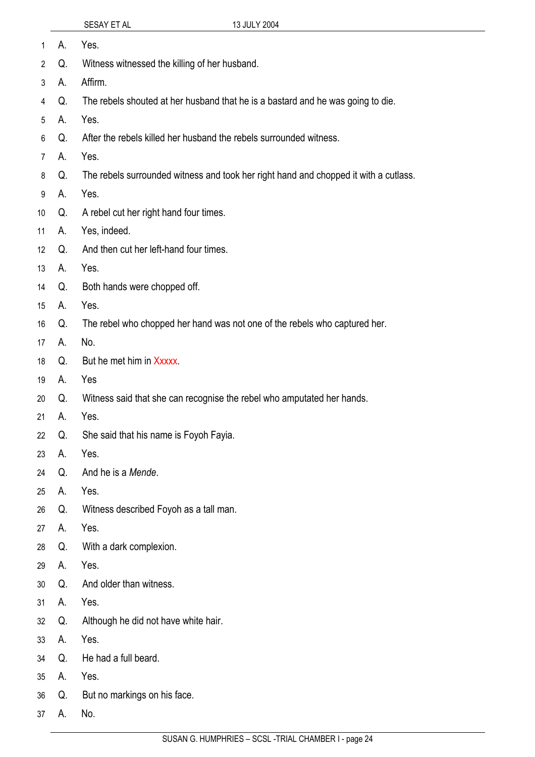| 1               | А. | Yes.                                                                                 |
|-----------------|----|--------------------------------------------------------------------------------------|
| $\overline{2}$  | Q. | Witness witnessed the killing of her husband.                                        |
| 3               | А. | Affirm.                                                                              |
| 4               | Q. | The rebels shouted at her husband that he is a bastard and he was going to die.      |
| 5               | А. | Yes.                                                                                 |
| 6               | Q. | After the rebels killed her husband the rebels surrounded witness.                   |
| $\overline{7}$  | А. | Yes.                                                                                 |
| 8               | Q. | The rebels surrounded witness and took her right hand and chopped it with a cutlass. |
| 9               | А. | Yes.                                                                                 |
| 10              | Q. | A rebel cut her right hand four times.                                               |
| 11              | А. | Yes, indeed.                                                                         |
| 12 <sup>°</sup> | Q. | And then cut her left-hand four times.                                               |
| 13              | А. | Yes.                                                                                 |
| 14              | Q. | Both hands were chopped off.                                                         |
| 15              | А. | Yes.                                                                                 |
| 16              | Q. | The rebel who chopped her hand was not one of the rebels who captured her.           |
| 17              | А. | No.                                                                                  |
| 18              | Q. | But he met him in Xxxxx.                                                             |
| 19              | А. | Yes                                                                                  |
| 20              | Q. | Witness said that she can recognise the rebel who amputated her hands.               |
| 21              | А. | Yes.                                                                                 |
| 22              | Q. | She said that his name is Foyoh Fayia.                                               |
| 23              | А. | Yes.                                                                                 |
| 24              | Q. | And he is a Mende.                                                                   |
| 25              | А. | Yes.                                                                                 |
| 26              | Q. | Witness described Foyoh as a tall man.                                               |
| 27              | А. | Yes.                                                                                 |
| 28              | Q. | With a dark complexion.                                                              |
| 29              | А. | Yes.                                                                                 |
| 30              | Q. | And older than witness.                                                              |
| 31              | А. | Yes.                                                                                 |
| 32              | Q. | Although he did not have white hair.                                                 |
| 33              | А. | Yes.                                                                                 |
| 34              | Q. | He had a full beard.                                                                 |
| 35              | А. | Yes.                                                                                 |
| 36              | Q. | But no markings on his face.                                                         |
| 37              | А. | No.                                                                                  |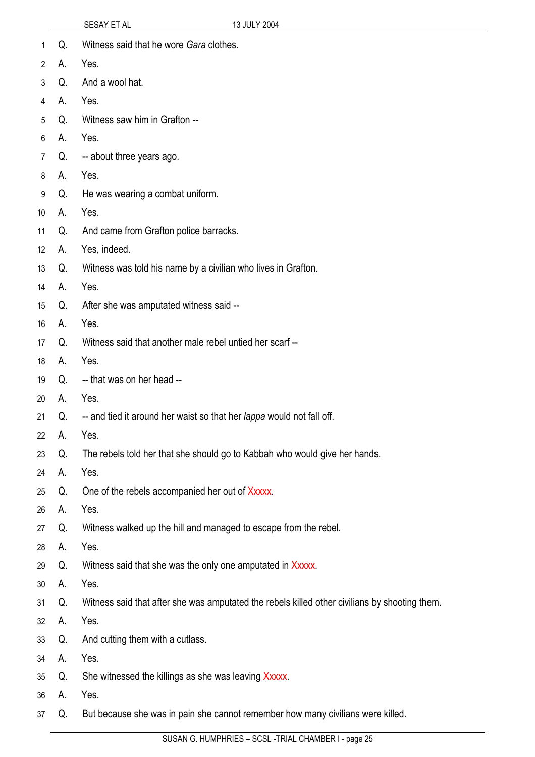| 1               | Q. | Witness said that he wore Gara clothes.                                                       |
|-----------------|----|-----------------------------------------------------------------------------------------------|
| $\mathbf{2}$    | А. | Yes.                                                                                          |
| 3               | Q. | And a wool hat.                                                                               |
| 4               | А. | Yes.                                                                                          |
| 5               | Q. | Witness saw him in Grafton --                                                                 |
| 6               | А. | Yes.                                                                                          |
| 7               | Q. | -- about three years ago.                                                                     |
| 8               | А. | Yes.                                                                                          |
| 9               | Q. | He was wearing a combat uniform.                                                              |
| 10 <sup>°</sup> | А. | Yes.                                                                                          |
| 11              | Q. | And came from Grafton police barracks.                                                        |
| 12              | А. | Yes, indeed.                                                                                  |
| 13              | Q. | Witness was told his name by a civilian who lives in Grafton.                                 |
| 14              | А. | Yes.                                                                                          |
| 15              | Q. | After she was amputated witness said --                                                       |
| 16              | А. | Yes.                                                                                          |
| 17              | Q. | Witness said that another male rebel untied her scarf --                                      |
| 18              | А. | Yes.                                                                                          |
| 19              | Q. | -- that was on her head --                                                                    |
| 20              | А. | Yes.                                                                                          |
| 21              | Q. | -- and tied it around her waist so that her lappa would not fall off.                         |
| 22              | А. | Yes.                                                                                          |
| 23              | Q. | The rebels told her that she should go to Kabbah who would give her hands.                    |
| 24              | А. | Yes.                                                                                          |
| 25              | Q. | One of the rebels accompanied her out of Xxxxx.                                               |
| 26              | А. | Yes.                                                                                          |
| 27              | Q. | Witness walked up the hill and managed to escape from the rebel.                              |
| 28              | А. | Yes.                                                                                          |
| 29              | Q. | Witness said that she was the only one amputated in Xxxxx.                                    |
| 30              | А. | Yes.                                                                                          |
| 31              | Q. | Witness said that after she was amputated the rebels killed other civilians by shooting them. |
| 32              | А. | Yes.                                                                                          |
| 33              | Q. | And cutting them with a cutlass.                                                              |
| 34              | А. | Yes.                                                                                          |
| 35              | Q. | She witnessed the killings as she was leaving Xxxxx.                                          |
| 36              | А. | Yes.                                                                                          |
| 37              | Q. | But because she was in pain she cannot remember how many civilians were killed.               |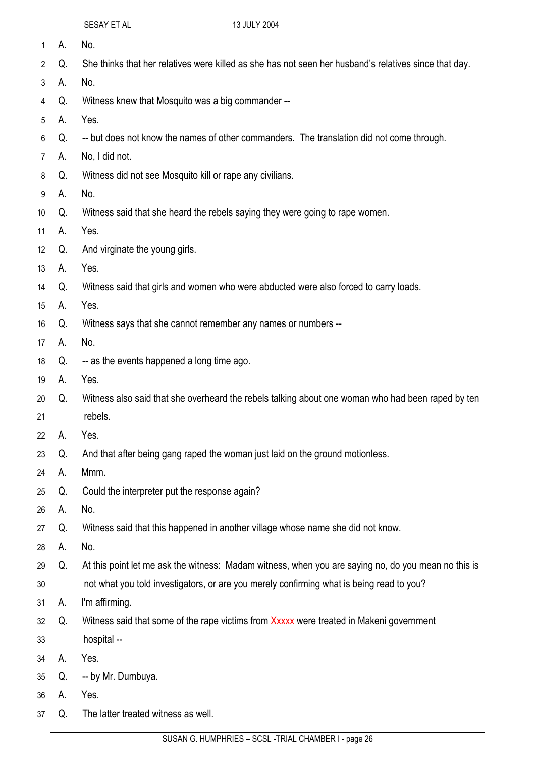| 1               | А.    | No.                                                                                                   |
|-----------------|-------|-------------------------------------------------------------------------------------------------------|
| $\overline{2}$  | Q.    | She thinks that her relatives were killed as she has not seen her husband's relatives since that day. |
| 3               | А.    | No.                                                                                                   |
| 4               | Q.    | Witness knew that Mosquito was a big commander --                                                     |
| 5               | А.    | Yes.                                                                                                  |
| 6               | Q.    | -- but does not know the names of other commanders. The translation did not come through.             |
| 7               | А.    | No, I did not.                                                                                        |
| 8               | Q.    | Witness did not see Mosquito kill or rape any civilians.                                              |
| 9               | А.    | No.                                                                                                   |
| 10              | Q.    | Witness said that she heard the rebels saying they were going to rape women.                          |
| 11              | А.    | Yes.                                                                                                  |
| 12 <sup>°</sup> | Q.    | And virginate the young girls.                                                                        |
| 13              | А.    | Yes.                                                                                                  |
| 14              | Q.    | Witness said that girls and women who were abducted were also forced to carry loads.                  |
| 15              | А.    | Yes.                                                                                                  |
| 16              | Q.    | Witness says that she cannot remember any names or numbers --                                         |
| 17              | А.    | No.                                                                                                   |
| 18              | Q.    | -- as the events happened a long time ago.                                                            |
| 19              | А.    | Yes.                                                                                                  |
| 20              | Q.    | Witness also said that she overheard the rebels talking about one woman who had been raped by ten     |
| 21              |       | rebels.                                                                                               |
|                 | 22 A. | Yes.                                                                                                  |
| 23              | Q.    | And that after being gang raped the woman just laid on the ground motionless.                         |
| 24              | А.    | Mmm.                                                                                                  |
| 25              | Q.    | Could the interpreter put the response again?                                                         |
| 26              | А.    | No.                                                                                                   |
| 27              | Q.    | Witness said that this happened in another village whose name she did not know.                       |
| 28              | А.    | No.                                                                                                   |
| 29              | Q.    | At this point let me ask the witness: Madam witness, when you are saying no, do you mean no this is   |
| 30              |       | not what you told investigators, or are you merely confirming what is being read to you?              |
| 31              | А.    | I'm affirming.                                                                                        |
| 32              | Q.    | Witness said that some of the rape victims from Xxxxx were treated in Makeni government               |
| 33              |       | hospital --                                                                                           |
| 34              | А.    | Yes.                                                                                                  |
| 35              | Q.    | -- by Mr. Dumbuya.                                                                                    |
| 36              | А.    | Yes.                                                                                                  |
| 37              | Q.    | The latter treated witness as well.                                                                   |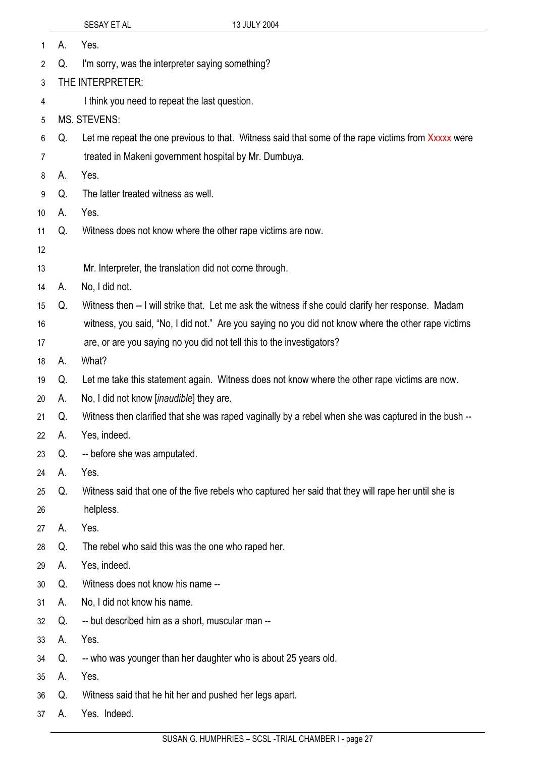| 1  | А.                                            | Yes.                                                                                                |  |  |
|----|-----------------------------------------------|-----------------------------------------------------------------------------------------------------|--|--|
| 2  | Q.                                            | I'm sorry, was the interpreter saying something?                                                    |  |  |
| 3  | THE INTERPRETER:                              |                                                                                                     |  |  |
| 4  | I think you need to repeat the last question. |                                                                                                     |  |  |
| 5  |                                               | <b>MS. STEVENS:</b>                                                                                 |  |  |
| 6  | Q.                                            | Let me repeat the one previous to that. Witness said that some of the rape victims from Xxxxx were  |  |  |
| 7  |                                               | treated in Makeni government hospital by Mr. Dumbuya.                                               |  |  |
| 8  | А.                                            | Yes.                                                                                                |  |  |
| 9  | Q.                                            | The latter treated witness as well.                                                                 |  |  |
| 10 | А.                                            | Yes.                                                                                                |  |  |
| 11 | Q.                                            | Witness does not know where the other rape victims are now.                                         |  |  |
| 12 |                                               |                                                                                                     |  |  |
| 13 |                                               | Mr. Interpreter, the translation did not come through.                                              |  |  |
| 14 | А.                                            | No, I did not.                                                                                      |  |  |
| 15 | Q.                                            | Witness then -- I will strike that. Let me ask the witness if she could clarify her response. Madam |  |  |
| 16 |                                               | witness, you said, "No, I did not." Are you saying no you did not know where the other rape victims |  |  |
| 17 |                                               | are, or are you saying no you did not tell this to the investigators?                               |  |  |
| 18 | А.                                            | What?                                                                                               |  |  |
| 19 | Q.                                            | Let me take this statement again. Witness does not know where the other rape victims are now.       |  |  |
| 20 | А.                                            | No, I did not know <i>[inaudible]</i> they are.                                                     |  |  |
| 21 | Q.                                            | Witness then clarified that she was raped vaginally by a rebel when she was captured in the bush -- |  |  |
| 22 | Α.                                            | Yes, indeed.                                                                                        |  |  |
| 23 | Q.                                            | -- before she was amputated.                                                                        |  |  |
| 24 | А.                                            | Yes.                                                                                                |  |  |
| 25 | Q.                                            | Witness said that one of the five rebels who captured her said that they will rape her until she is |  |  |
| 26 |                                               | helpless.                                                                                           |  |  |
| 27 | А.                                            | Yes.                                                                                                |  |  |
| 28 | Q.                                            | The rebel who said this was the one who raped her.                                                  |  |  |
| 29 | А.                                            | Yes, indeed.                                                                                        |  |  |
| 30 | Q.                                            | Witness does not know his name --                                                                   |  |  |
| 31 | А.                                            | No, I did not know his name.                                                                        |  |  |
| 32 | Q.                                            | -- but described him as a short, muscular man --                                                    |  |  |
| 33 | А.                                            | Yes.                                                                                                |  |  |
| 34 | Q.                                            | -- who was younger than her daughter who is about 25 years old.                                     |  |  |
| 35 | А.                                            | Yes.                                                                                                |  |  |
| 36 | Q.                                            | Witness said that he hit her and pushed her legs apart.                                             |  |  |
| 37 | А.                                            | Yes. Indeed.                                                                                        |  |  |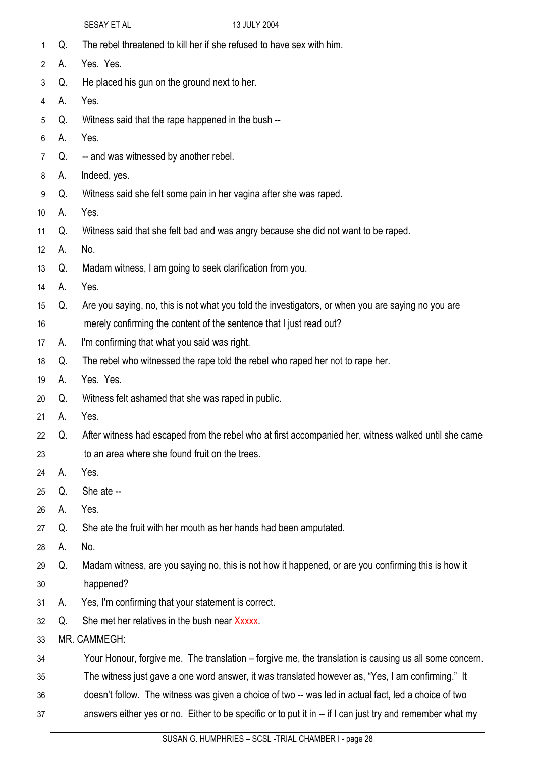| 1               | Q. | The rebel threatened to kill her if she refused to have sex with him.                                     |  |  |
|-----------------|----|-----------------------------------------------------------------------------------------------------------|--|--|
| $\mathbf{2}$    | А. | Yes. Yes.                                                                                                 |  |  |
| 3               | Q. | He placed his gun on the ground next to her.                                                              |  |  |
| 4               | А. | Yes.                                                                                                      |  |  |
| 5               | Q. | Witness said that the rape happened in the bush --                                                        |  |  |
| 6               | А. | Yes.                                                                                                      |  |  |
| 7               | Q. | -- and was witnessed by another rebel.                                                                    |  |  |
| 8               | А. | Indeed, yes.                                                                                              |  |  |
| 9               | Q. | Witness said she felt some pain in her vagina after she was raped.                                        |  |  |
| 10 <sup>°</sup> | А. | Yes.                                                                                                      |  |  |
| 11              | Q. | Witness said that she felt bad and was angry because she did not want to be raped.                        |  |  |
| 12              | Α. | No.                                                                                                       |  |  |
| 13              | Q. | Madam witness, I am going to seek clarification from you.                                                 |  |  |
| 14              | А. | Yes.                                                                                                      |  |  |
| 15              | Q. | Are you saying, no, this is not what you told the investigators, or when you are saying no you are        |  |  |
| 16              |    | merely confirming the content of the sentence that I just read out?                                       |  |  |
| 17              | А. | I'm confirming that what you said was right.                                                              |  |  |
| 18              | Q. | The rebel who witnessed the rape told the rebel who raped her not to rape her.                            |  |  |
| 19              | А. | Yes. Yes.                                                                                                 |  |  |
| 20              | Q. | Witness felt ashamed that she was raped in public.                                                        |  |  |
| 21              | А. | Yes.                                                                                                      |  |  |
| 22              | Q. | After witness had escaped from the rebel who at first accompanied her, witness walked until she came      |  |  |
| 23              |    | to an area where she found fruit on the trees.                                                            |  |  |
| 24              | А. | Yes.                                                                                                      |  |  |
| 25              | Q. | She ate --                                                                                                |  |  |
| 26              | А. | Yes.                                                                                                      |  |  |
| 27              | Q. | She ate the fruit with her mouth as her hands had been amputated.                                         |  |  |
| 28              | А. | No.                                                                                                       |  |  |
| 29              | Q. | Madam witness, are you saying no, this is not how it happened, or are you confirming this is how it       |  |  |
| 30              |    | happened?                                                                                                 |  |  |
| 31              | А. | Yes, I'm confirming that your statement is correct.                                                       |  |  |
| 32              | Q. | She met her relatives in the bush near Xxxxx.                                                             |  |  |
| 33              |    | MR. CAMMEGH:                                                                                              |  |  |
| 34              |    | Your Honour, forgive me. The translation – forgive me, the translation is causing us all some concern.    |  |  |
| 35              |    | The witness just gave a one word answer, it was translated however as, "Yes, I am confirming." It         |  |  |
| 36              |    | doesn't follow. The witness was given a choice of two -- was led in actual fact, led a choice of two      |  |  |
| 37              |    | answers either yes or no. Either to be specific or to put it in -- if I can just try and remember what my |  |  |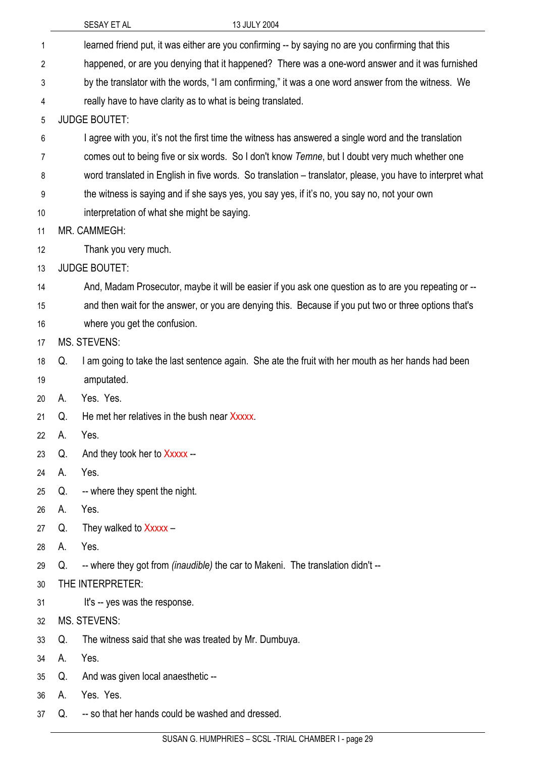| 1  | learned friend put, it was either are you confirming -- by saying no are you confirming that this |                                                                                                           |  |
|----|---------------------------------------------------------------------------------------------------|-----------------------------------------------------------------------------------------------------------|--|
| 2  |                                                                                                   | happened, or are you denying that it happened? There was a one-word answer and it was furnished           |  |
| 3  |                                                                                                   | by the translator with the words, "I am confirming," it was a one word answer from the witness. We        |  |
| 4  | really have to have clarity as to what is being translated.                                       |                                                                                                           |  |
| 5  |                                                                                                   | <b>JUDGE BOUTET:</b>                                                                                      |  |
| 6  |                                                                                                   | I agree with you, it's not the first time the witness has answered a single word and the translation      |  |
| 7  |                                                                                                   | comes out to being five or six words. So I don't know Temne, but I doubt very much whether one            |  |
| 8  |                                                                                                   | word translated in English in five words. So translation – translator, please, you have to interpret what |  |
| 9  |                                                                                                   | the witness is saying and if she says yes, you say yes, if it's no, you say no, not your own              |  |
| 10 |                                                                                                   | interpretation of what she might be saying.                                                               |  |
| 11 |                                                                                                   | MR. CAMMEGH:                                                                                              |  |
| 12 |                                                                                                   | Thank you very much.                                                                                      |  |
| 13 |                                                                                                   | <b>JUDGE BOUTET:</b>                                                                                      |  |
| 14 |                                                                                                   | And, Madam Prosecutor, maybe it will be easier if you ask one question as to are you repeating or --      |  |
| 15 |                                                                                                   | and then wait for the answer, or you are denying this. Because if you put two or three options that's     |  |
| 16 |                                                                                                   | where you get the confusion.                                                                              |  |
| 17 |                                                                                                   | <b>MS. STEVENS:</b>                                                                                       |  |
| 18 | Q.                                                                                                | I am going to take the last sentence again. She ate the fruit with her mouth as her hands had been        |  |
| 19 |                                                                                                   | amputated.                                                                                                |  |
| 20 | А.                                                                                                | Yes. Yes.                                                                                                 |  |
| 21 | Q.                                                                                                | He met her relatives in the bush near Xxxxx.                                                              |  |
| 22 | А.                                                                                                | Yes.                                                                                                      |  |
| 23 | Q.                                                                                                | And they took her to Xxxxx --                                                                             |  |
| 24 | А.                                                                                                | Yes.                                                                                                      |  |
| 25 | Q.                                                                                                | -- where they spent the night.                                                                            |  |
| 26 | А.                                                                                                | Yes.                                                                                                      |  |
| 27 | Q.                                                                                                | They walked to Xxxxx -                                                                                    |  |
| 28 | А.                                                                                                | Yes.                                                                                                      |  |
| 29 | Q.                                                                                                | -- where they got from (inaudible) the car to Makeni. The translation didn't --                           |  |
| 30 |                                                                                                   | THE INTERPRETER:                                                                                          |  |
| 31 |                                                                                                   | It's -- yes was the response.                                                                             |  |
| 32 |                                                                                                   | <b>MS. STEVENS:</b>                                                                                       |  |
| 33 | Q.                                                                                                | The witness said that she was treated by Mr. Dumbuya.                                                     |  |
| 34 | А.                                                                                                | Yes.                                                                                                      |  |
| 35 | Q.                                                                                                | And was given local anaesthetic --                                                                        |  |
| 36 | А.                                                                                                | Yes. Yes.                                                                                                 |  |

SUSAN G. HUMPHRIES – SCSL -TRIAL CHAMBER I - page 29

Q. -- so that her hands could be washed and dressed.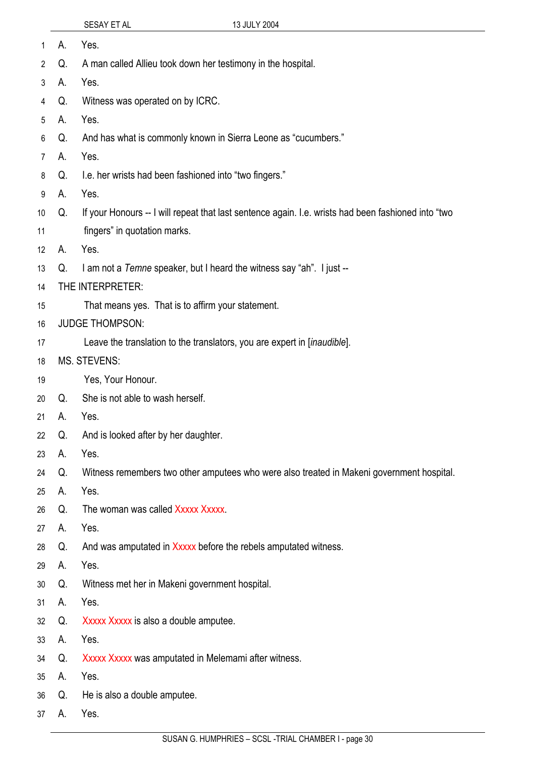| 1               | А. | Yes.                                                                                                |  |  |  |
|-----------------|----|-----------------------------------------------------------------------------------------------------|--|--|--|
| $\overline{2}$  | Q. | A man called Allieu took down her testimony in the hospital.                                        |  |  |  |
| 3               | А. | Yes.                                                                                                |  |  |  |
| 4               | Q. | Witness was operated on by ICRC.                                                                    |  |  |  |
| 5               | А. | Yes.                                                                                                |  |  |  |
| 6               | Q. | And has what is commonly known in Sierra Leone as "cucumbers."                                      |  |  |  |
| 7               | А. | Yes.                                                                                                |  |  |  |
| 8               | Q. | I.e. her wrists had been fashioned into "two fingers."                                              |  |  |  |
| 9               | А. | Yes.                                                                                                |  |  |  |
| 10 <sup>°</sup> | Q. | If your Honours -- I will repeat that last sentence again. I.e. wrists had been fashioned into "two |  |  |  |
| 11              |    | fingers" in quotation marks.                                                                        |  |  |  |
| 12              | А. | Yes.                                                                                                |  |  |  |
| 13              | Q. | I am not a Temne speaker, but I heard the witness say "ah". I just --                               |  |  |  |
| 14              |    | THE INTERPRETER:                                                                                    |  |  |  |
| 15              |    | That means yes. That is to affirm your statement.                                                   |  |  |  |
| 16              |    | <b>JUDGE THOMPSON:</b>                                                                              |  |  |  |
| 17              |    | Leave the translation to the translators, you are expert in [inaudible].                            |  |  |  |
| 18              |    | <b>MS. STEVENS:</b>                                                                                 |  |  |  |
| 19              |    | Yes, Your Honour.                                                                                   |  |  |  |
| 20              | Q. | She is not able to wash herself.                                                                    |  |  |  |
| 21              | А. | Yes.                                                                                                |  |  |  |
| 22              | Q. | And is looked after by her daughter.                                                                |  |  |  |
| 23              | А. | Yes.                                                                                                |  |  |  |
| 24              | Q. | Witness remembers two other amputees who were also treated in Makeni government hospital.           |  |  |  |
| 25              | А. | Yes.                                                                                                |  |  |  |
| 26              | Q. | The woman was called Xxxxx Xxxxx.                                                                   |  |  |  |
| 27              | А. | Yes.                                                                                                |  |  |  |
| 28              | Q. | And was amputated in Xxxxx before the rebels amputated witness.                                     |  |  |  |
| 29              | А. | Yes.                                                                                                |  |  |  |
| 30              | Q. | Witness met her in Makeni government hospital.                                                      |  |  |  |
| 31              | А. | Yes.                                                                                                |  |  |  |
| 32              | Q. | Xxxxx Xxxxx is also a double amputee.                                                               |  |  |  |
| 33              | А. | Yes.                                                                                                |  |  |  |
| 34              | Q. | Xxxxx Xxxxx was amputated in Melemami after witness.                                                |  |  |  |
| 35              | А. | Yes.                                                                                                |  |  |  |
| 36              | Q. | He is also a double amputee.                                                                        |  |  |  |
|                 |    |                                                                                                     |  |  |  |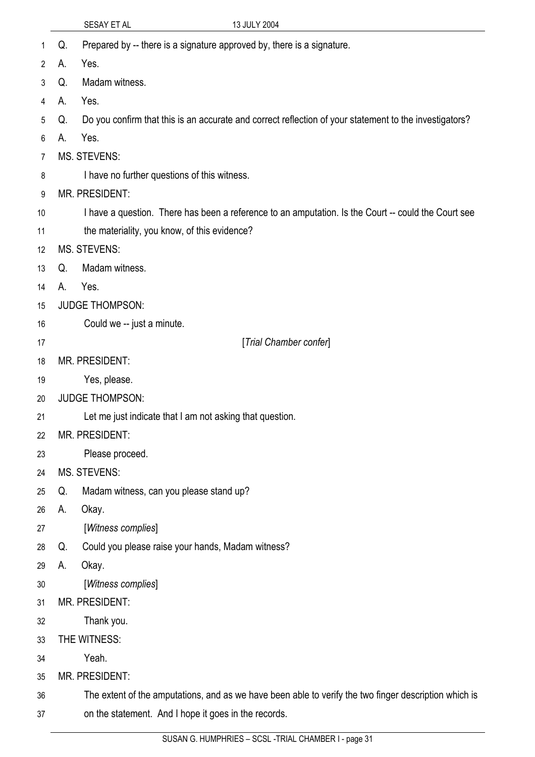| 1              | Q. | Prepared by -- there is a signature approved by, there is a signature.                                 |
|----------------|----|--------------------------------------------------------------------------------------------------------|
| $\overline{2}$ | А. | Yes.                                                                                                   |
| 3              | Q. | Madam witness.                                                                                         |
| 4              | А. | Yes.                                                                                                   |
| 5              | Q. | Do you confirm that this is an accurate and correct reflection of your statement to the investigators? |
| 6              | А. | Yes.                                                                                                   |
| 7              |    | <b>MS. STEVENS:</b>                                                                                    |
| 8              |    | I have no further questions of this witness.                                                           |
| 9              |    | MR. PRESIDENT:                                                                                         |
| 10             |    | I have a question. There has been a reference to an amputation. Is the Court -- could the Court see    |
| 11             |    | the materiality, you know, of this evidence?                                                           |
| 12             |    | <b>MS. STEVENS:</b>                                                                                    |
| 13             | Q. | Madam witness.                                                                                         |
| 14             | А. | Yes.                                                                                                   |
| 15             |    | <b>JUDGE THOMPSON:</b>                                                                                 |
| 16             |    | Could we -- just a minute.                                                                             |
| 17             |    | [Trial Chamber confer]                                                                                 |
| 18             |    | MR. PRESIDENT:                                                                                         |
| 19             |    | Yes, please.                                                                                           |
| 20             |    | <b>JUDGE THOMPSON:</b>                                                                                 |
| 21             |    | Let me just indicate that I am not asking that question.                                               |
| 22             |    | MR. PRESIDENT:                                                                                         |
| 23             |    | Please proceed.                                                                                        |
| 24             |    | <b>MS. STEVENS:</b>                                                                                    |
| 25             | Q. | Madam witness, can you please stand up?                                                                |
| 26             | А. | Okay.                                                                                                  |
| 27             |    | [Witness complies]                                                                                     |
| 28             | Q. | Could you please raise your hands, Madam witness?                                                      |
| 29             | А. | Okay.                                                                                                  |
| 30             |    | [Witness complies]                                                                                     |
| 31             |    | MR. PRESIDENT:                                                                                         |
| 32             |    | Thank you.                                                                                             |
| 33             |    | THE WITNESS:                                                                                           |
| 34             |    | Yeah.                                                                                                  |
| 35             |    | MR. PRESIDENT:                                                                                         |
| 36             |    | The extent of the amputations, and as we have been able to verify the two finger description which is  |
| 37             |    | on the statement. And I hope it goes in the records.                                                   |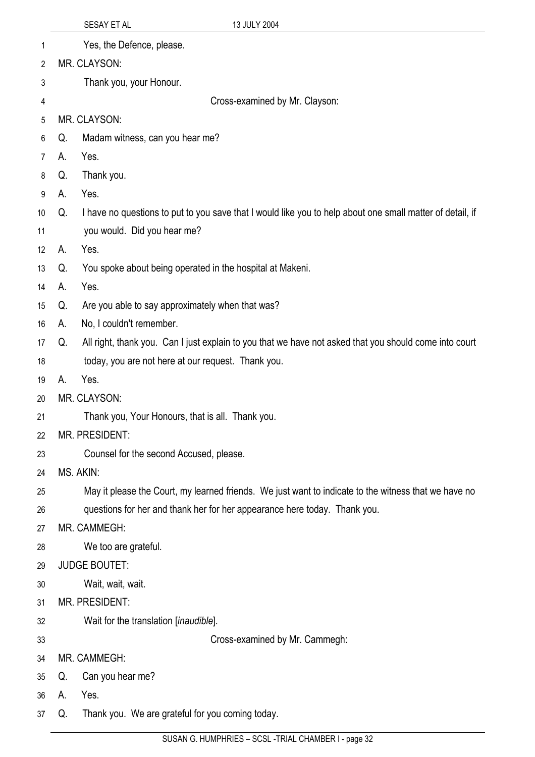|                |    | SESAY ET AL          |                                                    | 13 JULY 2004                                                                                              |  |
|----------------|----|----------------------|----------------------------------------------------|-----------------------------------------------------------------------------------------------------------|--|
| 1              |    |                      | Yes, the Defence, please.                          |                                                                                                           |  |
| $\overline{2}$ |    | MR. CLAYSON:         |                                                    |                                                                                                           |  |
| 3              |    |                      | Thank you, your Honour.                            |                                                                                                           |  |
| 4              |    |                      |                                                    | Cross-examined by Mr. Clayson:                                                                            |  |
| 5              |    | MR. CLAYSON:         |                                                    |                                                                                                           |  |
| 6              | Q. |                      | Madam witness, can you hear me?                    |                                                                                                           |  |
| $\overline{7}$ | А. | Yes.                 |                                                    |                                                                                                           |  |
| 8              | Q. | Thank you.           |                                                    |                                                                                                           |  |
| 9              | А. | Yes.                 |                                                    |                                                                                                           |  |
| 10             | Q. |                      |                                                    | I have no questions to put to you save that I would like you to help about one small matter of detail, if |  |
| 11             |    |                      | you would. Did you hear me?                        |                                                                                                           |  |
| 12             | А. | Yes.                 |                                                    |                                                                                                           |  |
| 13             | Q. |                      |                                                    | You spoke about being operated in the hospital at Makeni.                                                 |  |
| 14             | А. | Yes.                 |                                                    |                                                                                                           |  |
| 15             | Q. |                      | Are you able to say approximately when that was?   |                                                                                                           |  |
| 16             | А. |                      | No, I couldn't remember.                           |                                                                                                           |  |
| 17             | Q. |                      |                                                    | All right, thank you. Can I just explain to you that we have not asked that you should come into court    |  |
| 18             |    |                      | today, you are not here at our request. Thank you. |                                                                                                           |  |
| 19             | А. | Yes.                 |                                                    |                                                                                                           |  |
| 20             |    | MR. CLAYSON:         |                                                    |                                                                                                           |  |
| 21             |    |                      | Thank you, Your Honours, that is all. Thank you.   |                                                                                                           |  |
| 22             |    | MR. PRESIDENT:       |                                                    |                                                                                                           |  |
| 23             |    |                      | Counsel for the second Accused, please.            |                                                                                                           |  |
| 24             |    | MS. AKIN:            |                                                    |                                                                                                           |  |
| 25             |    |                      |                                                    | May it please the Court, my learned friends. We just want to indicate to the witness that we have no      |  |
| 26             |    |                      |                                                    | questions for her and thank her for her appearance here today. Thank you.                                 |  |
| 27             |    | MR. CAMMEGH:         |                                                    |                                                                                                           |  |
| 28             |    | We too are grateful. |                                                    |                                                                                                           |  |
| 29             |    | <b>JUDGE BOUTET:</b> |                                                    |                                                                                                           |  |
| 30             |    | Wait, wait, wait.    |                                                    |                                                                                                           |  |
| 31             |    | MR. PRESIDENT:       |                                                    |                                                                                                           |  |
| 32             |    |                      | Wait for the translation [inaudible].              |                                                                                                           |  |
| 33             |    |                      |                                                    | Cross-examined by Mr. Cammegh:                                                                            |  |
| 34             |    | MR. CAMMEGH:         |                                                    |                                                                                                           |  |
| 35             | Q. | Can you hear me?     |                                                    |                                                                                                           |  |
| 36             | А. | Yes.                 |                                                    |                                                                                                           |  |
| 37             | Q. |                      | Thank you. We are grateful for you coming today.   |                                                                                                           |  |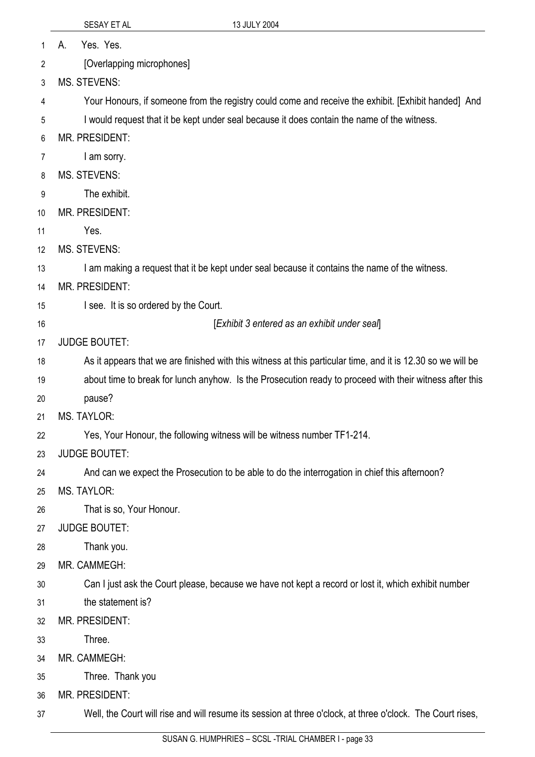1 A. Yes. Yes.

2 [Overlapping microphones]

3 MS. STEVENS:

4 Your Honours, if someone from the registry could come and receive the exhibit. [Exhibit handed] And

5 I would request that it be kept under seal because it does contain the name of the witness.

6 MR. PRESIDENT:

7 I am sorry.

- 8 MS. STEVENS:
- 9 The exhibit.
- 10 MR. PRESIDENT:
- 11 Yes.
- 12 MS. STEVENS:

13 I am making a request that it be kept under seal because it contains the name of the witness.

- 14 MR. PRESIDENT:
- 15 I see. It is so ordered by the Court.
- 16

[*Exhibit 3 entered as an exhibit under seal*]

17 JUDGE BOUTET:

- 18 As it appears that we are finished with this witness at this particular time, and it is 12.30 so we will be
- 19 about time to break for lunch anyhow. Is the Prosecution ready to proceed with their witness after this
- 20 pause?

21 MS. TAYLOR:

22 Yes, Your Honour, the following witness will be witness number TF1-214.

- 23 JUDGE BOUTET:
- 24 And can we expect the Prosecution to be able to do the interrogation in chief this afternoon?
- 25 MS. TAYLOR:

26 That is so, Your Honour.

- 27 JUDGE BOUTET:
- 28 Thank you.
- 29 MR. CAMMEGH:

30 Can I just ask the Court please, because we have not kept a record or lost it, which exhibit number

- 31 the statement is?
- 32 MR. PRESIDENT:
- 33 **Three**
- 34 MR. CAMMEGH:
- 35 Three. Thank you

36 MR. PRESIDENT:

37 Well, the Court will rise and will resume its session at three o'clock, at three o'clock. The Court rises,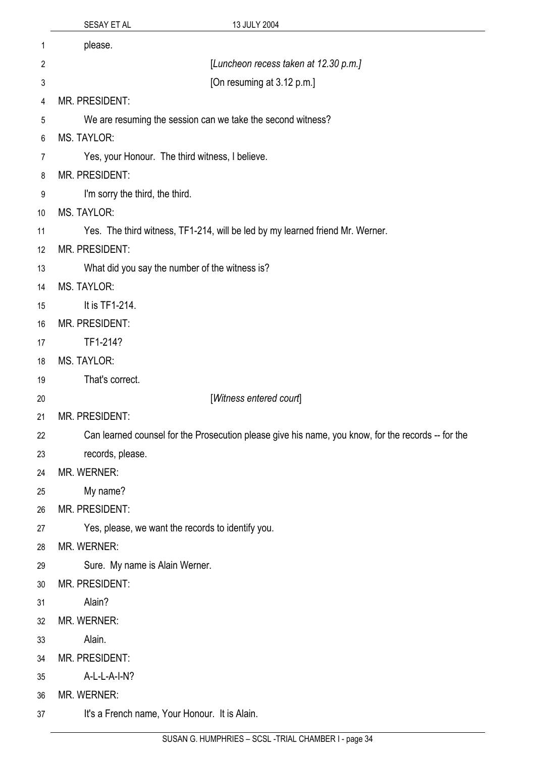|                | SESAY ET AL                                     | 13 JULY 2004                                                                                       |
|----------------|-------------------------------------------------|----------------------------------------------------------------------------------------------------|
| 1              | please.                                         |                                                                                                    |
| $\overline{2}$ |                                                 | [Luncheon recess taken at 12.30 p.m.]                                                              |
| 3              |                                                 | [On resuming at 3.12 p.m.]                                                                         |
| 4              | MR. PRESIDENT:                                  |                                                                                                    |
| 5              |                                                 | We are resuming the session can we take the second witness?                                        |
| 6              | <b>MS. TAYLOR:</b>                              |                                                                                                    |
| 7              | Yes, your Honour. The third witness, I believe. |                                                                                                    |
| 8              | MR. PRESIDENT:                                  |                                                                                                    |
| 9              | I'm sorry the third, the third.                 |                                                                                                    |
| 10             | <b>MS. TAYLOR:</b>                              |                                                                                                    |
| 11             |                                                 | Yes. The third witness, TF1-214, will be led by my learned friend Mr. Werner.                      |
| 12             | MR. PRESIDENT:                                  |                                                                                                    |
| 13             |                                                 | What did you say the number of the witness is?                                                     |
| 14             | <b>MS. TAYLOR:</b>                              |                                                                                                    |
| 15             | It is TF1-214.                                  |                                                                                                    |
| 16             | MR. PRESIDENT:                                  |                                                                                                    |
| 17             | TF1-214?                                        |                                                                                                    |
| 18             | <b>MS. TAYLOR:</b>                              |                                                                                                    |
| 19             | That's correct.                                 |                                                                                                    |
| 20             |                                                 | [Witness entered court]                                                                            |
| 21             | MR. PRESIDENT:                                  |                                                                                                    |
| 22             |                                                 | Can learned counsel for the Prosecution please give his name, you know, for the records -- for the |
| 23             | records, please.                                |                                                                                                    |
| 24             | MR. WERNER:                                     |                                                                                                    |
| 25             | My name?                                        |                                                                                                    |
| 26             | MR. PRESIDENT:                                  |                                                                                                    |
| 27             |                                                 | Yes, please, we want the records to identify you.                                                  |
| 28             | MR. WERNER:                                     |                                                                                                    |
| 29             | Sure. My name is Alain Werner.                  |                                                                                                    |
| 30             | MR. PRESIDENT:                                  |                                                                                                    |
| 31             | Alain?                                          |                                                                                                    |
| 32             | MR. WERNER:                                     |                                                                                                    |
| 33             | Alain.                                          |                                                                                                    |
| 34             | MR. PRESIDENT:                                  |                                                                                                    |
| 35             | A-L-L-A-I-N?                                    |                                                                                                    |
| 36             | MR. WERNER:                                     |                                                                                                    |
| 37             | It's a French name, Your Honour. It is Alain.   |                                                                                                    |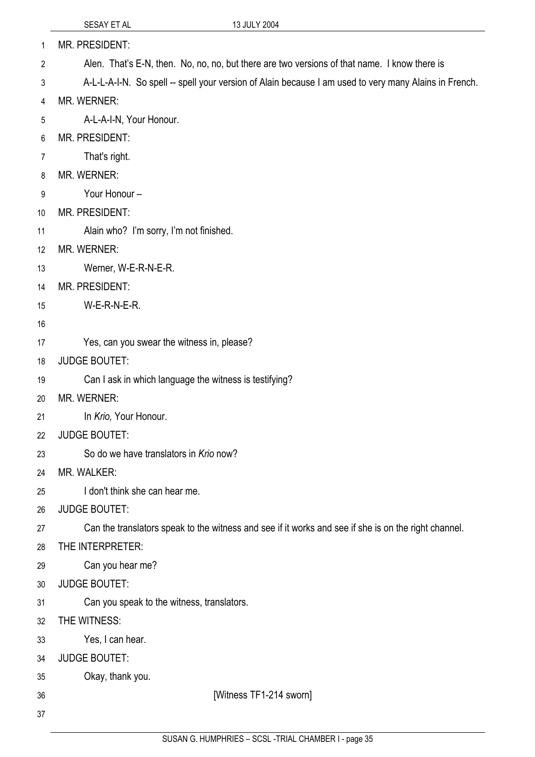| 1  | MR. PRESIDENT:                                                                                        |
|----|-------------------------------------------------------------------------------------------------------|
| 2  | Alen. That's E-N, then. No, no, no, but there are two versions of that name. I know there is          |
| 3  | A-L-L-A-I-N. So spell -- spell your version of Alain because I am used to very many Alains in French. |
| 4  | MR. WERNER:                                                                                           |
| 5  | A-L-A-I-N, Your Honour.                                                                               |
| 6  | MR. PRESIDENT:                                                                                        |
| 7  | That's right.                                                                                         |
| 8  | MR. WERNER:                                                                                           |
| 9  | Your Honour -                                                                                         |
| 10 | MR. PRESIDENT:                                                                                        |
| 11 | Alain who? I'm sorry, I'm not finished.                                                               |
| 12 | <b>MR. WERNER:</b>                                                                                    |
| 13 | Werner, W-E-R-N-E-R.                                                                                  |
| 14 | MR. PRESIDENT:                                                                                        |
| 15 | W-E-R-N-E-R.                                                                                          |
| 16 |                                                                                                       |
| 17 | Yes, can you swear the witness in, please?                                                            |
| 18 | <b>JUDGE BOUTET:</b>                                                                                  |
| 19 | Can I ask in which language the witness is testifying?                                                |
| 20 | MR. WERNER:                                                                                           |
| 21 | In Krio, Your Honour.                                                                                 |
| 22 | <b>JUDGE BOUTET:</b>                                                                                  |
| 23 | So do we have translators in Krio now?                                                                |
| 24 | MR. WALKER:                                                                                           |
| 25 | I don't think she can hear me.                                                                        |
| 26 | <b>JUDGE BOUTET:</b>                                                                                  |
| 27 | Can the translators speak to the witness and see if it works and see if she is on the right channel.  |
| 28 | THE INTERPRETER:                                                                                      |
| 29 | Can you hear me?                                                                                      |
| 30 | <b>JUDGE BOUTET:</b>                                                                                  |
| 31 | Can you speak to the witness, translators.                                                            |
| 32 | THE WITNESS:                                                                                          |
| 33 | Yes, I can hear.                                                                                      |
| 34 | <b>JUDGE BOUTET:</b>                                                                                  |
| 35 | Okay, thank you.                                                                                      |
| 36 | [Witness TF1-214 sworn]                                                                               |
| 37 |                                                                                                       |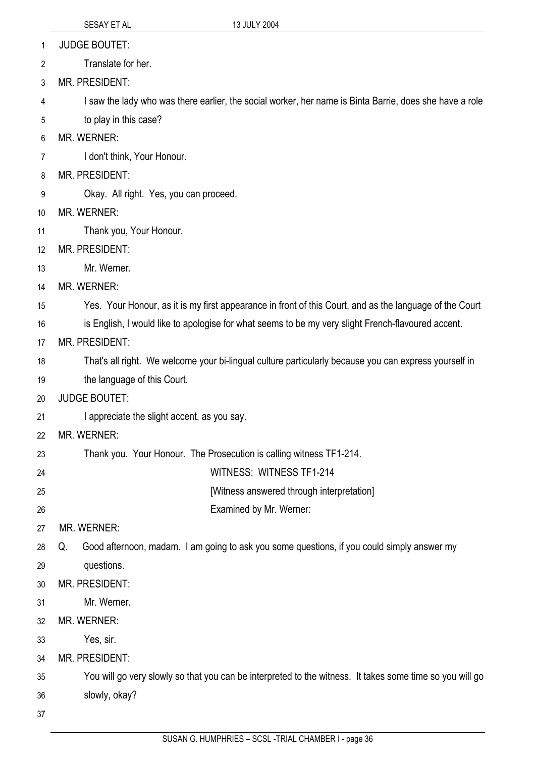JUDGE BOUTET: 1

 Translate for her. 2

3 MR. PRESIDENT:

4 I saw the lady who was there earlier, the social worker, her name is Binta Barrie, does she have a role

5 to play in this case?

6 MR. WERNER:

7 I don't think, Your Honour.

8 MR. PRESIDENT:

9 Okay. All right. Yes, you can proceed.

10 MR. WERNER:

11 Thank you, Your Honour.

12 MR. PRESIDENT:

13 Mr. Werner.

14 MR. WERNER:

15 Yes. Your Honour, as it is my first appearance in front of this Court, and as the language of the Court

16 is English, I would like to apologise for what seems to be my very slight French-flavoured accent.

17 MR. PRESIDENT:

18 That's all right. We welcome your bi-lingual culture particularly because you can express yourself in

19 the language of this Court.

20 JUDGE BOUTET:

21 I appreciate the slight accent, as you say.

22 MR. WERNER:

23 Thank you. Your Honour. The Prosecution is calling witness TF1-214.

24 WITNESS: WITNESS TF1-214

[Witness answered through interpretation]

26 Examined by Mr. Werner:

27 MR. WERNER:

28 Q. Good afternoon, madam. I am going to ask you some questions, if you could simply answer my

29 questions.

30 MR. PRESIDENT:

31 Mr. Werner.

32 MR. WERNER:

33 Yes, sir.

34 MR. PRESIDENT:

35 You will go very slowly so that you can be interpreted to the witness. It takes some time so you will go

36 slowly, okay?

37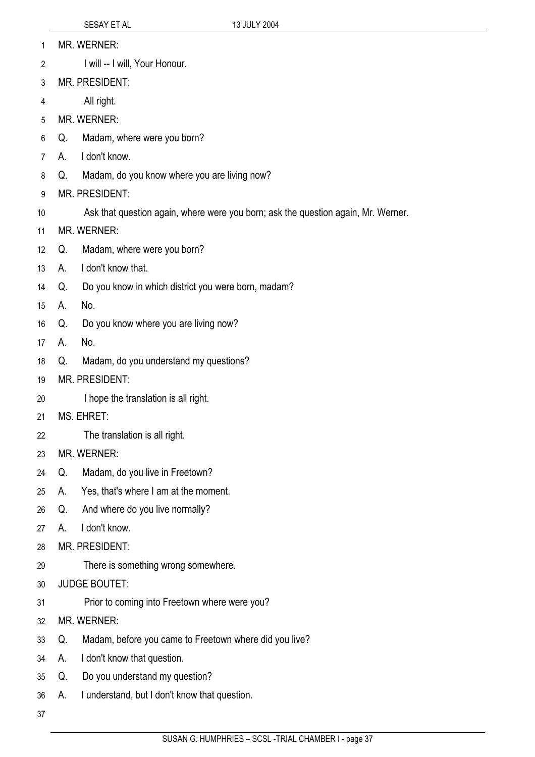- MR. WERNER: 1
- I will -- I will, Your Honour. 2
- 3 MR. PRESIDENT:
- 4 All right.
- 5 MR. WERNER:
- 6 Q. Madam, where were you born?
- 7 A. I don't know.
- 8 Q. Madam, do you know where you are living now?
- 9 MR. PRESIDENT:
- 10 Ask that question again, where were you born; ask the question again, Mr. Werner.
- 11 MR. WERNER:
- 12 Q. Madam, where were you born?
- 13 A. I don't know that.
- 14 Q. Do you know in which district you were born, madam?
- 15 A. No.
- 16 Q. Do you know where you are living now?
- 17 A. No.
- 18 Q. Madam, do you understand my questions?
- 19 MR. PRESIDENT:
- 20 I hope the translation is all right.
- 21 MS. EHRET:
- 22 The translation is all right.
- 23 MR. WERNER:
- 24 Q. Madam, do you live in Freetown?
- 25 A. Yes, that's where I am at the moment.
- 26 Q. And where do you live normally?
- 27 A. I don't know.
- 28 MR. PRESIDENT:
- 29 There is something wrong somewhere.
- 30 JUDGE BOUTET:
- 31 Prior to coming into Freetown where were you?
- 32 MR. WERNER:
- 33 Q. Madam, before you came to Freetown where did you live?
- 34 A. I don't know that question.
- 35 Q. Do you understand my question?
- 36 A. I understand, but I don't know that question.
- 37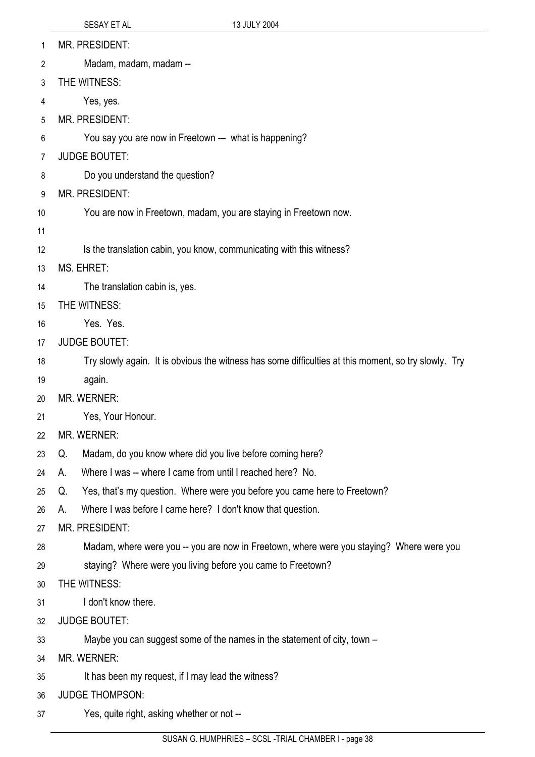| 1  | <b>MR. PRESIDENT:</b>                                                                                |
|----|------------------------------------------------------------------------------------------------------|
| 2  | Madam, madam, madam --                                                                               |
| 3  | THE WITNESS:                                                                                         |
| 4  | Yes, yes.                                                                                            |
| 5  | MR. PRESIDENT:                                                                                       |
| 6  | You say you are now in Freetown -- what is happening?                                                |
| 7  | <b>JUDGE BOUTET:</b>                                                                                 |
| 8  | Do you understand the question?                                                                      |
| 9  | <b>MR. PRESIDENT:</b>                                                                                |
| 10 | You are now in Freetown, madam, you are staying in Freetown now.                                     |
| 11 |                                                                                                      |
| 12 | Is the translation cabin, you know, communicating with this witness?                                 |
| 13 | MS. EHRET:                                                                                           |
| 14 | The translation cabin is, yes.                                                                       |
| 15 | THE WITNESS:                                                                                         |
| 16 | Yes. Yes.                                                                                            |
| 17 | <b>JUDGE BOUTET:</b>                                                                                 |
| 18 | Try slowly again. It is obvious the witness has some difficulties at this moment, so try slowly. Try |
| 19 | again.                                                                                               |
| 20 | <b>MR. WERNER:</b>                                                                                   |
| 21 | Yes, Your Honour.                                                                                    |
| 22 | MR. WERNER:                                                                                          |
| 23 | Madam, do you know where did you live before coming here?<br>Q.                                      |
| 24 | Where I was -- where I came from until I reached here? No.<br>А.                                     |
| 25 | Yes, that's my question. Where were you before you came here to Freetown?<br>Q.                      |
| 26 | Where I was before I came here? I don't know that question.<br>А.                                    |
| 27 | <b>MR. PRESIDENT:</b>                                                                                |
| 28 | Madam, where were you -- you are now in Freetown, where were you staying? Where were you             |
| 29 | staying? Where were you living before you came to Freetown?                                          |
| 30 | THE WITNESS:                                                                                         |
| 31 | I don't know there.                                                                                  |
| 32 | <b>JUDGE BOUTET:</b>                                                                                 |
| 33 | Maybe you can suggest some of the names in the statement of city, town -                             |
| 34 | <b>MR. WERNER:</b>                                                                                   |
| 35 | It has been my request, if I may lead the witness?                                                   |
| 36 | <b>JUDGE THOMPSON:</b>                                                                               |
| 37 | Yes, quite right, asking whether or not --                                                           |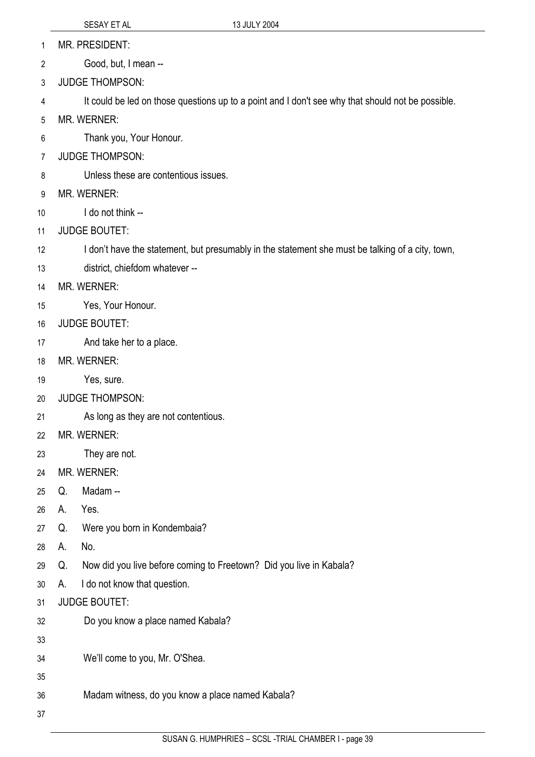- MR. PRESIDENT: 1
- Good, but, I mean -- 2
- 3 JUDGE THOMPSON:
- 4 It could be led on those questions up to a point and I don't see why that should not be possible.
- 5 MR. WERNER:
- 6 Thank you, Your Honour.
- 7 JUDGE THOMPSON:
- 8 Unless these are contentious issues.
- 9 MR. WERNER:
- 10 I do not think --
- 11 JUDGE BOUTET:
- 12 I don't have the statement, but presumably in the statement she must be talking of a city, town,
- 13 district, chiefdom whatever --
- 14 MR. WERNER:
- 15 Yes, Your Honour.
- 16 JUDGE BOUTET:
- 17 And take her to a place.
- 18 MR. WERNER:
- 19 Yes, sure.
- 20 JUDGE THOMPSON:
- 21 As long as they are not contentious.
- 22 MR. WERNER:
- 23 They are not.
- 24 MR. WERNER:
- 25 Q. Madam --
- 26 A. Yes.
- 27 Q. Were you born in Kondembaia?
- 28 A. No.
- 29 Q. Now did you live before coming to Freetown? Did you live in Kabala?
- 30 A. I do not know that question.
- 31 JUDGE BOUTET:
- 32 Do you know a place named Kabala?
- 33
- 34 We'll come to you, Mr. O'Shea.
- 35
- 36 Madam witness, do you know a place named Kabala?
- 37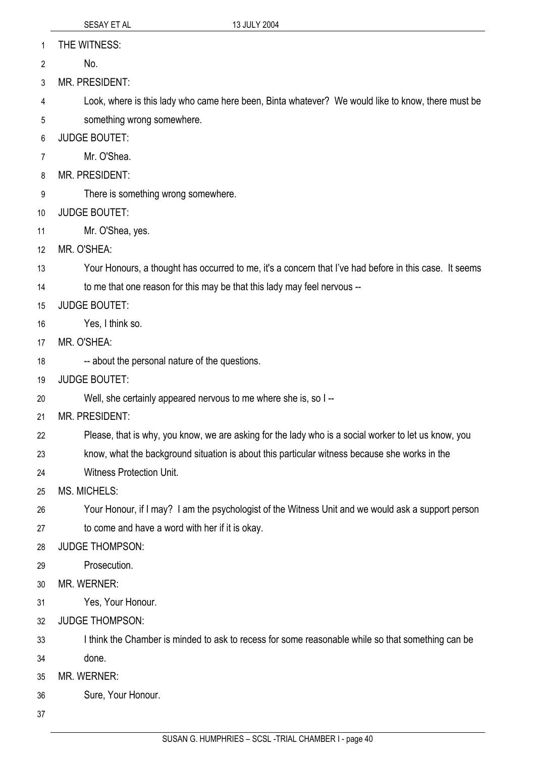- THE WITNESS: 1
- No. 2
- 3 MR. PRESIDENT:

4 5 Look, where is this lady who came here been, Binta whatever? We would like to know, there must be something wrong somewhere.

- 6 JUDGE BOUTET:
- 7 Mr. O'Shea.
- 8 MR. PRESIDENT:
- 9 There is something wrong somewhere.
- 10 JUDGE BOUTET:
- 11 Mr. O'Shea, yes.
- 12 MR. O'SHEA:
- 13 Your Honours, a thought has occurred to me, it's a concern that I've had before in this case. It seems

14 to me that one reason for this may be that this lady may feel nervous --

- 15 JUDGE BOUTET:
- 16 Yes, I think so.
- 17 MR. O'SHEA:
- 18 -- about the personal nature of the questions.
- 19 JUDGE BOUTET:
- 20 Well, she certainly appeared nervous to me where she is, so I --
- 21 MR. PRESIDENT:
- 22 Please, that is why, you know, we are asking for the lady who is a social worker to let us know, you
- 23 know, what the background situation is about this particular witness because she works in the
- 24 Witness Protection Unit.
- 25 MS. MICHELS:
- 26 Your Honour, if I may? I am the psychologist of the Witness Unit and we would ask a support person
- 27 to come and have a word with her if it is okay.
- 28 JUDGE THOMPSON:
- 29 Prosecution.
- 30 MR. WERNER:
- 31 Yes, Your Honour.
- 32 JUDGE THOMPSON:
- 33 I think the Chamber is minded to ask to recess for some reasonable while so that something can be
- 34 done.
- 35 MR. WERNER:
- 36 Sure, Your Honour.
- 37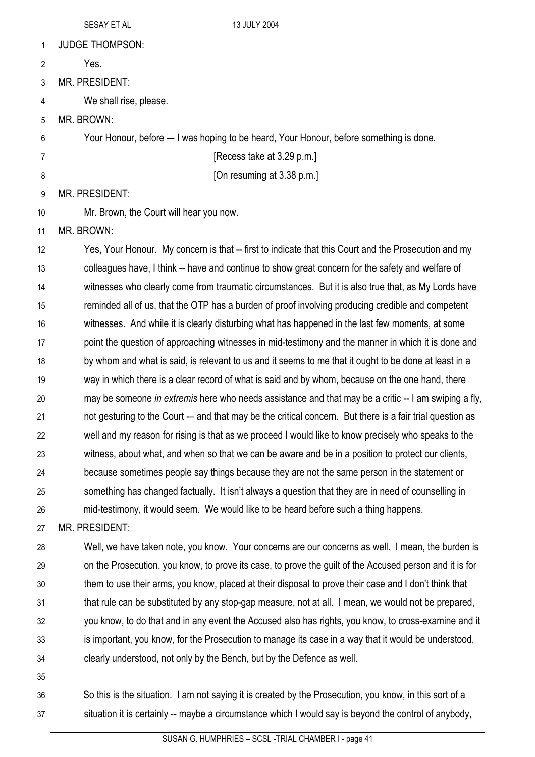| 1              | <b>JUDGE THOMPSON:</b>                                                                                   |
|----------------|----------------------------------------------------------------------------------------------------------|
| 2              | Yes.                                                                                                     |
| 3              | <b>MR. PRESIDENT:</b>                                                                                    |
| 4              | We shall rise, please.                                                                                   |
| 5              | MR. BROWN:                                                                                               |
| 6              | Your Honour, before -- I was hoping to be heard, Your Honour, before something is done.                  |
| $\overline{7}$ | [Recess take at 3.29 p.m.]                                                                               |
| 8              | [On resuming at 3.38 p.m.]                                                                               |
| 9              | <b>MR. PRESIDENT:</b>                                                                                    |
| 10             | Mr. Brown, the Court will hear you now.                                                                  |
| 11             | MR. BROWN:                                                                                               |
| 12             | Yes, Your Honour. My concern is that -- first to indicate that this Court and the Prosecution and my     |
| 13             | colleagues have, I think -- have and continue to show great concern for the safety and welfare of        |
| 14             | witnesses who clearly come from traumatic circumstances. But it is also true that, as My Lords have      |
| 15             | reminded all of us, that the OTP has a burden of proof involving producing credible and competent        |
| 16             | witnesses. And while it is clearly disturbing what has happened in the last few moments, at some         |
| 17             | point the question of approaching witnesses in mid-testimony and the manner in which it is done and      |
| 18             | by whom and what is said, is relevant to us and it seems to me that it ought to be done at least in a    |
| 19             | way in which there is a clear record of what is said and by whom, because on the one hand, there         |
| 20             | may be someone in extremis here who needs assistance and that may be a critic -- I am swiping a fly,     |
| 21             | not gesturing to the Court - and that may be the critical concern. But there is a fair trial question as |
| 22             | well and my reason for rising is that as we proceed I would like to know precisely who speaks to the     |
| 23             | witness, about what, and when so that we can be aware and be in a position to protect our clients,       |
| 24             | because sometimes people say things because they are not the same person in the statement or             |
| 25             | something has changed factually. It isn't always a question that they are in need of counselling in      |
| 26             | mid-testimony, it would seem. We would like to be heard before such a thing happens.                     |
| 27             | MR. PRESIDENT:                                                                                           |
| 28             | Well, we have taken note, you know. Your concerns are our concerns as well. I mean, the burden is        |
| 29             | on the Prosecution, you know, to prove its case, to prove the guilt of the Accused person and it is for  |
| 30             | them to use their arms, you know, placed at their disposal to prove their case and I don't think that    |

- 31 32 that rule can be substituted by any stop-gap measure, not at all. I mean, we would not be prepared, you know, to do that and in any event the Accused also has rights, you know, to cross-examine and it
- 33 34 is important, you know, for the Prosecution to manage its case in a way that it would be understood, clearly understood, not only by the Bench, but by the Defence as well.
- 35

30

36 37 So this is the situation. I am not saying it is created by the Prosecution, you know, in this sort of a situation it is certainly -- maybe a circumstance which I would say is beyond the control of anybody,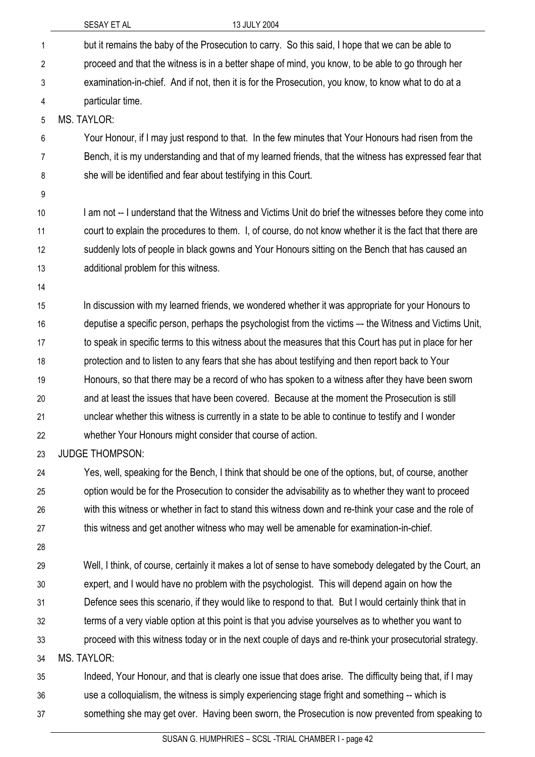|                | SESAY ET AL<br>13 JULY 2004                                                                              |
|----------------|----------------------------------------------------------------------------------------------------------|
| $\mathbf 1$    | but it remains the baby of the Prosecution to carry. So this said, I hope that we can be able to         |
| $\overline{2}$ | proceed and that the witness is in a better shape of mind, you know, to be able to go through her        |
| 3              | examination-in-chief. And if not, then it is for the Prosecution, you know, to know what to do at a      |
| 4              | particular time.                                                                                         |
| 5              | <b>MS. TAYLOR:</b>                                                                                       |
| 6              | Your Honour, if I may just respond to that. In the few minutes that Your Honours had risen from the      |
| 7              | Bench, it is my understanding and that of my learned friends, that the witness has expressed fear that   |
| 8              | she will be identified and fear about testifying in this Court.                                          |
| 9              |                                                                                                          |
| 10             | I am not -- I understand that the Witness and Victims Unit do brief the witnesses before they come into  |
| 11             | court to explain the procedures to them. I, of course, do not know whether it is the fact that there are |
| 12             | suddenly lots of people in black gowns and Your Honours sitting on the Bench that has caused an          |
| 13             | additional problem for this witness.                                                                     |
| 14             |                                                                                                          |
| 15             | In discussion with my learned friends, we wondered whether it was appropriate for your Honours to        |
| 16             | deputise a specific person, perhaps the psychologist from the victims -- the Witness and Victims Unit,   |
| 17             | to speak in specific terms to this witness about the measures that this Court has put in place for her   |
| 18             | protection and to listen to any fears that she has about testifying and then report back to Your         |
| 19             | Honours, so that there may be a record of who has spoken to a witness after they have been sworn         |
| 20             | and at least the issues that have been covered. Because at the moment the Prosecution is still           |
| 21             | unclear whether this witness is currently in a state to be able to continue to testify and I wonder      |
| 22             | whether Your Honours might consider that course of action.                                               |
| 23             | <b>JUDGE THOMPSON:</b>                                                                                   |
| 24             | Yes, well, speaking for the Bench, I think that should be one of the options, but, of course, another    |
| 25             | option would be for the Prosecution to consider the advisability as to whether they want to proceed      |
| 26             | with this witness or whether in fact to stand this witness down and re-think your case and the role of   |
| 27             | this witness and get another witness who may well be amenable for examination-in-chief.                  |
| 28             |                                                                                                          |
| 29             | Well, I think, of course, certainly it makes a lot of sense to have somebody delegated by the Court, an  |
| 30             | expert, and I would have no problem with the psychologist. This will depend again on how the             |
| 31             | Defence sees this scenario, if they would like to respond to that. But I would certainly think that in   |
| 32             | terms of a very viable option at this point is that you advise yourselves as to whether you want to      |
| 33             | proceed with this witness today or in the next couple of days and re-think your prosecutorial strategy.  |
| 34             | <b>MS. TAYLOR:</b>                                                                                       |
| 35             | Indeed, Your Honour, and that is clearly one issue that does arise. The difficulty being that, if I may  |
| 36             | use a colloquialism, the witness is simply experiencing stage fright and something -- which is           |
| 37             | something she may get over. Having been sworn, the Prosecution is now prevented from speaking to         |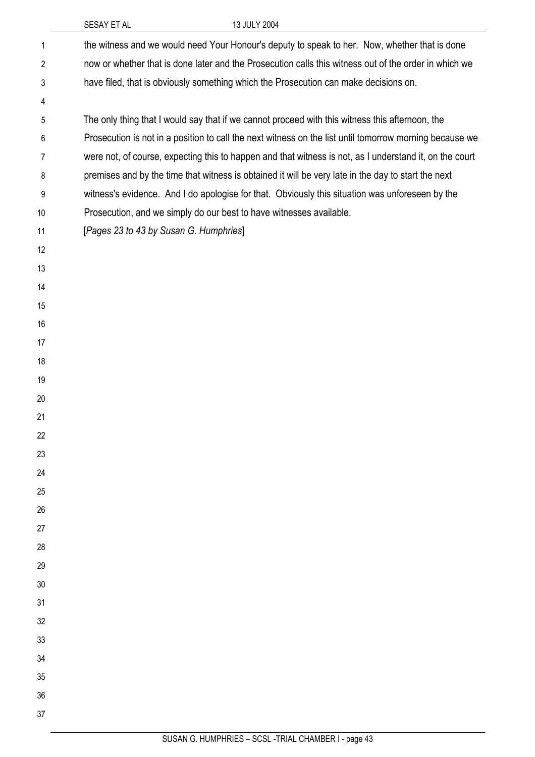|    | SESAY ET AL                                                         | 13 JULY 2004                                                                                            |
|----|---------------------------------------------------------------------|---------------------------------------------------------------------------------------------------------|
| 1  |                                                                     | the witness and we would need Your Honour's deputy to speak to her. Now, whether that is done           |
| 2  |                                                                     | now or whether that is done later and the Prosecution calls this witness out of the order in which we   |
| 3  |                                                                     | have filed, that is obviously something which the Prosecution can make decisions on.                    |
| 4  |                                                                     |                                                                                                         |
| 5  |                                                                     | The only thing that I would say that if we cannot proceed with this witness this afternoon, the         |
| 6  |                                                                     | Prosecution is not in a position to call the next witness on the list until tomorrow morning because we |
| 7  |                                                                     | were not, of course, expecting this to happen and that witness is not, as I understand it, on the court |
| 8  |                                                                     | premises and by the time that witness is obtained it will be very late in the day to start the next     |
| 9  |                                                                     | witness's evidence. And I do apologise for that. Obviously this situation was unforeseen by the         |
| 10 | Prosecution, and we simply do our best to have witnesses available. |                                                                                                         |
| 11 | [Pages 23 to 43 by Susan G. Humphries]                              |                                                                                                         |
| 12 |                                                                     |                                                                                                         |
| 13 |                                                                     |                                                                                                         |
| 14 |                                                                     |                                                                                                         |
| 15 |                                                                     |                                                                                                         |
| 16 |                                                                     |                                                                                                         |
| 17 |                                                                     |                                                                                                         |
| 18 |                                                                     |                                                                                                         |
| 19 |                                                                     |                                                                                                         |
| 20 |                                                                     |                                                                                                         |
| 21 |                                                                     |                                                                                                         |
| 22 |                                                                     |                                                                                                         |
| 23 |                                                                     |                                                                                                         |
| 24 |                                                                     |                                                                                                         |
| 25 |                                                                     |                                                                                                         |
| 26 |                                                                     |                                                                                                         |
| 27 |                                                                     |                                                                                                         |
| 28 |                                                                     |                                                                                                         |
| 29 |                                                                     |                                                                                                         |
| 30 |                                                                     |                                                                                                         |
| 31 |                                                                     |                                                                                                         |
| 32 |                                                                     |                                                                                                         |
| 33 |                                                                     |                                                                                                         |
| 34 |                                                                     |                                                                                                         |
| 35 |                                                                     |                                                                                                         |
| 36 |                                                                     |                                                                                                         |
| 37 |                                                                     |                                                                                                         |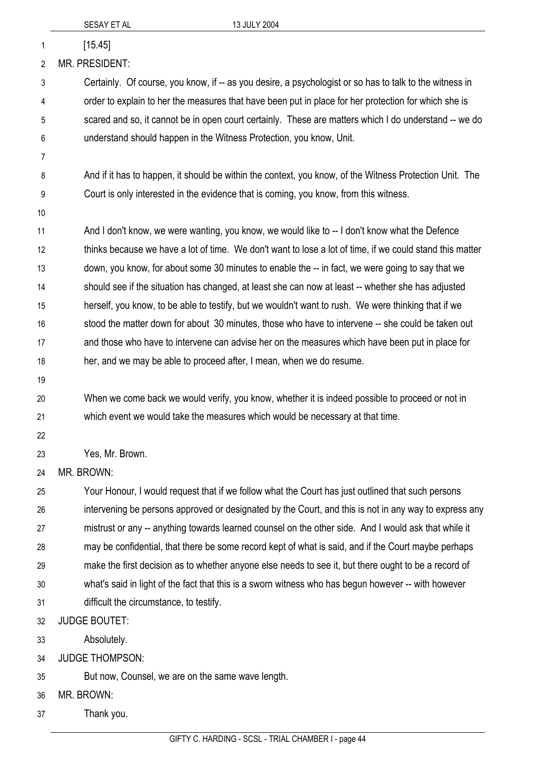| 1              | [15.45]                                                                                                  |
|----------------|----------------------------------------------------------------------------------------------------------|
| $\overline{2}$ | <b>MR. PRESIDENT:</b>                                                                                    |
| 3              | Certainly. Of course, you know, if -- as you desire, a psychologist or so has to talk to the witness in  |
| 4              | order to explain to her the measures that have been put in place for her protection for which she is     |
| 5              | scared and so, it cannot be in open court certainly. These are matters which I do understand -- we do    |
| 6              | understand should happen in the Witness Protection, you know, Unit.                                      |
| 7              |                                                                                                          |
| 8              | And if it has to happen, it should be within the context, you know, of the Witness Protection Unit. The  |
| 9              | Court is only interested in the evidence that is coming, you know, from this witness.                    |
| 10             |                                                                                                          |
| 11             | And I don't know, we were wanting, you know, we would like to -- I don't know what the Defence           |
| 12             | thinks because we have a lot of time. We don't want to lose a lot of time, if we could stand this matter |
| 13             | down, you know, for about some 30 minutes to enable the -- in fact, we were going to say that we         |
| 14             | should see if the situation has changed, at least she can now at least -- whether she has adjusted       |
| 15             | herself, you know, to be able to testify, but we wouldn't want to rush. We were thinking that if we      |
| 16             | stood the matter down for about 30 minutes, those who have to intervene -- she could be taken out        |
| 17             | and those who have to intervene can advise her on the measures which have been put in place for          |
| 18             | her, and we may be able to proceed after, I mean, when we do resume.                                     |
| 19             |                                                                                                          |
| 20             | When we come back we would verify, you know, whether it is indeed possible to proceed or not in          |
| 21             | which event we would take the measures which would be necessary at that time.                            |
| 22             |                                                                                                          |
| 23             | Yes, Mr. Brown.                                                                                          |
| 24             | MR. BROWN:                                                                                               |
| 25             | Your Honour, I would request that if we follow what the Court has just outlined that such persons        |
| 26             | intervening be persons approved or designated by the Court, and this is not in any way to express any    |
| 27             | mistrust or any -- anything towards learned counsel on the other side. And I would ask that while it     |
| 28             | may be confidential, that there be some record kept of what is said, and if the Court maybe perhaps      |
| 29             | make the first decision as to whether anyone else needs to see it, but there ought to be a record of     |
| 30             | what's said in light of the fact that this is a sworn witness who has begun however -- with however      |
| 31             | difficult the circumstance, to testify.                                                                  |
| 32             | <b>JUDGE BOUTET:</b>                                                                                     |
| 33             | Absolutely.                                                                                              |
| 34             | <b>JUDGE THOMPSON:</b>                                                                                   |
| 35             | But now, Counsel, we are on the same wave length.                                                        |
| 36             | MR. BROWN:                                                                                               |

37 Thank you.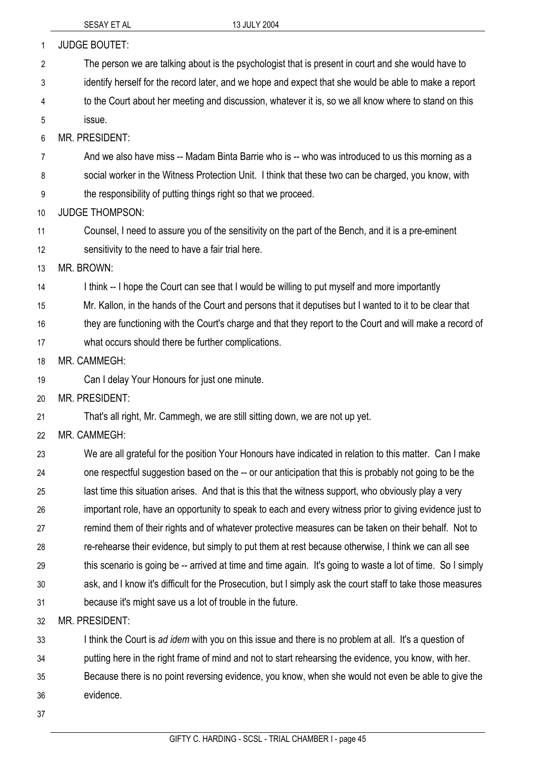| $\mathbf{1}$   | <b>JUDGE BOUTET:</b>                                                                                             |
|----------------|------------------------------------------------------------------------------------------------------------------|
| $\overline{2}$ | The person we are talking about is the psychologist that is present in court and she would have to               |
| 3              | identify herself for the record later, and we hope and expect that she would be able to make a report            |
| 4              | to the Court about her meeting and discussion, whatever it is, so we all know where to stand on this             |
| 5              | issue.                                                                                                           |
| 6              | MR. PRESIDENT:                                                                                                   |
| 7              | And we also have miss -- Madam Binta Barrie who is -- who was introduced to us this morning as a                 |
| 8              | social worker in the Witness Protection Unit. I think that these two can be charged, you know, with              |
| 9              | the responsibility of putting things right so that we proceed.                                                   |
| 10             | <b>JUDGE THOMPSON:</b>                                                                                           |
| 11             | Counsel, I need to assure you of the sensitivity on the part of the Bench, and it is a pre-eminent               |
| 12             | sensitivity to the need to have a fair trial here.                                                               |
| 13             | MR. BROWN:                                                                                                       |
| 14             | I think -- I hope the Court can see that I would be willing to put myself and more importantly                   |
| 15             | Mr. Kallon, in the hands of the Court and persons that it deputises but I wanted to it to be clear that          |
| 16             | they are functioning with the Court's charge and that they report to the Court and will make a record of         |
| 17             | what occurs should there be further complications.                                                               |
| 18             | MR. CAMMEGH:                                                                                                     |
| 19             | Can I delay Your Honours for just one minute.                                                                    |
| 20             | MR. PRESIDENT:                                                                                                   |
| 21             | That's all right, Mr. Cammegh, we are still sitting down, we are not up yet.                                     |
| 22             | MR. CAMMEGH:                                                                                                     |
| 23             | We are all grateful for the position Your Honours have indicated in relation to this matter. Can I make          |
| 24             | one respectful suggestion based on the -- or our anticipation that this is probably not going to be the          |
| 25             | last time this situation arises. And that is this that the witness support, who obviously play a very            |
| 26             | important role, have an opportunity to speak to each and every witness prior to giving evidence just to          |
| 27             | remind them of their rights and of whatever protective measures can be taken on their behalf. Not to             |
| 28             | re-rehearse their evidence, but simply to put them at rest because otherwise, I think we can all see             |
| 29             | this scenario is going be -- arrived at time and time again. It's going to waste a lot of time. So I simply      |
| 30             | ask, and I know it's difficult for the Prosecution, but I simply ask the court staff to take those measures      |
| 31             | because it's might save us a lot of trouble in the future.                                                       |
| 32             | <b>MR. PRESIDENT:</b>                                                                                            |
| 33             | I think the Court is ad idem with you on this issue and there is no problem at all. It's a question of           |
| 34             | putting here in the right frame of mind and not to start rehearsing the evidence, you know, with her.            |
|                |                                                                                                                  |
| 35             | Because there is no point reversing evidence, you know, when she would not even be able to give the<br>evidence. |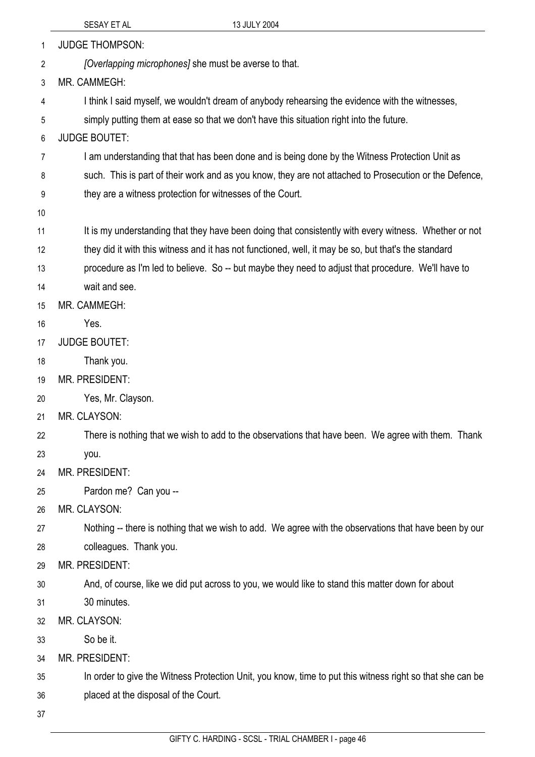|    | 13 JULY 2004<br>SESAY ET AL                                                                               |
|----|-----------------------------------------------------------------------------------------------------------|
| 1  | <b>JUDGE THOMPSON:</b>                                                                                    |
| 2  | [Overlapping microphones] she must be averse to that.                                                     |
| 3  | MR. CAMMEGH:                                                                                              |
| 4  | I think I said myself, we wouldn't dream of anybody rehearsing the evidence with the witnesses,           |
| 5  | simply putting them at ease so that we don't have this situation right into the future.                   |
| 6  | <b>JUDGE BOUTET:</b>                                                                                      |
| 7  | I am understanding that that has been done and is being done by the Witness Protection Unit as            |
| 8  | such. This is part of their work and as you know, they are not attached to Prosecution or the Defence,    |
| 9  | they are a witness protection for witnesses of the Court.                                                 |
| 10 |                                                                                                           |
| 11 | It is my understanding that they have been doing that consistently with every witness. Whether or not     |
| 12 | they did it with this witness and it has not functioned, well, it may be so, but that's the standard      |
| 13 | procedure as I'm led to believe. So -- but maybe they need to adjust that procedure. We'll have to        |
| 14 | wait and see.                                                                                             |
| 15 | MR. CAMMEGH:                                                                                              |
| 16 | Yes.                                                                                                      |
| 17 | <b>JUDGE BOUTET:</b>                                                                                      |
| 18 | Thank you.                                                                                                |
| 19 | <b>MR. PRESIDENT:</b>                                                                                     |
| 20 | Yes, Mr. Clayson.                                                                                         |
| 21 | MR. CLAYSON:                                                                                              |
| 22 | There is nothing that we wish to add to the observations that have been. We agree with them. Thank        |
| 23 | you.                                                                                                      |
| 24 | <b>MR. PRESIDENT:</b>                                                                                     |
| 25 | Pardon me? Can you --                                                                                     |
| 26 | MR. CLAYSON:                                                                                              |
| 27 | Nothing -- there is nothing that we wish to add. We agree with the observations that have been by our     |
| 28 | colleagues. Thank you.                                                                                    |
| 29 | MR. PRESIDENT:                                                                                            |
| 30 | And, of course, like we did put across to you, we would like to stand this matter down for about          |
| 31 | 30 minutes.                                                                                               |
| 32 | MR. CLAYSON:                                                                                              |
| 33 | So be it.                                                                                                 |
| 34 | MR. PRESIDENT:                                                                                            |
| 35 | In order to give the Witness Protection Unit, you know, time to put this witness right so that she can be |
| 36 | placed at the disposal of the Court.                                                                      |
| 37 |                                                                                                           |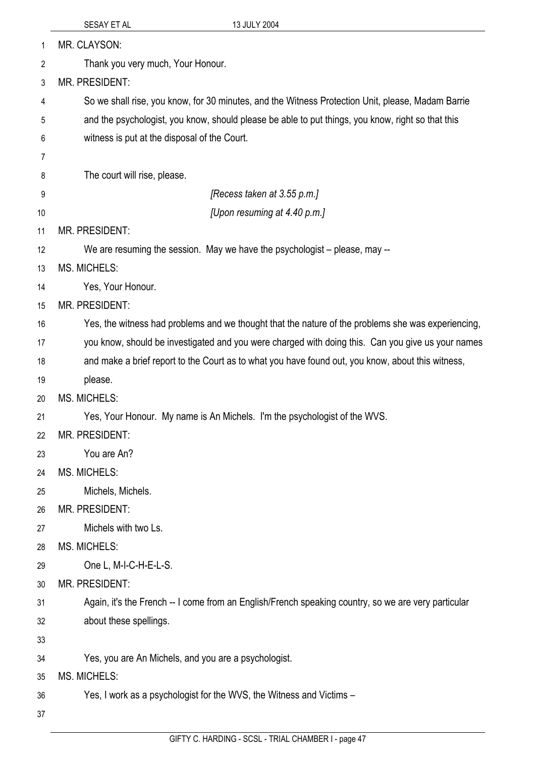|          | 13 JULY 2004<br>SESAY ET AL                                                                         |
|----------|-----------------------------------------------------------------------------------------------------|
| 1        | MR. CLAYSON:                                                                                        |
| 2        | Thank you very much, Your Honour.                                                                   |
| 3        | MR. PRESIDENT:                                                                                      |
| 4        | So we shall rise, you know, for 30 minutes, and the Witness Protection Unit, please, Madam Barrie   |
| 5        | and the psychologist, you know, should please be able to put things, you know, right so that this   |
| 6        | witness is put at the disposal of the Court.                                                        |
| 7        |                                                                                                     |
| 8        | The court will rise, please.                                                                        |
| 9        | [Recess taken at 3.55 p.m.]                                                                         |
| 10       | [Upon resuming at 4.40 p.m.]                                                                        |
| 11       | <b>MR. PRESIDENT:</b>                                                                               |
| 12       | We are resuming the session. May we have the psychologist – please, may --                          |
| 13       | <b>MS. MICHELS:</b>                                                                                 |
| 14       | Yes, Your Honour.                                                                                   |
| 15       | MR. PRESIDENT:                                                                                      |
| 16       | Yes, the witness had problems and we thought that the nature of the problems she was experiencing,  |
| 17       | you know, should be investigated and you were charged with doing this. Can you give us your names   |
| 18       | and make a brief report to the Court as to what you have found out, you know, about this witness,   |
| 19       | please.                                                                                             |
| 20       | <b>MS. MICHELS:</b>                                                                                 |
| 21       | Yes, Your Honour. My name is An Michels. I'm the psychologist of the WVS.                           |
| 22       | <b>MR. PRESIDENT:</b>                                                                               |
| 23       | You are An?                                                                                         |
| 24       | <b>MS. MICHELS:</b>                                                                                 |
| 25       | Michels, Michels.                                                                                   |
| 26       | <b>MR. PRESIDENT:</b>                                                                               |
| 27       | Michels with two Ls.                                                                                |
| 28       | <b>MS. MICHELS:</b><br>One L, M-I-C-H-E-L-S.                                                        |
| 29<br>30 | MR. PRESIDENT:                                                                                      |
| 31       | Again, it's the French -- I come from an English/French speaking country, so we are very particular |
| 32       | about these spellings.                                                                              |
| 33       |                                                                                                     |
| 34       | Yes, you are An Michels, and you are a psychologist.                                                |
| 35       | <b>MS. MICHELS:</b>                                                                                 |
| 36       | Yes, I work as a psychologist for the WVS, the Witness and Victims -                                |
| 37       |                                                                                                     |
|          |                                                                                                     |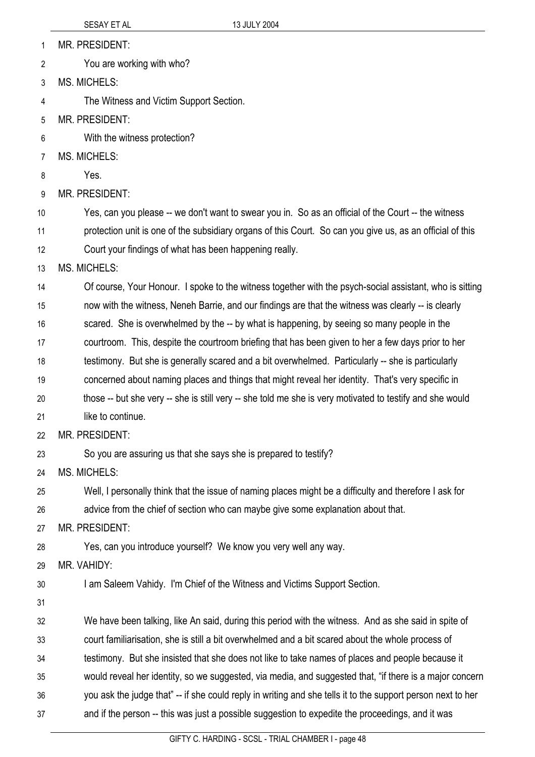- MR. PRESIDENT: 1
- You are working with who? 2
- 3 MS. MICHELS:
- 4 The Witness and Victim Support Section.
- 5 MR. PRESIDENT:
- 6 With the witness protection?
- 7 MS. MICHELS:
- 8 Yes.
- 9 MR. PRESIDENT:

10 11 12 Yes, can you please -- we don't want to swear you in. So as an official of the Court -- the witness protection unit is one of the subsidiary organs of this Court. So can you give us, as an official of this Court your findings of what has been happening really.

13 MS. MICHELS:

14 Of course, Your Honour. I spoke to the witness together with the psych-social assistant, who is sitting

15 now with the witness, Neneh Barrie, and our findings are that the witness was clearly -- is clearly

- 16 scared. She is overwhelmed by the -- by what is happening, by seeing so many people in the
- 17 courtroom. This, despite the courtroom briefing that has been given to her a few days prior to her
- 18 testimony. But she is generally scared and a bit overwhelmed. Particularly -- she is particularly
- 19 concerned about naming places and things that might reveal her identity. That's very specific in
- 20 21 those -- but she very -- she is still very -- she told me she is very motivated to testify and she would like to continue.
- 22 MR. PRESIDENT:
- 23 So you are assuring us that she says she is prepared to testify?

24 MS. MICHELS:

25 Well, I personally think that the issue of naming places might be a difficulty and therefore I ask for

26 advice from the chief of section who can maybe give some explanation about that.

27 MR. PRESIDENT:

28 Yes, can you introduce yourself? We know you very well any way.

- 29 MR. VAHIDY:
- 30 I am Saleem Vahidy. I'm Chief of the Witness and Victims Support Section.
- 31

32 We have been talking, like An said, during this period with the witness. And as she said in spite of

33 court familiarisation, she is still a bit overwhelmed and a bit scared about the whole process of

- 34 testimony. But she insisted that she does not like to take names of places and people because it
- 35 would reveal her identity, so we suggested, via media, and suggested that, "if there is a major concern
- 36 you ask the judge that" -- if she could reply in writing and she tells it to the support person next to her
- 37 and if the person -- this was just a possible suggestion to expedite the proceedings, and it was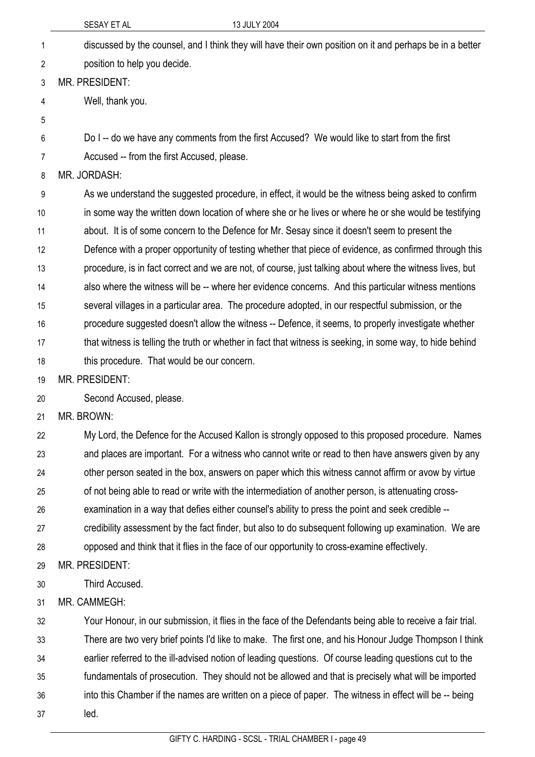SESAY ET AL 13 JULY 2004 discussed by the counsel, and I think they will have their own position on it and perhaps be in a better position to help you decide. 1 2 3 4 5 6 7 8 9 10 11 12 13 14 15 16 17 18 19 20 21 22 23 24 25 26 27 28 29 30 31 MR. PRESIDENT: Well, thank you. Do I -- do we have any comments from the first Accused? We would like to start from the first Accused -- from the first Accused, please. MR. JORDASH: As we understand the suggested procedure, in effect, it would be the witness being asked to confirm in some way the written down location of where she or he lives or where he or she would be testifying about. It is of some concern to the Defence for Mr. Sesay since it doesn't seem to present the Defence with a proper opportunity of testing whether that piece of evidence, as confirmed through this procedure, is in fact correct and we are not, of course, just talking about where the witness lives, but also where the witness will be -- where her evidence concerns. And this particular witness mentions several villages in a particular area. The procedure adopted, in our respectful submission, or the procedure suggested doesn't allow the witness -- Defence, it seems, to properly investigate whether that witness is telling the truth or whether in fact that witness is seeking, in some way, to hide behind this procedure. That would be our concern. MR. PRESIDENT: Second Accused, please. MR. BROWN: My Lord, the Defence for the Accused Kallon is strongly opposed to this proposed procedure. Names and places are important. For a witness who cannot write or read to then have answers given by any other person seated in the box, answers on paper which this witness cannot affirm or avow by virtue of not being able to read or write with the intermediation of another person, is attenuating crossexamination in a way that defies either counsel's ability to press the point and seek credible - credibility assessment by the fact finder, but also to do subsequent following up examination. We are opposed and think that it flies in the face of our opportunity to cross-examine effectively. MR. PRESIDENT: Third Accused. MR. CAMMEGH:

32 33 34 35 36 37 Your Honour, in our submission, it flies in the face of the Defendants being able to receive a fair trial. There are two very brief points I'd like to make. The first one, and his Honour Judge Thompson I think earlier referred to the ill-advised notion of leading questions. Of course leading questions cut to the fundamentals of prosecution. They should not be allowed and that is precisely what will be imported into this Chamber if the names are written on a piece of paper. The witness in effect will be -- being led.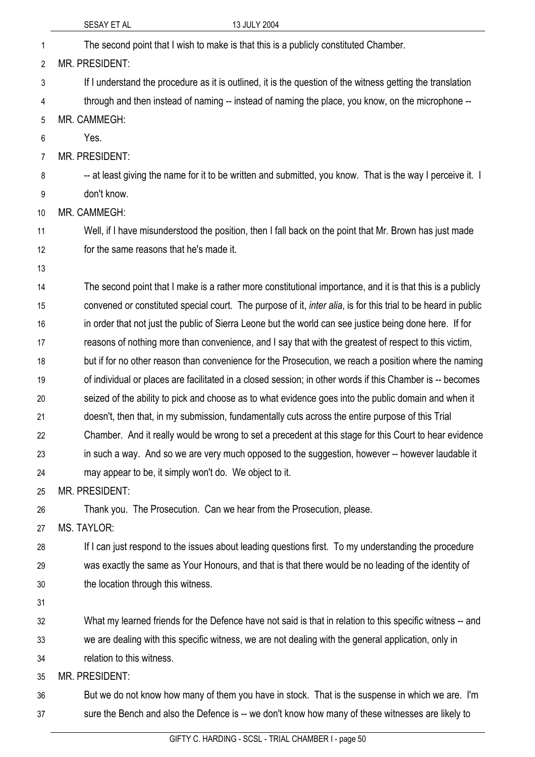|                | 13 JULY 2004<br>SESAY ET AL                                                                                   |  |
|----------------|---------------------------------------------------------------------------------------------------------------|--|
| 1              | The second point that I wish to make is that this is a publicly constituted Chamber.                          |  |
| $\overline{2}$ | MR. PRESIDENT:                                                                                                |  |
| 3              | If I understand the procedure as it is outlined, it is the question of the witness getting the translation    |  |
| 4              | through and then instead of naming -- instead of naming the place, you know, on the microphone --             |  |
| 5              | MR. CAMMEGH:                                                                                                  |  |
| 6              | Yes.                                                                                                          |  |
| 7              | <b>MR. PRESIDENT:</b>                                                                                         |  |
| 8              | -- at least giving the name for it to be written and submitted, you know. That is the way I perceive it. I    |  |
| 9              | don't know.                                                                                                   |  |
| 10             | MR. CAMMEGH:                                                                                                  |  |
| 11             | Well, if I have misunderstood the position, then I fall back on the point that Mr. Brown has just made        |  |
| 12             | for the same reasons that he's made it.                                                                       |  |
| 13             |                                                                                                               |  |
| 14             | The second point that I make is a rather more constitutional importance, and it is that this is a publicly    |  |
| 15             | convened or constituted special court. The purpose of it, inter alia, is for this trial to be heard in public |  |
| 16             | in order that not just the public of Sierra Leone but the world can see justice being done here. If for       |  |
| 17             | reasons of nothing more than convenience, and I say that with the greatest of respect to this victim,         |  |
| 18             | but if for no other reason than convenience for the Prosecution, we reach a position where the naming         |  |
| 19             | of individual or places are facilitated in a closed session; in other words if this Chamber is -- becomes     |  |
| 20             | seized of the ability to pick and choose as to what evidence goes into the public domain and when it          |  |
| 21             | doesn't, then that, in my submission, fundamentally cuts across the entire purpose of this Trial              |  |
| 22             | Chamber. And it really would be wrong to set a precedent at this stage for this Court to hear evidence        |  |
| 23             | in such a way. And so we are very much opposed to the suggestion, however -- however laudable it              |  |
| 24             | may appear to be, it simply won't do. We object to it.                                                        |  |
| 25             | MR. PRESIDENT:                                                                                                |  |
| 26             | Thank you. The Prosecution. Can we hear from the Prosecution, please.                                         |  |
| 27             | <b>MS. TAYLOR:</b>                                                                                            |  |
| 28             | If I can just respond to the issues about leading questions first. To my understanding the procedure          |  |
| 29             | was exactly the same as Your Honours, and that is that there would be no leading of the identity of           |  |
| 30             | the location through this witness.                                                                            |  |
| 31             |                                                                                                               |  |
| 32             | What my learned friends for the Defence have not said is that in relation to this specific witness -- and     |  |
| 33             | we are dealing with this specific witness, we are not dealing with the general application, only in           |  |
| 34             | relation to this witness.                                                                                     |  |
| 35             | MR. PRESIDENT:                                                                                                |  |
| 36             | But we do not know how many of them you have in stock. That is the suspense in which we are. I'm              |  |
| 37             | sure the Bench and also the Defence is -- we don't know how many of these witnesses are likely to             |  |
|                | CIETY CUMPDING SCOL TRIAL CUMPERL 2000 50                                                                     |  |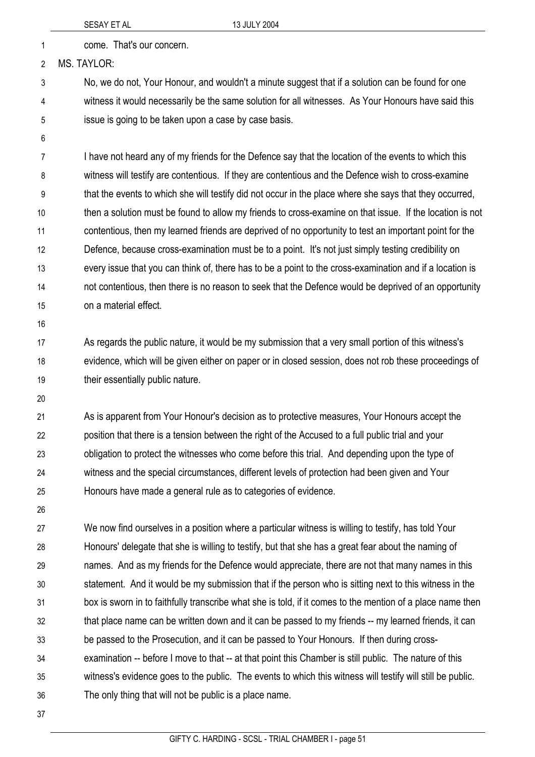1 come. That's our concern.

2 MS. TAYLOR:

3 4 5 No, we do not, Your Honour, and wouldn't a minute suggest that if a solution can be found for one witness it would necessarily be the same solution for all witnesses. As Your Honours have said this issue is going to be taken upon a case by case basis.

6

7 8 9 10 11 12 13 14 15 I have not heard any of my friends for the Defence say that the location of the events to which this witness will testify are contentious. If they are contentious and the Defence wish to cross-examine that the events to which she will testify did not occur in the place where she says that they occurred, then a solution must be found to allow my friends to cross-examine on that issue. If the location is not contentious, then my learned friends are deprived of no opportunity to test an important point for the Defence, because cross-examination must be to a point. It's not just simply testing credibility on every issue that you can think of, there has to be a point to the cross-examination and if a location is not contentious, then there is no reason to seek that the Defence would be deprived of an opportunity on a material effect.

16

17 18 19 As regards the public nature, it would be my submission that a very small portion of this witness's evidence, which will be given either on paper or in closed session, does not rob these proceedings of their essentially public nature.

20

21 22 23 24 25 As is apparent from Your Honour's decision as to protective measures, Your Honours accept the position that there is a tension between the right of the Accused to a full public trial and your obligation to protect the witnesses who come before this trial. And depending upon the type of witness and the special circumstances, different levels of protection had been given and Your Honours have made a general rule as to categories of evidence.

26

27 28 29 30 31 32 33 34 35 36 We now find ourselves in a position where a particular witness is willing to testify, has told Your Honours' delegate that she is willing to testify, but that she has a great fear about the naming of names. And as my friends for the Defence would appreciate, there are not that many names in this statement. And it would be my submission that if the person who is sitting next to this witness in the box is sworn in to faithfully transcribe what she is told, if it comes to the mention of a place name then that place name can be written down and it can be passed to my friends -- my learned friends, it can be passed to the Prosecution, and it can be passed to Your Honours. If then during crossexamination -- before I move to that -- at that point this Chamber is still public. The nature of this witness's evidence goes to the public. The events to which this witness will testify will still be public. The only thing that will not be public is a place name.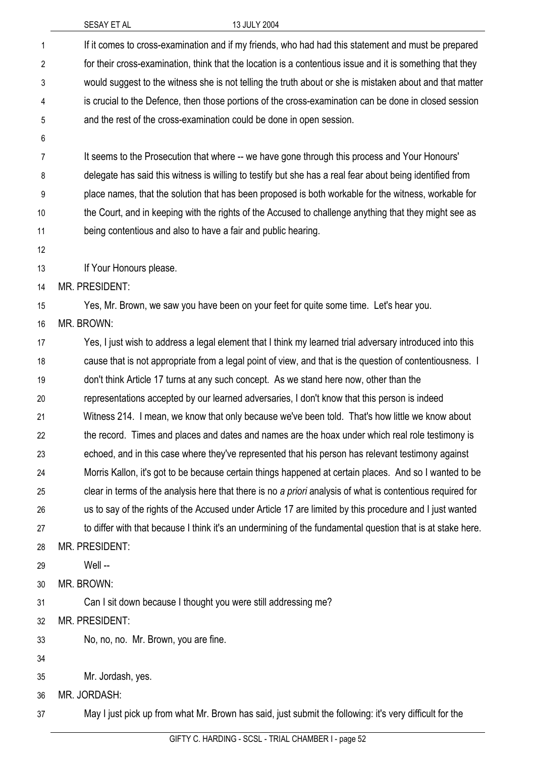|                | <b>SESAY ET AL</b><br>13 JULY 2004                                                                         |
|----------------|------------------------------------------------------------------------------------------------------------|
| 1              | If it comes to cross-examination and if my friends, who had had this statement and must be prepared        |
| $\overline{2}$ | for their cross-examination, think that the location is a contentious issue and it is something that they  |
| 3              | would suggest to the witness she is not telling the truth about or she is mistaken about and that matter   |
| 4              | is crucial to the Defence, then those portions of the cross-examination can be done in closed session      |
| 5              | and the rest of the cross-examination could be done in open session.                                       |
| 6              |                                                                                                            |
| 7              | It seems to the Prosecution that where -- we have gone through this process and Your Honours'              |
| 8              | delegate has said this witness is willing to testify but she has a real fear about being identified from   |
| 9              | place names, that the solution that has been proposed is both workable for the witness, workable for       |
| 10             | the Court, and in keeping with the rights of the Accused to challenge anything that they might see as      |
| 11             | being contentious and also to have a fair and public hearing.                                              |
| 12             |                                                                                                            |
| 13             | If Your Honours please.                                                                                    |
| 14             | MR. PRESIDENT:                                                                                             |
| 15             | Yes, Mr. Brown, we saw you have been on your feet for quite some time. Let's hear you.                     |
| 16             | MR. BROWN:                                                                                                 |
| 17             | Yes, I just wish to address a legal element that I think my learned trial adversary introduced into this   |
| 18             | cause that is not appropriate from a legal point of view, and that is the question of contentiousness. I   |
| 19             | don't think Article 17 turns at any such concept. As we stand here now, other than the                     |
| 20             | representations accepted by our learned adversaries, I don't know that this person is indeed               |
| 21             | Witness 214. I mean, we know that only because we've been told. That's how little we know about            |
| 22             | the record. Times and places and dates and names are the hoax under which real role testimony is           |
| 23             | echoed, and in this case where they've represented that his person has relevant testimony against          |
| 24             | Morris Kallon, it's got to be because certain things happened at certain places. And so I wanted to be     |
| 25             | clear in terms of the analysis here that there is no a priori analysis of what is contentious required for |
| 26             | us to say of the rights of the Accused under Article 17 are limited by this procedure and I just wanted    |
| 27             | to differ with that because I think it's an undermining of the fundamental question that is at stake here. |
| 28             | MR. PRESIDENT:                                                                                             |
| 29             | Well --                                                                                                    |
| 30             | MR. BROWN:                                                                                                 |
| 31             | Can I sit down because I thought you were still addressing me?                                             |
| 32             | MR. PRESIDENT:                                                                                             |
| 33             | No, no, no. Mr. Brown, you are fine.                                                                       |
| 34             |                                                                                                            |
| 35             | Mr. Jordash, yes.                                                                                          |
| 36             | MR. JORDASH:                                                                                               |
| 37             | May I just pick up from what Mr. Brown has said, just submit the following: it's very difficult for the    |
|                |                                                                                                            |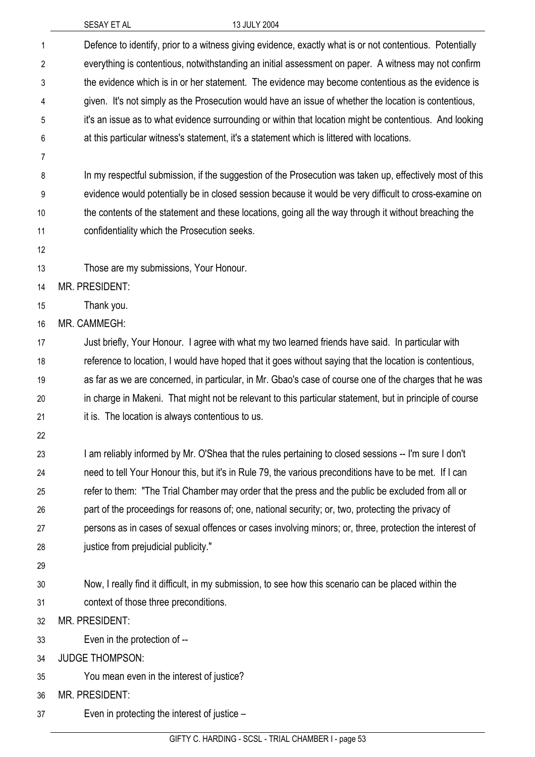|                | SESAY ET AL                                      | 13 JULY 2004                                                                                             |
|----------------|--------------------------------------------------|----------------------------------------------------------------------------------------------------------|
| 1              |                                                  | Defence to identify, prior to a witness giving evidence, exactly what is or not contentious. Potentially |
| $\overline{2}$ |                                                  | everything is contentious, notwithstanding an initial assessment on paper. A witness may not confirm     |
| 3              |                                                  | the evidence which is in or her statement. The evidence may become contentious as the evidence is        |
| 4              |                                                  | given. It's not simply as the Prosecution would have an issue of whether the location is contentious,    |
| 5              |                                                  | it's an issue as to what evidence surrounding or within that location might be contentious. And looking  |
| 6              |                                                  | at this particular witness's statement, it's a statement which is littered with locations.               |
| 7              |                                                  |                                                                                                          |
| 8              |                                                  | In my respectful submission, if the suggestion of the Prosecution was taken up, effectively most of this |
| 9              |                                                  | evidence would potentially be in closed session because it would be very difficult to cross-examine on   |
| 10             |                                                  | the contents of the statement and these locations, going all the way through it without breaching the    |
| 11             | confidentiality which the Prosecution seeks.     |                                                                                                          |
| 12             |                                                  |                                                                                                          |
| 13             | Those are my submissions, Your Honour.           |                                                                                                          |
| 14             | MR. PRESIDENT:                                   |                                                                                                          |
| 15             | Thank you.                                       |                                                                                                          |
| 16             | MR. CAMMEGH:                                     |                                                                                                          |
| 17             |                                                  | Just briefly, Your Honour. I agree with what my two learned friends have said. In particular with        |
| 18             |                                                  | reference to location, I would have hoped that it goes without saying that the location is contentious,  |
| 19             |                                                  | as far as we are concerned, in particular, in Mr. Gbao's case of course one of the charges that he was   |
| 20             |                                                  | in charge in Makeni. That might not be relevant to this particular statement, but in principle of course |
| 21             | it is. The location is always contentious to us. |                                                                                                          |
| 22             |                                                  |                                                                                                          |
| 23             |                                                  | I am reliably informed by Mr. O'Shea that the rules pertaining to closed sessions -- I'm sure I don't    |
| 24             |                                                  | need to tell Your Honour this, but it's in Rule 79, the various preconditions have to be met. If I can   |
| 25             |                                                  | refer to them: "The Trial Chamber may order that the press and the public be excluded from all or        |
| 26             |                                                  | part of the proceedings for reasons of; one, national security; or, two, protecting the privacy of       |
| 27             |                                                  | persons as in cases of sexual offences or cases involving minors; or, three, protection the interest of  |
| 28             | justice from prejudicial publicity."             |                                                                                                          |
| 29             |                                                  |                                                                                                          |
| 30             |                                                  | Now, I really find it difficult, in my submission, to see how this scenario can be placed within the     |
| 31             | context of those three preconditions.            |                                                                                                          |
| 32             | MR. PRESIDENT:                                   |                                                                                                          |
| 33             | Even in the protection of --                     |                                                                                                          |
| 34             | <b>JUDGE THOMPSON:</b>                           |                                                                                                          |
| 35             | You mean even in the interest of justice?        |                                                                                                          |
| 36             | MR. PRESIDENT:                                   |                                                                                                          |
| 37             | Even in protecting the interest of justice -     |                                                                                                          |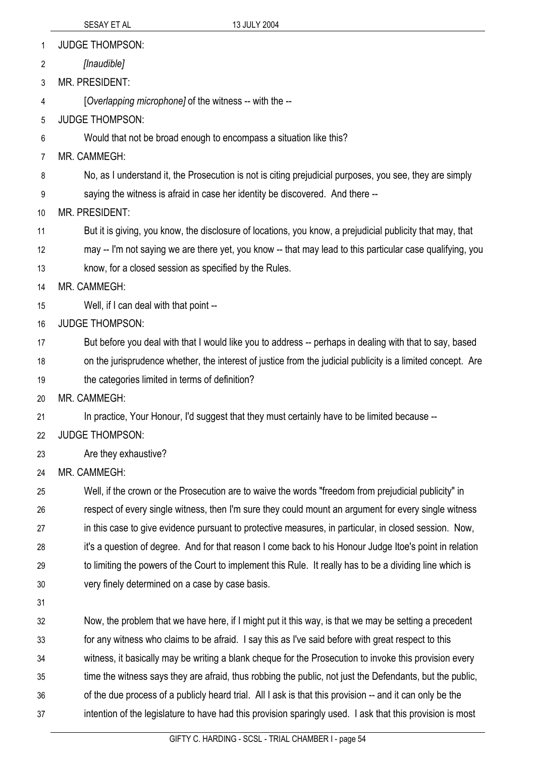1 JUDGE THOMPSON:

2 *[Inaudible]* 

3 MR. PRESIDENT:

4 [*Overlapping microphone]* of the witness -- with the --

5 JUDGE THOMPSON:

6 Would that not be broad enough to encompass a situation like this?

7 MR. CAMMEGH:

8 No, as I understand it, the Prosecution is not is citing prejudicial purposes, you see, they are simply

9 saying the witness is afraid in case her identity be discovered. And there --

10 MR. PRESIDENT:

11 But it is giving, you know, the disclosure of locations, you know, a prejudicial publicity that may, that

12 may -- I'm not saying we are there yet, you know -- that may lead to this particular case qualifying, you

13 know, for a closed session as specified by the Rules.

14 MR. CAMMEGH:

- 15 Well, if I can deal with that point --
- 16 JUDGE THOMPSON:

17 But before you deal with that I would like you to address -- perhaps in dealing with that to say, based

- 18 on the jurisprudence whether, the interest of justice from the judicial publicity is a limited concept. Are
- 19 the categories limited in terms of definition?

20 MR. CAMMEGH:

21 In practice, Your Honour, I'd suggest that they must certainly have to be limited because --

- 22 JUDGE THOMPSON:
- 23 Are they exhaustive?
- 24 MR. CAMMEGH:

25 26 27 28 29 30 Well, if the crown or the Prosecution are to waive the words "freedom from prejudicial publicity" in respect of every single witness, then I'm sure they could mount an argument for every single witness in this case to give evidence pursuant to protective measures, in particular, in closed session. Now, it's a question of degree. And for that reason I come back to his Honour Judge Itoe's point in relation to limiting the powers of the Court to implement this Rule. It really has to be a dividing line which is very finely determined on a case by case basis.

31

32 33 34 35 36 37 Now, the problem that we have here, if I might put it this way, is that we may be setting a precedent for any witness who claims to be afraid. I say this as I've said before with great respect to this witness, it basically may be writing a blank cheque for the Prosecution to invoke this provision every time the witness says they are afraid, thus robbing the public, not just the Defendants, but the public, of the due process of a publicly heard trial. All I ask is that this provision -- and it can only be the intention of the legislature to have had this provision sparingly used. I ask that this provision is most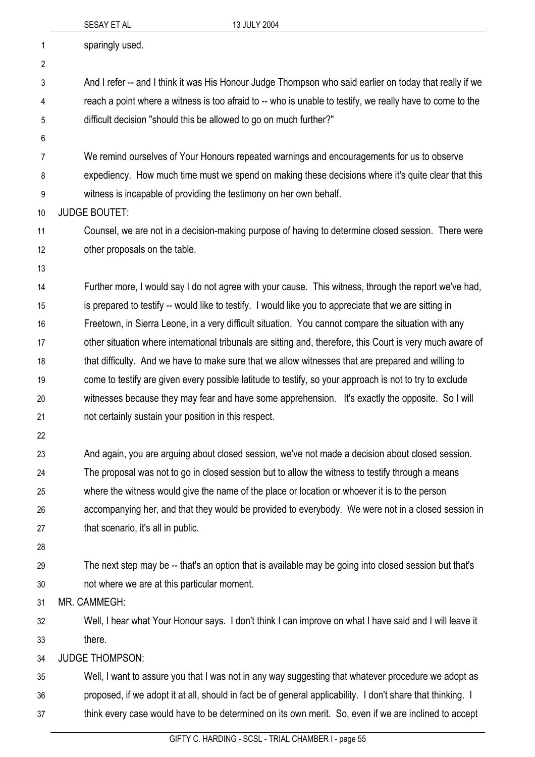|                | SESAY ET AL                                          | 13 JULY 2004                                                                                                |
|----------------|------------------------------------------------------|-------------------------------------------------------------------------------------------------------------|
| 1              | sparingly used.                                      |                                                                                                             |
| $\overline{2}$ |                                                      |                                                                                                             |
| 3              |                                                      | And I refer -- and I think it was His Honour Judge Thompson who said earlier on today that really if we     |
| 4              |                                                      | reach a point where a witness is too afraid to -- who is unable to testify, we really have to come to the   |
| 5              |                                                      | difficult decision "should this be allowed to go on much further?"                                          |
| 6              |                                                      |                                                                                                             |
| 7              |                                                      | We remind ourselves of Your Honours repeated warnings and encouragements for us to observe                  |
| 8              |                                                      | expediency. How much time must we spend on making these decisions where it's quite clear that this          |
| 9              |                                                      | witness is incapable of providing the testimony on her own behalf.                                          |
| 10             | <b>JUDGE BOUTET:</b>                                 |                                                                                                             |
| 11             |                                                      | Counsel, we are not in a decision-making purpose of having to determine closed session. There were          |
| 12             | other proposals on the table.                        |                                                                                                             |
| 13             |                                                      |                                                                                                             |
| 14             |                                                      | Further more, I would say I do not agree with your cause. This witness, through the report we've had,       |
| 15             |                                                      | is prepared to testify -- would like to testify. I would like you to appreciate that we are sitting in      |
| 16             |                                                      | Freetown, in Sierra Leone, in a very difficult situation. You cannot compare the situation with any         |
| 17             |                                                      | other situation where international tribunals are sitting and, therefore, this Court is very much aware of  |
| 18             |                                                      | that difficulty. And we have to make sure that we allow witnesses that are prepared and willing to          |
| 19             |                                                      | come to testify are given every possible latitude to testify, so your approach is not to try to exclude     |
| 20             |                                                      | witnesses because they may fear and have some apprehension. It's exactly the opposite. So I will            |
| 21             | not certainly sustain your position in this respect. |                                                                                                             |
| 22             |                                                      |                                                                                                             |
| 23             |                                                      | And again, you are arguing about closed session, we've not made a decision about closed session.            |
| 24             |                                                      | The proposal was not to go in closed session but to allow the witness to testify through a means            |
| 25             |                                                      | where the witness would give the name of the place or location or whoever it is to the person               |
| 26             |                                                      | accompanying her, and that they would be provided to everybody. We were not in a closed session in          |
| 27             | that scenario, it's all in public.                   |                                                                                                             |
| 28             |                                                      |                                                                                                             |
| 29             |                                                      | The next step may be -- that's an option that is available may be going into closed session but that's      |
| 30             | not where we are at this particular moment.          |                                                                                                             |
| 31             | MR. CAMMEGH:                                         |                                                                                                             |
| 32             |                                                      | Well, I hear what Your Honour says. I don't think I can improve on what I have said and I will leave it     |
| 33             | there.                                               |                                                                                                             |
| 34             | <b>JUDGE THOMPSON:</b>                               |                                                                                                             |
| 35             |                                                      | Well, I want to assure you that I was not in any way suggesting that whatever procedure we adopt as         |
| 36             |                                                      | proposed, if we adopt it at all, should in fact be of general applicability. I don't share that thinking. I |

think every case would have to be determined on its own merit. So, even if we are inclined to accept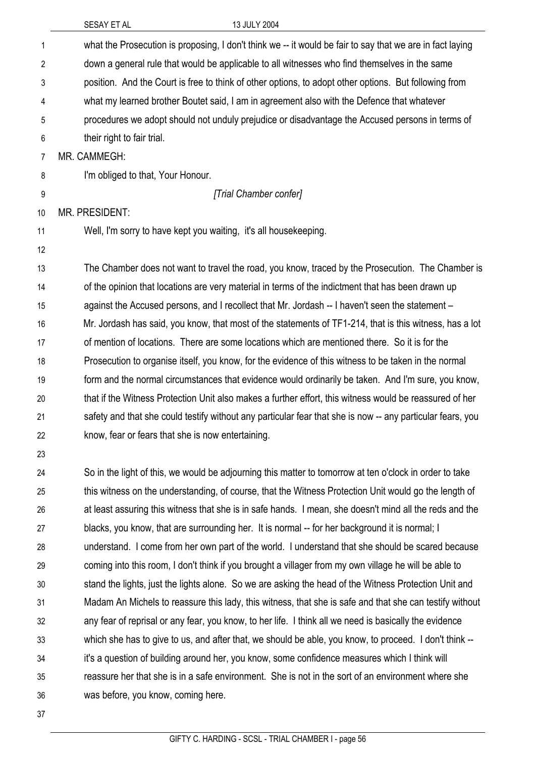|                | 13 JULY 2004<br>SESAY ET AL                                                                                |
|----------------|------------------------------------------------------------------------------------------------------------|
| $\mathbf{1}$   | what the Prosecution is proposing, I don't think we -- it would be fair to say that we are in fact laying  |
| $\overline{2}$ | down a general rule that would be applicable to all witnesses who find themselves in the same              |
| 3              | position. And the Court is free to think of other options, to adopt other options. But following from      |
| 4              | what my learned brother Boutet said, I am in agreement also with the Defence that whatever                 |
| 5              | procedures we adopt should not unduly prejudice or disadvantage the Accused persons in terms of            |
| 6              | their right to fair trial.                                                                                 |
| 7              | MR. CAMMEGH:                                                                                               |
| 8              | I'm obliged to that, Your Honour.                                                                          |
| 9              | [Trial Chamber confer]                                                                                     |
| 10             | <b>MR. PRESIDENT:</b>                                                                                      |
| 11             | Well, I'm sorry to have kept you waiting, it's all housekeeping.                                           |
| 12             |                                                                                                            |
| 13             | The Chamber does not want to travel the road, you know, traced by the Prosecution. The Chamber is          |
| 14             | of the opinion that locations are very material in terms of the indictment that has been drawn up          |
| 15             | against the Accused persons, and I recollect that Mr. Jordash -- I haven't seen the statement -            |
| 16             | Mr. Jordash has said, you know, that most of the statements of TF1-214, that is this witness, has a lot    |
| 17             | of mention of locations. There are some locations which are mentioned there. So it is for the              |
| 18             | Prosecution to organise itself, you know, for the evidence of this witness to be taken in the normal       |
| 19             | form and the normal circumstances that evidence would ordinarily be taken. And I'm sure, you know,         |
| 20             | that if the Witness Protection Unit also makes a further effort, this witness would be reassured of her    |
| 21             | safety and that she could testify without any particular fear that she is now -- any particular fears, you |
| 22             | know, fear or fears that she is now entertaining.                                                          |
| 23             |                                                                                                            |
| 24             | So in the light of this, we would be adjourning this matter to tomorrow at ten o'clock in order to take    |
| 25             | this witness on the understanding, of course, that the Witness Protection Unit would go the length of      |
| 26             | at least assuring this witness that she is in safe hands. I mean, she doesn't mind all the reds and the    |
| 27             | blacks, you know, that are surrounding her. It is normal -- for her background it is normal; I             |
| 28             | understand. I come from her own part of the world. I understand that she should be scared because          |
| 29             | coming into this room, I don't think if you brought a villager from my own village he will be able to      |
| 30             | stand the lights, just the lights alone. So we are asking the head of the Witness Protection Unit and      |
| 31             | Madam An Michels to reassure this lady, this witness, that she is safe and that she can testify without    |
| 32             | any fear of reprisal or any fear, you know, to her life. I think all we need is basically the evidence     |
| 33             | which she has to give to us, and after that, we should be able, you know, to proceed. I don't think --     |
| 34             | it's a question of building around her, you know, some confidence measures which I think will              |
| 35             | reassure her that she is in a safe environment. She is not in the sort of an environment where she         |
| 36             | was before, you know, coming here.                                                                         |
| 37             |                                                                                                            |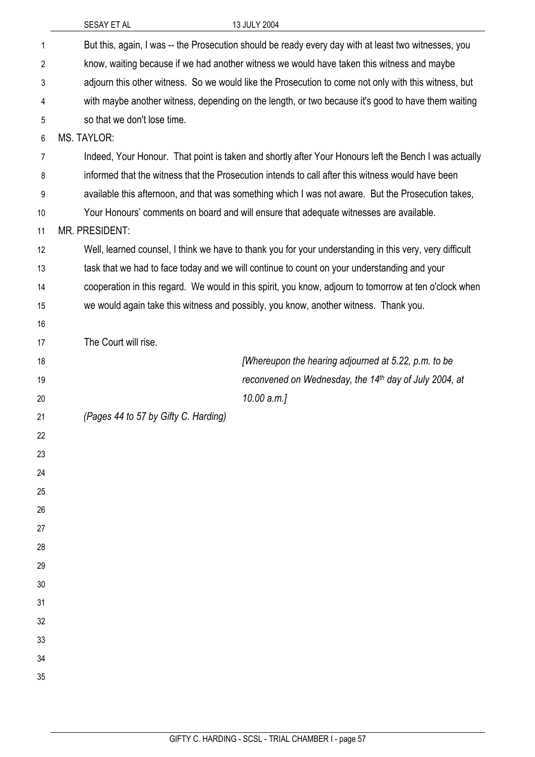| 13 JULY 2004<br>SESAY ET AL                                                                                                                                                                        |
|----------------------------------------------------------------------------------------------------------------------------------------------------------------------------------------------------|
| But this, again, I was -- the Prosecution should be ready every day with at least two witnesses, you<br>know, waiting because if we had another witness we would have taken this witness and maybe |
| adjourn this other witness. So we would like the Prosecution to come not only with this witness, but                                                                                               |
| with maybe another witness, depending on the length, or two because it's good to have them waiting                                                                                                 |
| so that we don't lose time.                                                                                                                                                                        |
| <b>MS. TAYLOR:</b>                                                                                                                                                                                 |
| Indeed, Your Honour. That point is taken and shortly after Your Honours left the Bench I was actually                                                                                              |
| informed that the witness that the Prosecution intends to call after this witness would have been                                                                                                  |
| available this afternoon, and that was something which I was not aware. But the Prosecution takes,                                                                                                 |
| Your Honours' comments on board and will ensure that adequate witnesses are available.                                                                                                             |
| <b>MR. PRESIDENT:</b>                                                                                                                                                                              |
| Well, learned counsel, I think we have to thank you for your understanding in this very, very difficult                                                                                            |
| task that we had to face today and we will continue to count on your understanding and your                                                                                                        |
| cooperation in this regard. We would in this spirit, you know, adjourn to tomorrow at ten o'clock when                                                                                             |
| we would again take this witness and possibly, you know, another witness. Thank you.                                                                                                               |
|                                                                                                                                                                                                    |
| The Court will rise.                                                                                                                                                                               |
| [Whereupon the hearing adjourned at 5.22, p.m. to be                                                                                                                                               |
| reconvened on Wednesday, the 14th day of July 2004, at                                                                                                                                             |
| $10.00$ a.m.]                                                                                                                                                                                      |
| (Pages 44 to 57 by Gifty C. Harding)                                                                                                                                                               |
|                                                                                                                                                                                                    |
|                                                                                                                                                                                                    |
|                                                                                                                                                                                                    |
|                                                                                                                                                                                                    |
|                                                                                                                                                                                                    |
|                                                                                                                                                                                                    |
|                                                                                                                                                                                                    |
|                                                                                                                                                                                                    |
|                                                                                                                                                                                                    |
|                                                                                                                                                                                                    |
|                                                                                                                                                                                                    |
|                                                                                                                                                                                                    |
|                                                                                                                                                                                                    |
|                                                                                                                                                                                                    |
|                                                                                                                                                                                                    |